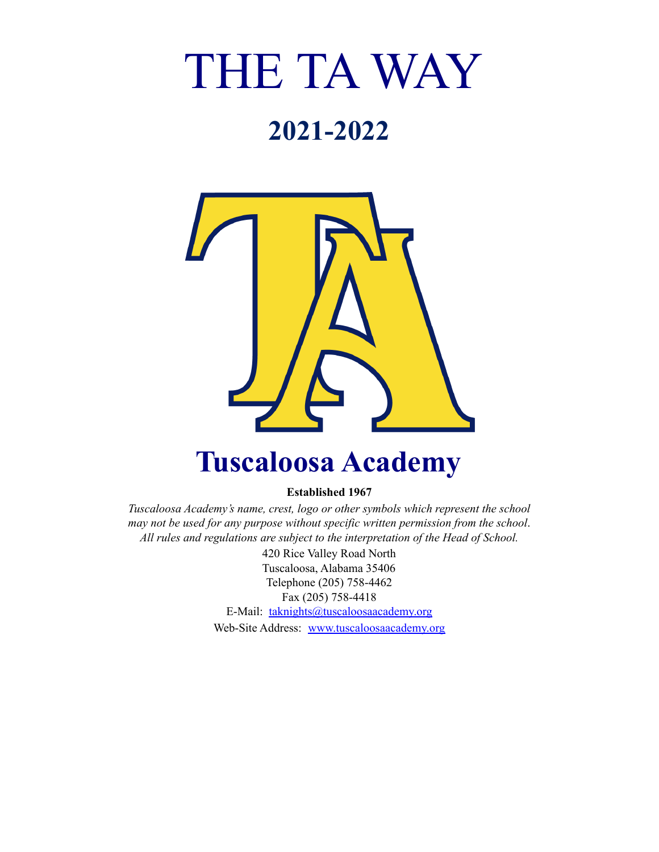# THE TA WAY

## **2021-2022**



## **Tuscaloosa Academy**

#### **Established 1967**

*Tuscaloosa Academy's name, crest, logo or other symbols which represent the school may not be used for any purpose without specific written permission from the school*. *All rules and regulations are subject to the interpretation of the Head of School.*

> 420 Rice Valley Road North Tuscaloosa, Alabama 35406 Telephone (205) 758-4462 Fax (205) 758-4418 E-Mail: [taknights@tuscaloosaacademy.org](mailto:taknights@tuscaloosaacademy.org) Web-Site Address: [www.tuscaloosaacademy.org](http://www.tuscaloosaacademy.org)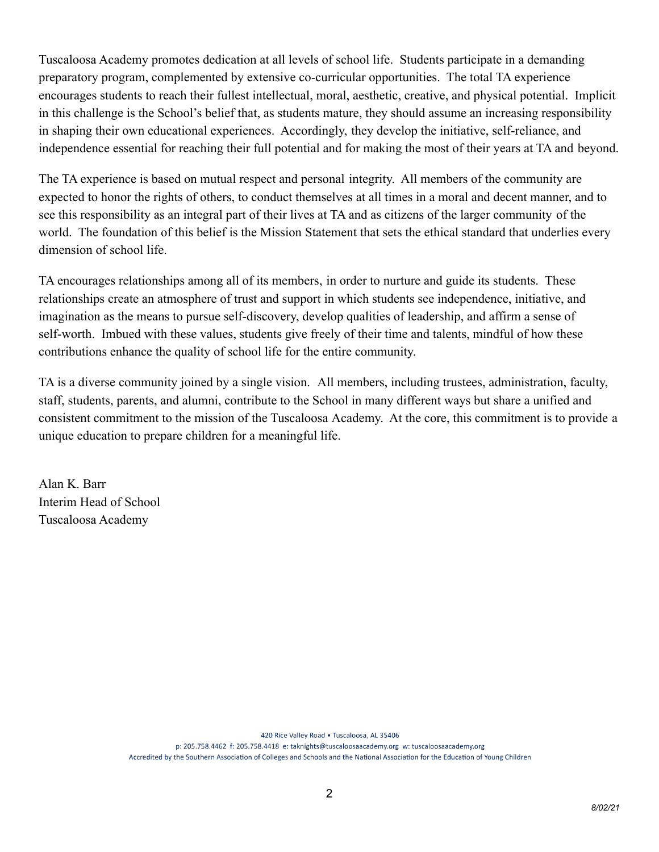Tuscaloosa Academy promotes dedication at all levels of school life. Students participate in a demanding preparatory program, complemented by extensive co-curricular opportunities. The total TA experience encourages students to reach their fullest intellectual, moral, aesthetic, creative, and physical potential. Implicit in this challenge is the School's belief that, as students mature, they should assume an increasing responsibility in shaping their own educational experiences. Accordingly, they develop the initiative, self-reliance, and independence essential for reaching their full potential and for making the most of their years at TA and beyond.

The TA experience is based on mutual respect and personal integrity. All members of the community are expected to honor the rights of others, to conduct themselves at all times in a moral and decent manner, and to see this responsibility as an integral part of their lives at TA and as citizens of the larger community of the world. The foundation of this belief is the Mission Statement that sets the ethical standard that underlies every dimension of school life.

TA encourages relationships among all of its members, in order to nurture and guide its students. These relationships create an atmosphere of trust and support in which students see independence, initiative, and imagination as the means to pursue self-discovery, develop qualities of leadership, and affirm a sense of self-worth. Imbued with these values, students give freely of their time and talents, mindful of how these contributions enhance the quality of school life for the entire community.

TA is a diverse community joined by a single vision. All members, including trustees, administration, faculty, staff, students, parents, and alumni, contribute to the School in many different ways but share a unified and consistent commitment to the mission of the Tuscaloosa Academy. At the core, this commitment is to provide a unique education to prepare children for a meaningful life.

Alan K. Barr Interim Head of School Tuscaloosa Academy

> 420 Rice Valley Road . Tuscaloosa, AL 35406 p: 205.758.4462 f: 205.758.4418 e: taknights@tuscaloosaacademy.org w: tuscaloosaacademy.org Accredited by the Southern Association of Colleges and Schools and the National Association for the Education of Young Children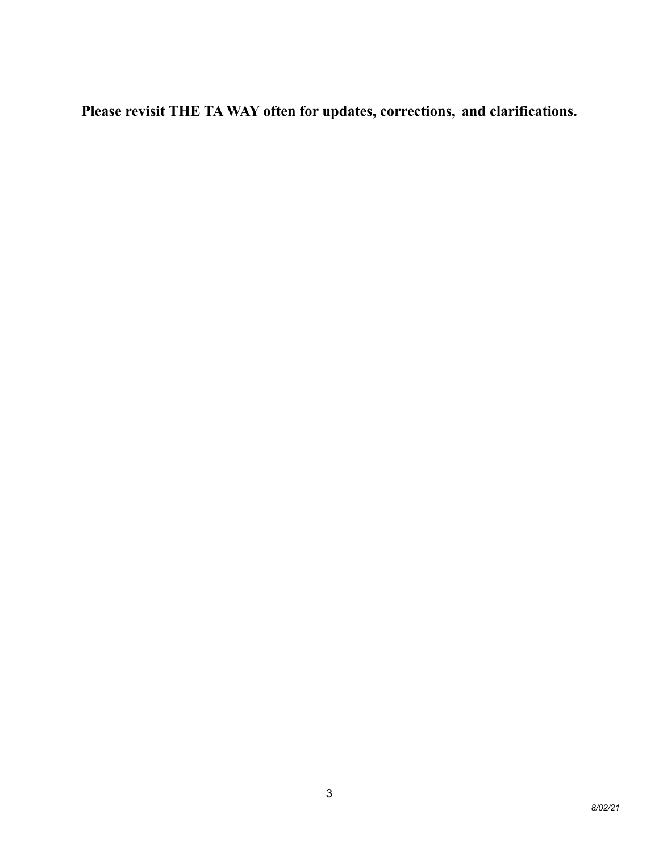**Please revisit THE TA WAY often for updates, corrections, and clarifications.**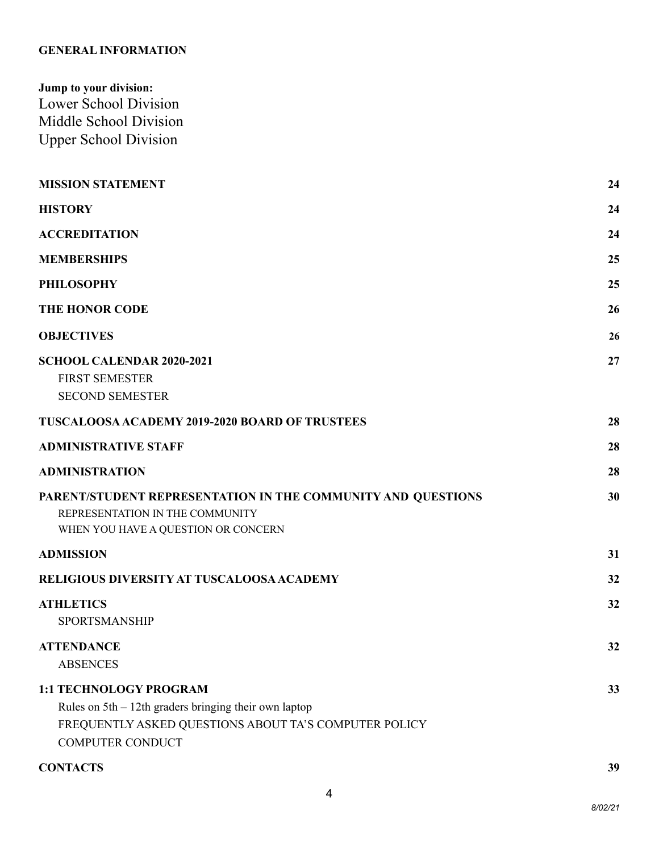#### **GENERAL [INFORMATION](#page-11-0)**

**Jump to your division:**

| Lower School Division                                                  |    |
|------------------------------------------------------------------------|----|
| Middle School Division                                                 |    |
| <b>Upper School Division</b>                                           |    |
|                                                                        |    |
| <b>MISSION STATEMENT</b>                                               | 24 |
| <b>HISTORY</b>                                                         | 24 |
| <b>ACCREDITATION</b>                                                   | 24 |
| <b>MEMBERSHIPS</b>                                                     | 25 |
| <b>PHILOSOPHY</b>                                                      | 25 |
| <b>THE HONOR CODE</b>                                                  | 26 |
| <b>OBJECTIVES</b>                                                      | 26 |
| <b>SCHOOL CALENDAR 2020-2021</b>                                       | 27 |
| <b>FIRST SEMESTER</b>                                                  |    |
| <b>SECOND SEMESTER</b>                                                 |    |
| TUSCALOOSA ACADEMY 2019-2020 BOARD OF TRUSTEES                         | 28 |
| <b>ADMINISTRATIVE STAFF</b>                                            | 28 |
| <b>ADMINISTRATION</b>                                                  | 28 |
| PARENT/STUDENT REPRESENTATION IN THE COMMUNITY AND QUESTIONS           | 30 |
| REPRESENTATION IN THE COMMUNITY<br>WHEN YOU HAVE A QUESTION OR CONCERN |    |
| <b>ADMISSION</b>                                                       | 31 |
| RELIGIOUS DIVERSITY AT TUSCALOOSA ACADEMY                              | 32 |
| <b>ATHLETICS</b>                                                       | 32 |
| SPORTSMANSHIP                                                          |    |
| <b>ATTENDANCE</b>                                                      | 32 |
| <b>ABSENCES</b>                                                        |    |
| <b>1:1 TECHNOLOGY PROGRAM</b>                                          | 33 |
| Rules on $5th - 12th$ graders bringing their own laptop                |    |
| FREQUENTLY ASKED QUESTIONS ABOUT TA'S COMPUTER POLICY                  |    |
| <b>COMPUTER CONDUCT</b>                                                |    |
| <b>CONTACTS</b>                                                        | 39 |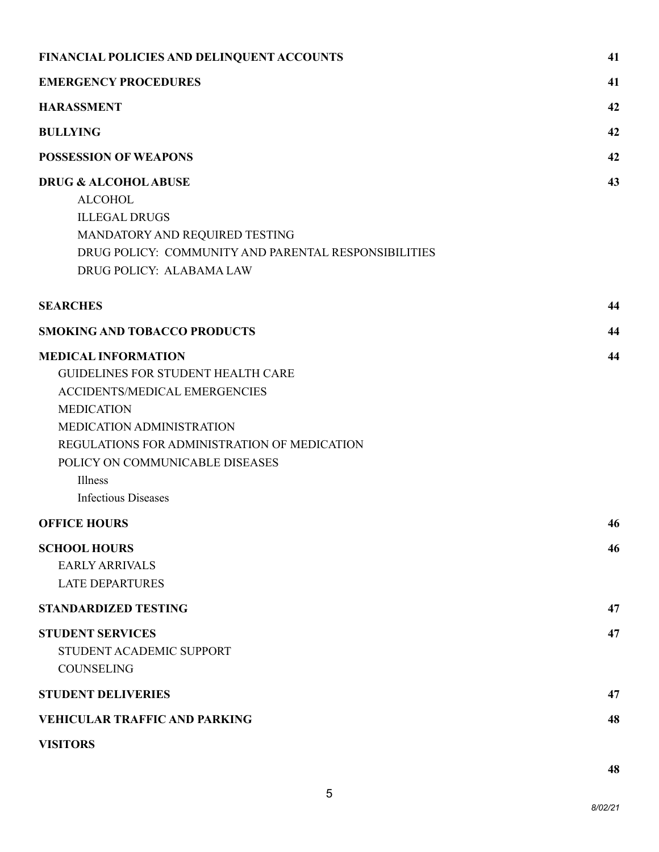| FINANCIAL POLICIES AND DELINQUENT ACCOUNTS                                                                                                                                                                                                                                                    | 41 |
|-----------------------------------------------------------------------------------------------------------------------------------------------------------------------------------------------------------------------------------------------------------------------------------------------|----|
| <b>EMERGENCY PROCEDURES</b>                                                                                                                                                                                                                                                                   | 41 |
| <b>HARASSMENT</b>                                                                                                                                                                                                                                                                             | 42 |
| <b>BULLYING</b>                                                                                                                                                                                                                                                                               | 42 |
| <b>POSSESSION OF WEAPONS</b>                                                                                                                                                                                                                                                                  | 42 |
| <b>DRUG &amp; ALCOHOL ABUSE</b><br><b>ALCOHOL</b><br><b>ILLEGAL DRUGS</b><br>MANDATORY AND REQUIRED TESTING<br>DRUG POLICY: COMMUNITY AND PARENTAL RESPONSIBILITIES<br>DRUG POLICY: ALABAMA LAW                                                                                               | 43 |
| <b>SEARCHES</b>                                                                                                                                                                                                                                                                               | 44 |
| <b>SMOKING AND TOBACCO PRODUCTS</b>                                                                                                                                                                                                                                                           | 44 |
| <b>MEDICAL INFORMATION</b><br><b>GUIDELINES FOR STUDENT HEALTH CARE</b><br><b>ACCIDENTS/MEDICAL EMERGENCIES</b><br><b>MEDICATION</b><br>MEDICATION ADMINISTRATION<br>REGULATIONS FOR ADMINISTRATION OF MEDICATION<br>POLICY ON COMMUNICABLE DISEASES<br>Illness<br><b>Infectious Diseases</b> | 44 |
| <b>OFFICE HOURS</b>                                                                                                                                                                                                                                                                           | 46 |
| <b>SCHOOL HOURS</b><br><b>EARLY ARRIVALS</b><br><b>LATE DEPARTURES</b>                                                                                                                                                                                                                        | 46 |
| <b>STANDARDIZED TESTING</b>                                                                                                                                                                                                                                                                   | 47 |
| <b>STUDENT SERVICES</b><br>STUDENT ACADEMIC SUPPORT<br><b>COUNSELING</b>                                                                                                                                                                                                                      | 47 |
| <b>STUDENT DELIVERIES</b>                                                                                                                                                                                                                                                                     | 47 |
| <b>VEHICULAR TRAFFIC AND PARKING</b>                                                                                                                                                                                                                                                          | 48 |
| <b>VISITORS</b>                                                                                                                                                                                                                                                                               |    |

**[48](#page-36-1)**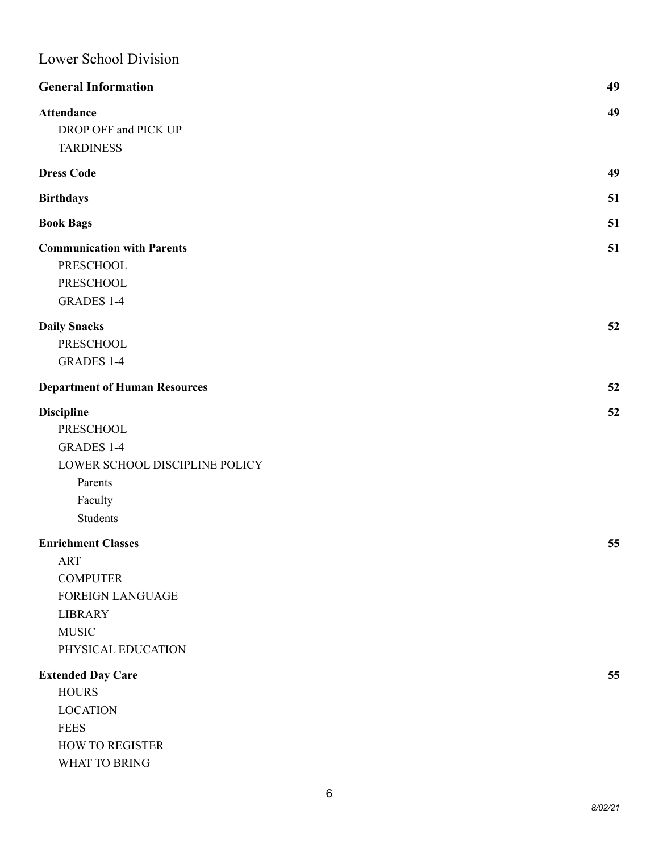#### Lo[w](#page-37-0)er School Division

| <b>General Information</b>                                                                                                                    | 49 |
|-----------------------------------------------------------------------------------------------------------------------------------------------|----|
| Attendance<br>DROP OFF and PICK UP<br><b>TARDINESS</b>                                                                                        | 49 |
| <b>Dress Code</b>                                                                                                                             | 49 |
| <b>Birthdays</b>                                                                                                                              | 51 |
| <b>Book Bags</b>                                                                                                                              | 51 |
| <b>Communication with Parents</b><br><b>PRESCHOOL</b><br><b>PRESCHOOL</b><br><b>GRADES 1-4</b>                                                | 51 |
| <b>Daily Snacks</b><br><b>PRESCHOOL</b><br><b>GRADES 1-4</b>                                                                                  | 52 |
| <b>Department of Human Resources</b>                                                                                                          | 52 |
| <b>Discipline</b><br><b>PRESCHOOL</b><br><b>GRADES 1-4</b><br>LOWER SCHOOL DISCIPLINE POLICY<br>Parents<br>Faculty<br>Students                | 52 |
| <b>Enrichment Classes</b><br><b>ART</b><br><b>COMPUTER</b><br><b>FOREIGN LANGUAGE</b><br><b>LIBRARY</b><br><b>MUSIC</b><br>PHYSICAL EDUCATION | 55 |
| <b>Extended Day Care</b><br><b>HOURS</b><br><b>LOCATION</b><br><b>FEES</b><br><b>HOW TO REGISTER</b><br>WHAT TO BRING                         | 55 |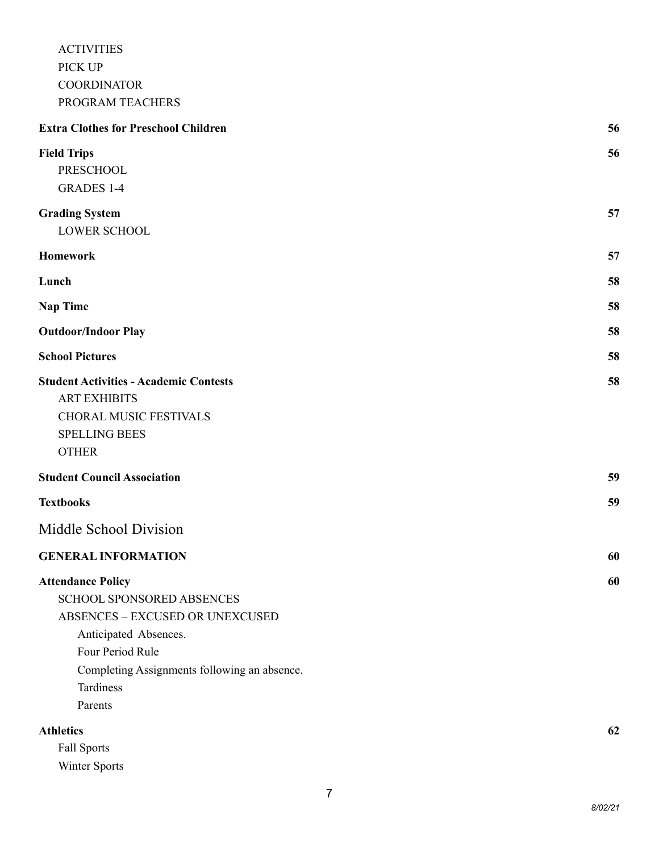[ACTIVITIES](#page-44-6) [PICK](#page-44-7) UP **[COORDINATOR](#page-44-8)** PROGRAM TEACHERS

#### **Extra Clothes for [Preschool](#page-44-5) Children 56**

|                                               | $\ddot{\phantom{0}}$ |
|-----------------------------------------------|----------------------|
| <b>Field Trips</b>                            | 56                   |
| PRESCHOOL                                     |                      |
| <b>GRADES 1-4</b>                             |                      |
| <b>Grading System</b>                         | 57                   |
| <b>LOWER SCHOOL</b>                           |                      |
| <b>Homework</b>                               | 57                   |
| Lunch                                         | 58                   |
| <b>Nap Time</b>                               | 58                   |
| <b>Outdoor/Indoor Play</b>                    | 58                   |
| <b>School Pictures</b>                        | 58                   |
| <b>Student Activities - Academic Contests</b> | 58                   |
| <b>ART EXHIBITS</b>                           |                      |

CHORAL MUSIC FESTIVALS [SPELLING](#page-47-3) BEES **[OTHER](#page-47-4)** 

#### **Student Council [Association](#page-47-5) [59](#page-47-5)**

#### **[Textbooks](#page-47-6) [59](#page-47-6)**

[Middle](#page-48-0) School Division

#### **GENERAL [INFORMATION](#page-48-1) [60](#page-48-1)**

#### **[Attendance](#page-48-2) Policy [60](#page-48-2)**

| <b>SCHOOL SPONSORED ABSENCES</b>             |
|----------------------------------------------|
| ABSENCES – EXCUSED OR UNEXCUSED              |
| Anticipated Absences.                        |
| <b>Four Period Rule</b>                      |
| Completing Assignments following an absence. |
| <b>Tardiness</b>                             |
| Parents                                      |

#### **[Athletics](#page-50-1) [62](#page-50-1)**

| <b>Fall Sports</b> |  |
|--------------------|--|
| Winter Sports      |  |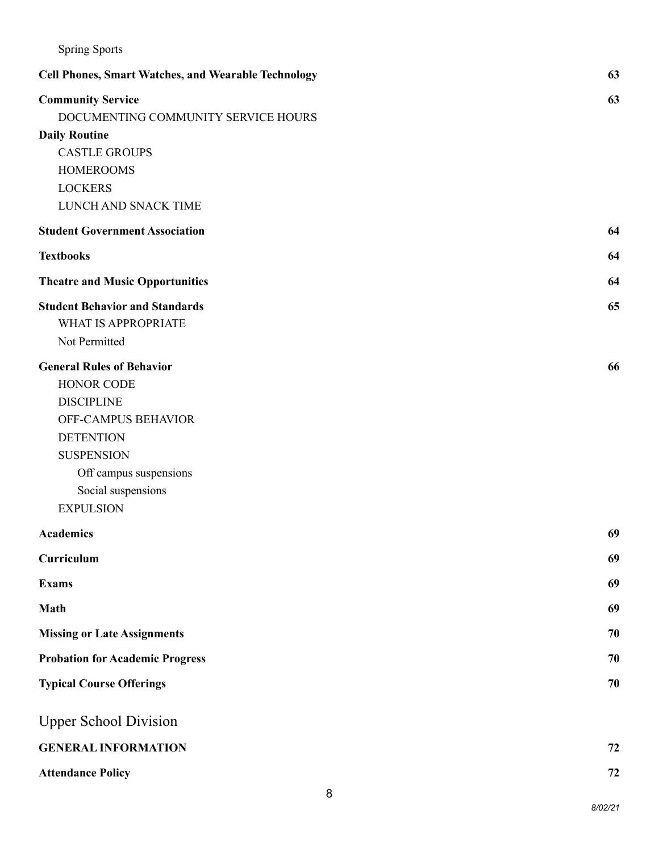| <b>Cell Phones, Smart Watches, and Wearable Technology</b>                                                                                                                                              | 63 |
|---------------------------------------------------------------------------------------------------------------------------------------------------------------------------------------------------------|----|
| <b>Community Service</b><br>DOCUMENTING COMMUNITY SERVICE HOURS                                                                                                                                         | 63 |
| <b>Daily Routine</b><br><b>CASTLE GROUPS</b><br><b>HOMEROOMS</b><br><b>LOCKERS</b><br>LUNCH AND SNACK TIME                                                                                              |    |
| <b>Student Government Association</b>                                                                                                                                                                   | 64 |
| <b>Textbooks</b>                                                                                                                                                                                        | 64 |
| <b>Theatre and Music Opportunities</b>                                                                                                                                                                  | 64 |
| <b>Student Behavior and Standards</b><br>WHAT IS APPROPRIATE<br>Not Permitted                                                                                                                           | 65 |
| <b>General Rules of Behavior</b><br>HONOR CODE<br><b>DISCIPLINE</b><br>OFF-CAMPUS BEHAVIOR<br><b>DETENTION</b><br><b>SUSPENSION</b><br>Off campus suspensions<br>Social suspensions<br><b>EXPULSION</b> | 66 |
| <b>Academics</b>                                                                                                                                                                                        | 69 |
| Curriculum                                                                                                                                                                                              | 69 |
| <b>Exams</b>                                                                                                                                                                                            | 69 |
| <b>Math</b>                                                                                                                                                                                             | 69 |
| <b>Missing or Late Assignments</b>                                                                                                                                                                      | 70 |
| <b>Probation for Academic Progress</b>                                                                                                                                                                  | 70 |
| <b>Typical Course Offerings</b>                                                                                                                                                                         | 70 |
| <b>Upper School Division</b>                                                                                                                                                                            |    |
| <b>GENERAL INFORMATION</b>                                                                                                                                                                              | 72 |
| <b>Attendance Policy</b><br>8                                                                                                                                                                           | 72 |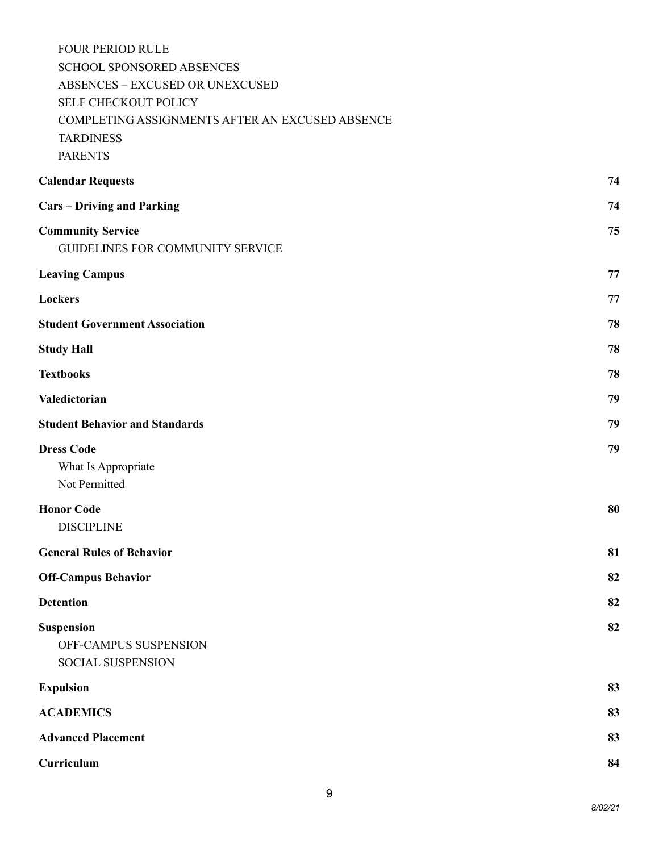| <b>FOUR PERIOD RULE</b><br><b>SCHOOL SPONSORED ABSENCES</b><br>ABSENCES - EXCUSED OR UNEXCUSED<br>SELF CHECKOUT POLICY<br>COMPLETING ASSIGNMENTS AFTER AN EXCUSED ABSENCE<br><b>TARDINESS</b><br><b>PARENTS</b> |    |
|-----------------------------------------------------------------------------------------------------------------------------------------------------------------------------------------------------------------|----|
| <b>Calendar Requests</b>                                                                                                                                                                                        | 74 |
| <b>Cars-Driving and Parking</b>                                                                                                                                                                                 | 74 |
| <b>Community Service</b><br>GUIDELINES FOR COMMUNITY SERVICE                                                                                                                                                    | 75 |
| <b>Leaving Campus</b>                                                                                                                                                                                           | 77 |
| <b>Lockers</b>                                                                                                                                                                                                  | 77 |
| <b>Student Government Association</b>                                                                                                                                                                           | 78 |
| <b>Study Hall</b>                                                                                                                                                                                               | 78 |
| <b>Textbooks</b>                                                                                                                                                                                                | 78 |
| Valedictorian                                                                                                                                                                                                   | 79 |
| <b>Student Behavior and Standards</b>                                                                                                                                                                           | 79 |
| <b>Dress Code</b><br>What Is Appropriate<br>Not Permitted                                                                                                                                                       | 79 |
| <b>Honor Code</b><br><b>DISCIPLINE</b>                                                                                                                                                                          | 80 |
| <b>General Rules of Behavior</b>                                                                                                                                                                                | 81 |
| <b>Off-Campus Behavior</b>                                                                                                                                                                                      | 82 |
| <b>Detention</b>                                                                                                                                                                                                | 82 |
| <b>Suspension</b><br>OFF-CAMPUS SUSPENSION<br><b>SOCIAL SUSPENSION</b>                                                                                                                                          | 82 |
| <b>Expulsion</b>                                                                                                                                                                                                | 83 |
| <b>ACADEMICS</b>                                                                                                                                                                                                | 83 |
| <b>Advanced Placement</b>                                                                                                                                                                                       | 83 |
| Curriculum                                                                                                                                                                                                      | 84 |
|                                                                                                                                                                                                                 |    |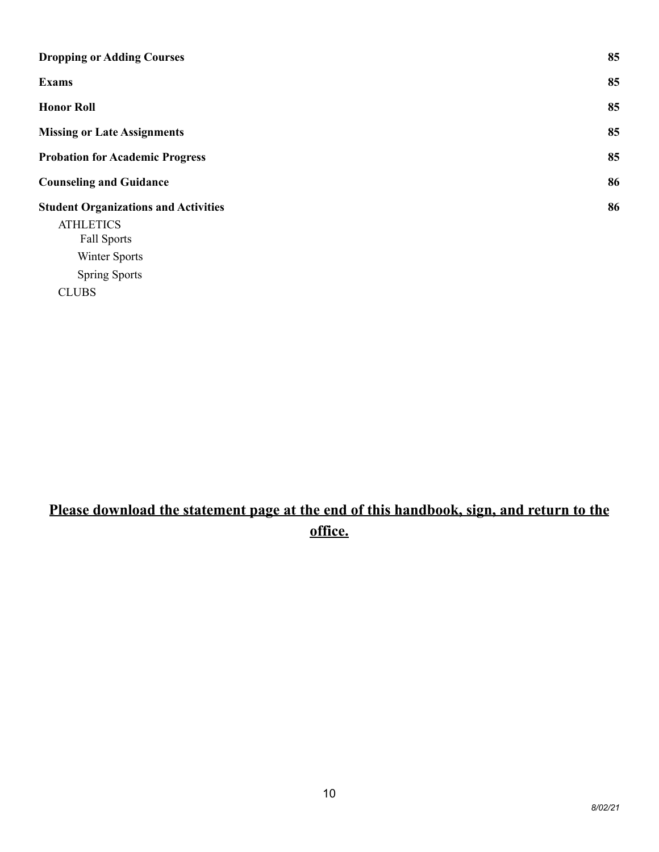| <b>Dropping or Adding Courses</b>           | 85 |
|---------------------------------------------|----|
| <b>Exams</b>                                | 85 |
| <b>Honor Roll</b>                           | 85 |
| <b>Missing or Late Assignments</b>          | 85 |
| <b>Probation for Academic Progress</b>      | 85 |
| <b>Counseling and Guidance</b>              | 86 |
| <b>Student Organizations and Activities</b> | 86 |
| <b>ATHLETICS</b>                            |    |
| <b>Fall Sports</b>                          |    |
| Winter Sports                               |    |
| <b>Spring Sports</b>                        |    |

**[CLUBS](#page-82-2)** 

## **Please download the statement page at the end of this handbook, sign, and return to the office.**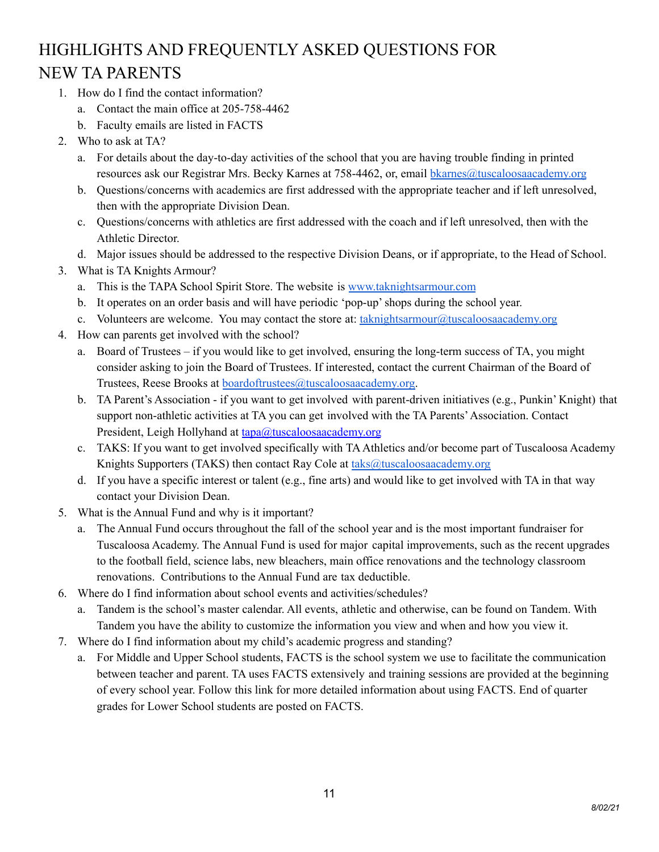## HIGHLIGHTS AND FREQUENTLY ASKED QUESTIONS FOR NEW TA PARENTS

- 1. How do I find the contact information?
	- a. Contact the main office at 205-758-4462
	- b. Faculty emails are listed in FACTS
- 2. Who to ask at TA?
	- a. For details about the day-to-day activities of the school that you are having trouble finding in printed resources ask our Registrar Mrs. Becky Karnes at 758-4462, or, email [bkarnes@tuscaloosaacademy.org](mailto:bkarnes@tuscaloosaacademy.org)
	- b. Questions/concerns with academics are first addressed with the appropriate teacher and if left unresolved, then with the appropriate Division Dean.
	- c. Questions/concerns with athletics are first addressed with the coach and if left unresolved, then with the Athletic Director.
	- d. Major issues should be addressed to the respective Division Deans, or if appropriate, to the Head of School.
- 3. What is TA Knights Armour?
	- a. This is the TAPA School Spirit Store. The website is [www.taknightsarmour.com](http://www.taknightsarmour.com)
	- b. It operates on an order basis and will have periodic 'pop-up'shops during the school year.
	- c. Volunteers are welcome. You may contact the store at:  $\frac{t}{t}$  [taknightsarmour@tuscaloosaacademy.org](mailto:taknightsarmour@tuscaloosaacademy.org)
- 4. How can parents get involved with the school?
	- a. Board of Trustees if you would like to get involved, ensuring the long-term success of TA, you might consider asking to join the Board of Trustees. If interested, contact the current Chairman of the Board of Trustees, Reese Brooks at [boardoftrustees@tuscaloosaacademy.org.](mailto:boardoftrustees@tuscaloosaacademy.org)
	- b. TA Parent's Association if you want to get involved with parent-driven initiatives (e.g., Punkin' Knight) that support non-athletic activities at TA you can get involved with the TA Parents' Association. Contact President, Leigh Hollyhand at [tapa@tuscaloosaacademy.org](mailto:tapa@tuscaloosaacademy.org)
	- c. TAKS: If you want to get involved specifically with TAAthletics and/or become part of Tuscaloosa Academy Knights Supporters (TAKS) then contact Ray Cole at [taks@tuscaloosaacademy.org](mailto:taks@tuscaloosaacademy.org)
	- d. If you have a specific interest or talent (e.g., fine arts) and would like to get involved with TA in that way contact your Division Dean.
- 5. What is the Annual Fund and why is it important?
	- a. The Annual Fund occurs throughout the fall of the school year and is the most important fundraiser for Tuscaloosa Academy. The Annual Fund is used for major capital improvements, such as the recent upgrades to the football field, science labs, new bleachers, main office renovations and the technology classroom renovations. Contributions to the Annual Fund are tax deductible.
- 6. Where do I find information about school events and activities/schedules?
	- a. Tandem is the school's master calendar. All events, athletic and otherwise, can be found on Tandem. With Tandem you have the ability to customize the information you view and when and how you view it.
- 7. Where do I find information about my child's academic progress and standing?
	- a. For Middle and Upper School students, FACTS is the school system we use to facilitate the communication between teacher and parent. TA uses FACTS extensively and training sessions are provided at the beginning of every school year. Follow this link for more detailed information about using FACTS. End of quarter grades for Lower School students are posted on FACTS.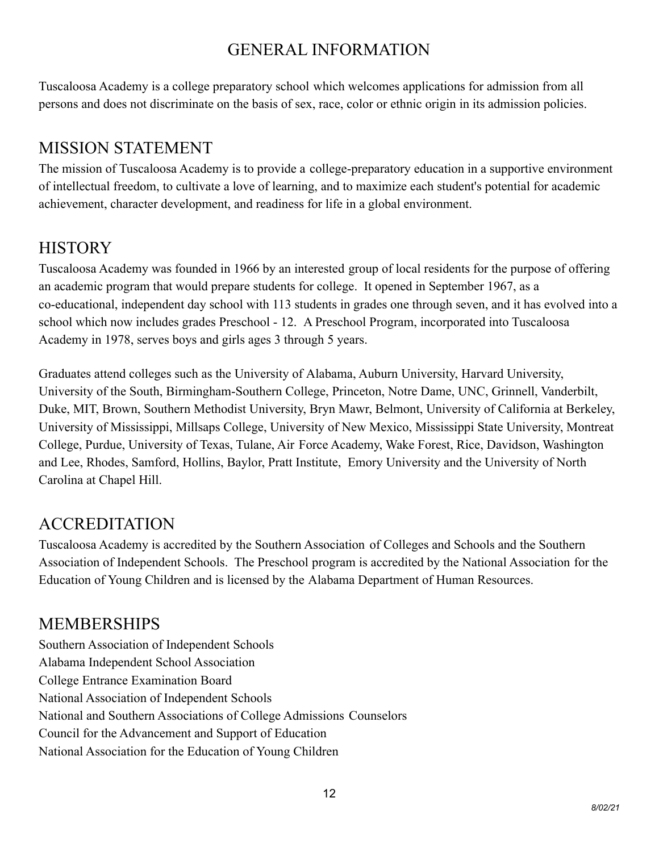## GENERAL INFORMATION

<span id="page-11-0"></span>Tuscaloosa Academy is a college preparatory school which welcomes applications for admission from all persons and does not discriminate on the basis of sex, race, color or ethnic origin in its admission policies.

## <span id="page-11-1"></span>MISSION STATEMENT

The mission of Tuscaloosa Academy is to provide a college-preparatory education in a supportive environment of intellectual freedom, to cultivate a love of learning, and to maximize each student's potential for academic achievement, character development, and readiness for life in a global environment.

## <span id="page-11-2"></span>**HISTORY**

Tuscaloosa Academy was founded in 1966 by an interested group of local residents for the purpose of offering an academic program that would prepare students for college. It opened in September 1967, as a co-educational, independent day school with 113 students in grades one through seven, and it has evolved into a school which now includes grades Preschool - 12. A Preschool Program, incorporated into Tuscaloosa Academy in 1978, serves boys and girls ages 3 through 5 years.

Graduates attend colleges such as the University of Alabama, Auburn University, Harvard University, University of the South, Birmingham-Southern College, Princeton, Notre Dame, UNC, Grinnell, Vanderbilt, Duke, MIT, Brown, Southern Methodist University, Bryn Mawr, Belmont, University of California at Berkeley, University of Mississippi, Millsaps College, University of New Mexico, Mississippi State University, Montreat College, Purdue, University of Texas, Tulane, Air Force Academy, Wake Forest, Rice, Davidson, Washington and Lee, Rhodes, Samford, Hollins, Baylor, Pratt Institute, Emory University and the University of North Carolina at Chapel Hill.

## <span id="page-11-3"></span>ACCREDITATION

Tuscaloosa Academy is accredited by the Southern Association of Colleges and Schools and the Southern Association of Independent Schools. The Preschool program is accredited by the National Association for the Education of Young Children and is licensed by the Alabama Department of Human Resources.

## <span id="page-11-4"></span>MEMBERSHIPS

Southern Association of Independent Schools Alabama Independent School Association College Entrance Examination Board National Association of Independent Schools National and Southern Associations of College Admissions Counselors Council for the Advancement and Support of Education National Association for the Education of Young Children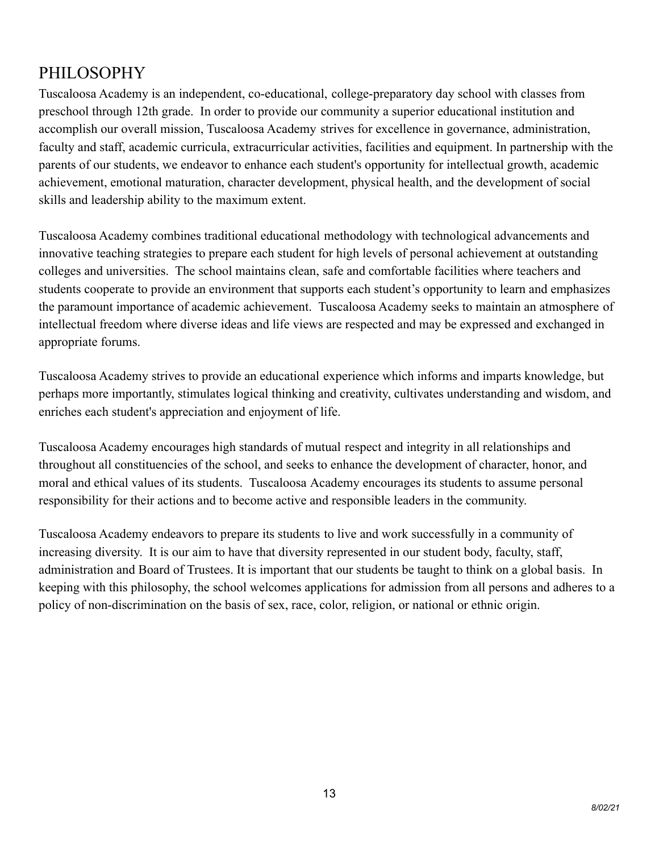## <span id="page-12-0"></span>PHILOSOPHY

Tuscaloosa Academy is an independent, co-educational, college-preparatory day school with classes from preschool through 12th grade. In order to provide our community a superior educational institution and accomplish our overall mission, Tuscaloosa Academy strives for excellence in governance, administration, faculty and staff, academic curricula, extracurricular activities, facilities and equipment. In partnership with the parents of our students, we endeavor to enhance each student's opportunity for intellectual growth, academic achievement, emotional maturation, character development, physical health, and the development of social skills and leadership ability to the maximum extent.

Tuscaloosa Academy combines traditional educational methodology with technological advancements and innovative teaching strategies to prepare each student for high levels of personal achievement at outstanding colleges and universities. The school maintains clean, safe and comfortable facilities where teachers and students cooperate to provide an environment that supports each student's opportunity to learn and emphasizes the paramount importance of academic achievement. Tuscaloosa Academy seeks to maintain an atmosphere of intellectual freedom where diverse ideas and life views are respected and may be expressed and exchanged in appropriate forums.

Tuscaloosa Academy strives to provide an educational experience which informs and imparts knowledge, but perhaps more importantly, stimulates logical thinking and creativity, cultivates understanding and wisdom, and enriches each student's appreciation and enjoyment of life.

Tuscaloosa Academy encourages high standards of mutual respect and integrity in all relationships and throughout all constituencies of the school, and seeks to enhance the development of character, honor, and moral and ethical values of its students. Tuscaloosa Academy encourages its students to assume personal responsibility for their actions and to become active and responsible leaders in the community.

Tuscaloosa Academy endeavors to prepare its students to live and work successfully in a community of increasing diversity. It is our aim to have that diversity represented in our student body, faculty, staff, administration and Board of Trustees. It is important that our students be taught to think on a global basis. In keeping with this philosophy, the school welcomes applications for admission from all persons and adheres to a policy of non-discrimination on the basis of sex, race, color, religion, or national or ethnic origin.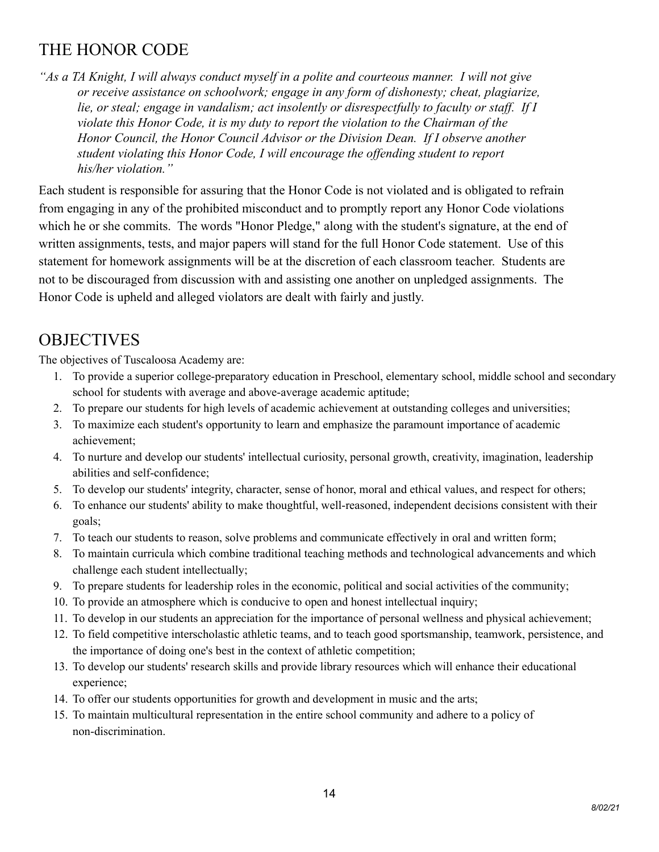## <span id="page-13-0"></span>THE HONOR CODE

*"As a TA Knight, I will always conduct myself in a polite and courteous manner. I will not give or receive assistance on schoolwork; engage in any form of dishonesty; cheat, plagiarize, lie, or steal; engage in vandalism; act insolently or disrespectfully to faculty or staff. If I violate this Honor Code, it is my duty to report the violation to the Chairman of the Honor Council, the Honor Council Advisor or the Division Dean. If I observe another student violating this Honor Code, I will encourage the offending student to report his/her violation."*

Each student is responsible for assuring that the Honor Code is not violated and is obligated to refrain from engaging in any of the prohibited misconduct and to promptly report any Honor Code violations which he or she commits. The words "Honor Pledge," along with the student's signature, at the end of written assignments, tests, and major papers will stand for the full Honor Code statement. Use of this statement for homework assignments will be at the discretion of each classroom teacher. Students are not to be discouraged from discussion with and assisting one another on unpledged assignments. The Honor Code is upheld and alleged violators are dealt with fairly and justly.

## <span id="page-13-1"></span>**OBJECTIVES**

The objectives of Tuscaloosa Academy are:

- 1. To provide a superior college-preparatory education in Preschool, elementary school, middle school and secondary school for students with average and above-average academic aptitude;
- 2. To prepare our students for high levels of academic achievement at outstanding colleges and universities;
- 3. To maximize each student's opportunity to learn and emphasize the paramount importance of academic achievement;
- 4. To nurture and develop our students' intellectual curiosity, personal growth, creativity, imagination, leadership abilities and self-confidence;
- 5. To develop our students' integrity, character, sense of honor, moral and ethical values, and respect for others;
- 6. To enhance our students' ability to make thoughtful, well-reasoned, independent decisions consistent with their goals;
- 7. To teach our students to reason, solve problems and communicate effectively in oral and written form;
- 8. To maintain curricula which combine traditional teaching methods and technological advancements and which challenge each student intellectually;
- 9. To prepare students for leadership roles in the economic, political and social activities of the community;
- 10. To provide an atmosphere which is conducive to open and honest intellectual inquiry;
- 11. To develop in our students an appreciation for the importance of personal wellness and physical achievement;
- 12. To field competitive interscholastic athletic teams, and to teach good sportsmanship, teamwork, persistence, and the importance of doing one's best in the context of athletic competition;
- 13. To develop our students' research skills and provide library resources which will enhance their educational experience;
- 14. To offer our students opportunities for growth and development in music and the arts;
- 15. To maintain multicultural representation in the entire school community and adhere to a policy of non-discrimination.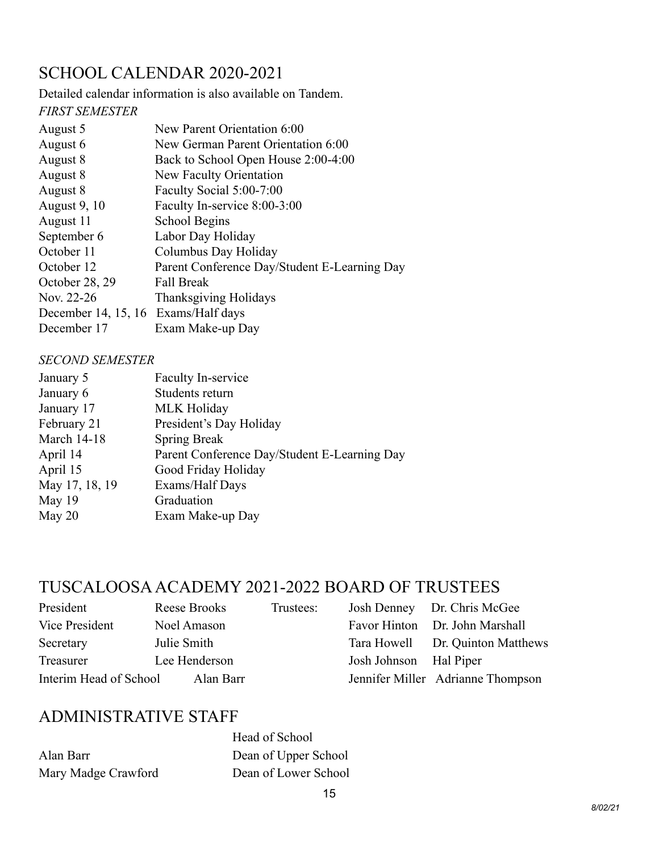## <span id="page-14-0"></span>SCHOOL CALENDAR 2020-2021

Detailed calendar information is also available on Tandem. *FIRST SEMESTER*

<span id="page-14-1"></span>

| New Parent Orientation 6:00                  |
|----------------------------------------------|
| New German Parent Orientation 6:00           |
| Back to School Open House 2:00-4:00          |
| New Faculty Orientation                      |
| Faculty Social 5:00-7:00                     |
| Faculty In-service 8:00-3:00                 |
| School Begins                                |
| Labor Day Holiday                            |
| Columbus Day Holiday                         |
| Parent Conference Day/Student E-Learning Day |
| <b>Fall Break</b>                            |
| <b>Thanksgiving Holidays</b>                 |
| December 14, 15, 16 Exams/Half days          |
| Exam Make-up Day                             |
|                                              |

#### <span id="page-14-2"></span>*SECOND SEMESTER*

| January 5          | Faculty In-service                           |
|--------------------|----------------------------------------------|
| January 6          | Students return                              |
| January 17         | MLK Holiday                                  |
| February 21        | President's Day Holiday                      |
| <b>March 14-18</b> | <b>Spring Break</b>                          |
| April 14           | Parent Conference Day/Student E-Learning Day |
| April 15           | Good Friday Holiday                          |
| May 17, 18, 19     | Exams/Half Days                              |
| May 19             | Graduation                                   |
| May $20$           | Exam Make-up Day                             |

## <span id="page-14-3"></span>TUSCALOOSAACADEMY 2021-2022 BOARD OF TRUSTEES

| President              | Reese Brooks  | Trustees: |                        | Josh Denney Dr. Chris McGee       |
|------------------------|---------------|-----------|------------------------|-----------------------------------|
| Vice President         | Noel Amason   |           |                        | Favor Hinton Dr. John Marshall    |
| Secretary              | Julie Smith   |           |                        | Tara Howell Dr. Quinton Matthews  |
| Treasurer              | Lee Henderson |           | Josh Johnson Hal Piper |                                   |
| Interim Head of School | Alan Barr     |           |                        | Jennifer Miller Adrianne Thompson |

### <span id="page-14-4"></span>ADMINISTRATIVE STAFF

| Alan Barr           |
|---------------------|
| Mary Madge Crawford |

Head of School Dean of Upper School Dean of Lower School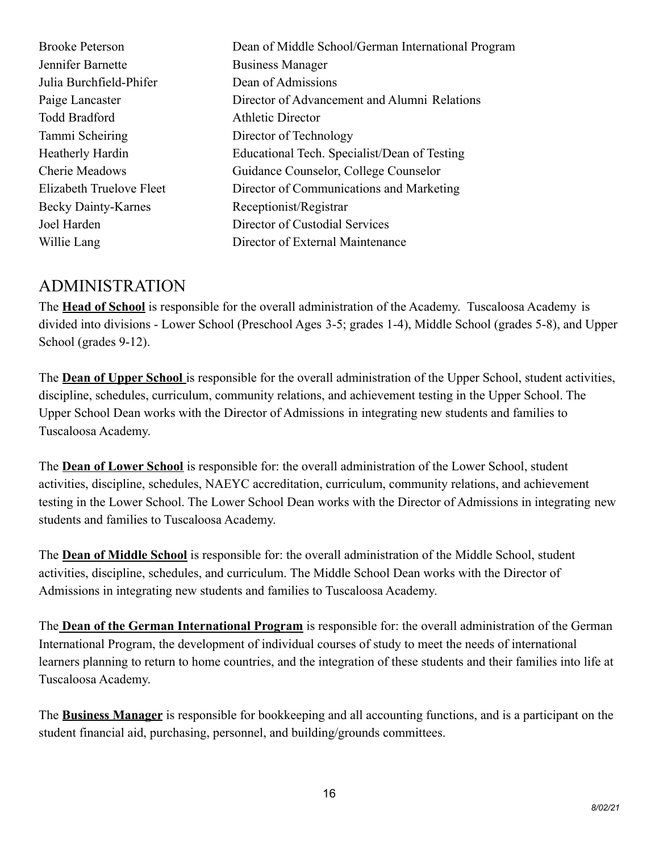Brooke Peterson Dean of Middle School/German International Program **Jennifer Barnette** Business Manager Julia Burchfield-Phifer Dean of Admissions Paige Lancaster Director of Advancement and Alumni Relations Todd Bradford **Athletic Director** Tammi Scheiring Director of Technology Heatherly Hardin Educational Tech. Specialist/Dean of Testing Cherie Meadows Guidance Counselor, College Counselor Elizabeth Truelove Fleet Director of Communications and Marketing Becky Dainty-Karnes Receptionist/Registrar Joel Harden Director of Custodial Services Willie Lang Director of External Maintenance

## <span id="page-15-0"></span>ADMINISTRATION

The **Head of School** is responsible for the overall administration of the Academy. Tuscaloosa Academy is divided into divisions - Lower School (Preschool Ages 3-5; grades 1-4), Middle School (grades 5-8), and Upper School (grades 9-12).

The **Dean of Upper School** is responsible for the overall administration of the Upper School, student activities, discipline, schedules, curriculum, community relations, and achievement testing in the Upper School. The Upper School Dean works with the Director of Admissions in integrating new students and families to Tuscaloosa Academy.

The **Dean of Lower School** is responsible for: the overall administration of the Lower School, student activities, discipline, schedules, NAEYC accreditation, curriculum, community relations, and achievement testing in the Lower School. The Lower School Dean works with the Director of Admissions in integrating new students and families to Tuscaloosa Academy.

The **Dean of Middle School** is responsible for: the overall administration of the Middle School, student activities, discipline, schedules, and curriculum. The Middle School Dean works with the Director of Admissions in integrating new students and families to Tuscaloosa Academy.

The **Dean of the German International Program** is responsible for: the overall administration of the German International Program, the development of individual courses of study to meet the needs of international learners planning to return to home countries, and the integration of these students and their families into life at Tuscaloosa Academy.

The **Business Manager** is responsible for bookkeeping and all accounting functions, and is a participant on the student financial aid, purchasing, personnel, and building/grounds committees.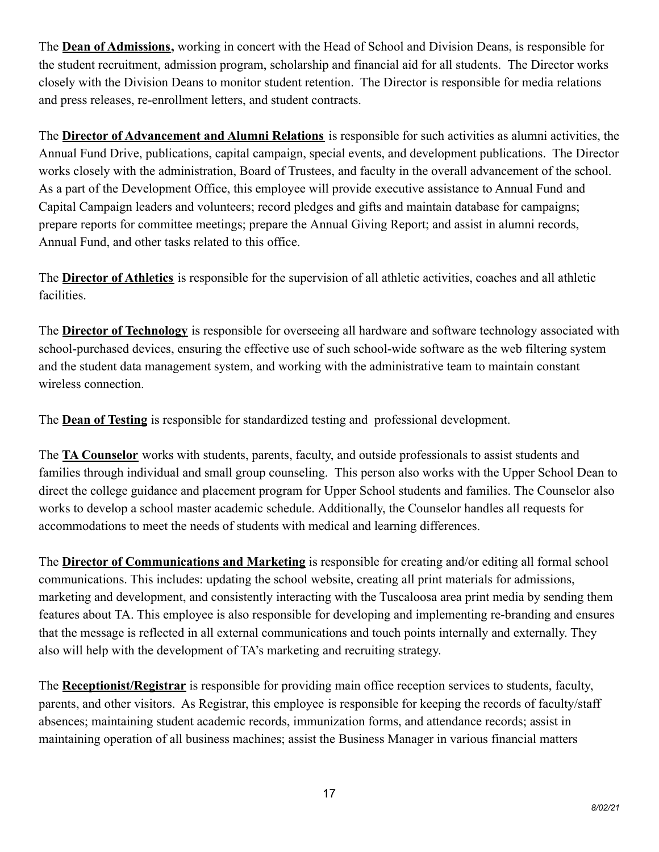The **Dean of Admissions,** working in concert with the Head of School and Division Deans, is responsible for the student recruitment, admission program, scholarship and financial aid for all students. The Director works closely with the Division Deans to monitor student retention. The Director is responsible for media relations and press releases, re-enrollment letters, and student contracts.

The **Director of Advancement and Alumni Relations** is responsible for such activities as alumni activities, the Annual Fund Drive, publications, capital campaign, special events, and development publications. The Director works closely with the administration, Board of Trustees, and faculty in the overall advancement of the school. As a part of the Development Office, this employee will provide executive assistance to Annual Fund and Capital Campaign leaders and volunteers; record pledges and gifts and maintain database for campaigns; prepare reports for committee meetings; prepare the Annual Giving Report; and assist in alumni records, Annual Fund, and other tasks related to this office.

The **Director of Athletics** is responsible for the supervision of all athletic activities, coaches and all athletic facilities.

The **Director of Technology** is responsible for overseeing all hardware and software technology associated with school-purchased devices, ensuring the effective use of such school-wide software as the web filtering system and the student data management system, and working with the administrative team to maintain constant wireless connection.

The **Dean of Testing** is responsible for standardized testing and professional development.

The **TA Counselor** works with students, parents, faculty, and outside professionals to assist students and families through individual and small group counseling. This person also works with the Upper School Dean to direct the college guidance and placement program for Upper School students and families. The Counselor also works to develop a school master academic schedule. Additionally, the Counselor handles all requests for accommodations to meet the needs of students with medical and learning differences.

The **Director of Communications and Marketing** is responsible for creating and/or editing all formal school communications. This includes: updating the school website, creating all print materials for admissions, marketing and development, and consistently interacting with the Tuscaloosa area print media by sending them features about TA. This employee is also responsible for developing and implementing re-branding and ensures that the message is reflected in all external communications and touch points internally and externally. They also will help with the development of TA's marketing and recruiting strategy.

The **Receptionist/Registrar** is responsible for providing main office reception services to students, faculty, parents, and other visitors. As Registrar, this employee is responsible for keeping the records of faculty/staff absences; maintaining student academic records, immunization forms, and attendance records; assist in maintaining operation of all business machines; assist the Business Manager in various financial matters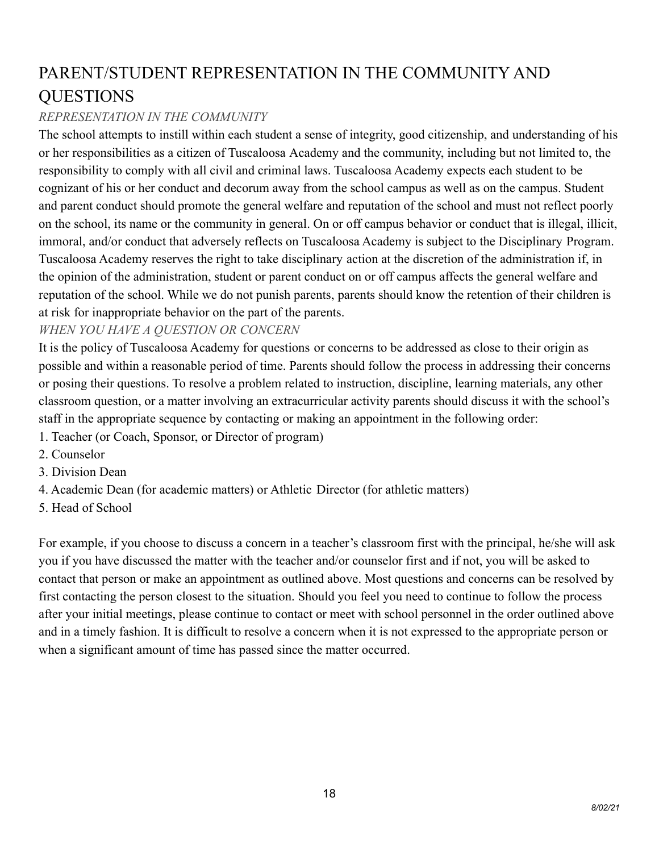## <span id="page-17-0"></span>PARENT/STUDENT REPRESENTATION IN THE COMMUNITY AND **OUESTIONS**

#### <span id="page-17-1"></span>*REPRESENTATION IN THE COMMUNITY*

The school attempts to instill within each student a sense of integrity, good citizenship, and understanding of his or her responsibilities as a citizen of Tuscaloosa Academy and the community, including but not limited to, the responsibility to comply with all civil and criminal laws. Tuscaloosa Academy expects each student to be cognizant of his or her conduct and decorum away from the school campus as well as on the campus. Student and parent conduct should promote the general welfare and reputation of the school and must not reflect poorly on the school, its name or the community in general. On or off campus behavior or conduct that is illegal, illicit, immoral, and/or conduct that adversely reflects on Tuscaloosa Academy is subject to the Disciplinary Program. Tuscaloosa Academy reserves the right to take disciplinary action at the discretion of the administration if, in the opinion of the administration, student or parent conduct on or off campus affects the general welfare and reputation of the school. While we do not punish parents, parents should know the retention of their children is at risk for inappropriate behavior on the part of the parents.

#### <span id="page-17-2"></span>*WHEN YOU HAVE A QUESTION OR CONCERN*

It is the policy of Tuscaloosa Academy for questions or concerns to be addressed as close to their origin as possible and within a reasonable period of time. Parents should follow the process in addressing their concerns or posing their questions. To resolve a problem related to instruction, discipline, learning materials, any other classroom question, or a matter involving an extracurricular activity parents should discuss it with the school's staff in the appropriate sequence by contacting or making an appointment in the following order:

- 1. Teacher (or Coach, Sponsor, or Director of program)
- 2. Counselor
- 3. Division Dean
- 4. Academic Dean (for academic matters) or Athletic Director (for athletic matters)
- 5. Head of School

For example, if you choose to discuss a concern in a teacher's classroom first with the principal, he/she will ask you if you have discussed the matter with the teacher and/or counselor first and if not, you will be asked to contact that person or make an appointment as outlined above. Most questions and concerns can be resolved by first contacting the person closest to the situation. Should you feel you need to continue to follow the process after your initial meetings, please continue to contact or meet with school personnel in the order outlined above and in a timely fashion. It is difficult to resolve a concern when it is not expressed to the appropriate person or when a significant amount of time has passed since the matter occurred.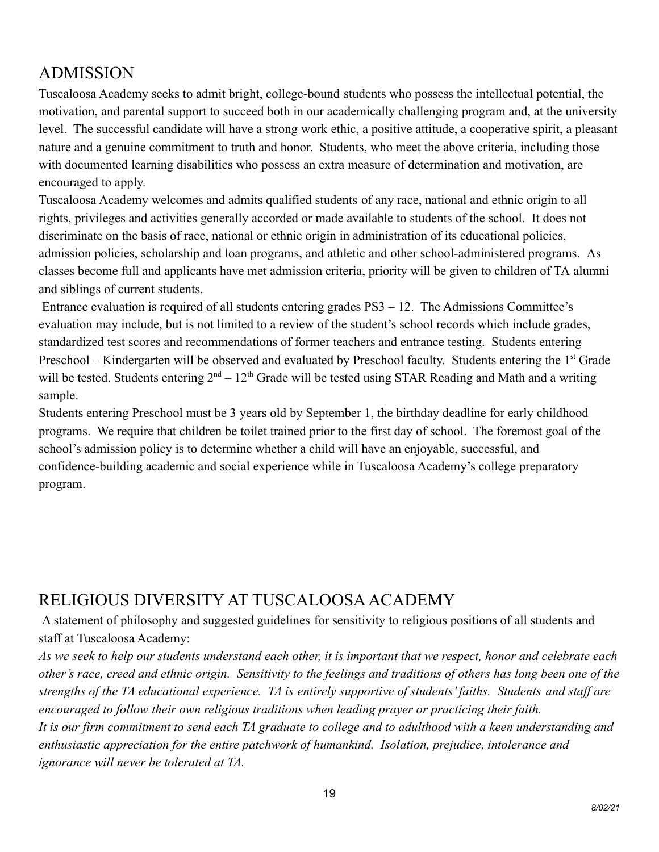## <span id="page-18-0"></span>ADMISSION

Tuscaloosa Academy seeks to admit bright, college-bound students who possess the intellectual potential, the motivation, and parental support to succeed both in our academically challenging program and, at the university level. The successful candidate will have a strong work ethic, a positive attitude, a cooperative spirit, a pleasant nature and a genuine commitment to truth and honor. Students, who meet the above criteria, including those with documented learning disabilities who possess an extra measure of determination and motivation, are encouraged to apply.

Tuscaloosa Academy welcomes and admits qualified students of any race, national and ethnic origin to all rights, privileges and activities generally accorded or made available to students of the school. It does not discriminate on the basis of race, national or ethnic origin in administration of its educational policies, admission policies, scholarship and loan programs, and athletic and other school-administered programs. As classes become full and applicants have met admission criteria, priority will be given to children of TA alumni and siblings of current students.

Entrance evaluation is required of all students entering grades PS3 – 12. The Admissions Committee's evaluation may include, but is not limited to a review of the student's school records which include grades, standardized test scores and recommendations of former teachers and entrance testing. Students entering Preschool – Kindergarten will be observed and evaluated by Preschool faculty. Students entering the 1<sup>st</sup> Grade will be tested. Students entering  $2<sup>nd</sup> - 12<sup>th</sup>$  Grade will be tested using STAR Reading and Math and a writing sample.

Students entering Preschool must be 3 years old by September 1, the birthday deadline for early childhood programs. We require that children be toilet trained prior to the first day of school. The foremost goal of the school's admission policy is to determine whether a child will have an enjoyable, successful, and confidence-building academic and social experience while in Tuscaloosa Academy's college preparatory program.

## RELIGIOUS DIVERSITY AT TUSCALOOSAACADEMY

A statement of philosophy and suggested guidelines for sensitivity to religious positions of all students and staff at Tuscaloosa Academy:

*As we seek to help our students understand each other, it is important that we respect, honor and celebrate each other's race, creed and ethnic origin. Sensitivity to the feelings and traditions of others has long been one of the strengths of the TA educational experience. TA is entirely supportive of students' faiths. Students and staff are encouraged to follow their own religious traditions when leading prayer or practicing their faith.*

*It is our firm commitment to send each TA graduate to college and to adulthood with a keen understanding and enthusiastic appreciation for the entire patchwork of humankind. Isolation, prejudice, intolerance and ignorance will never be tolerated at TA.*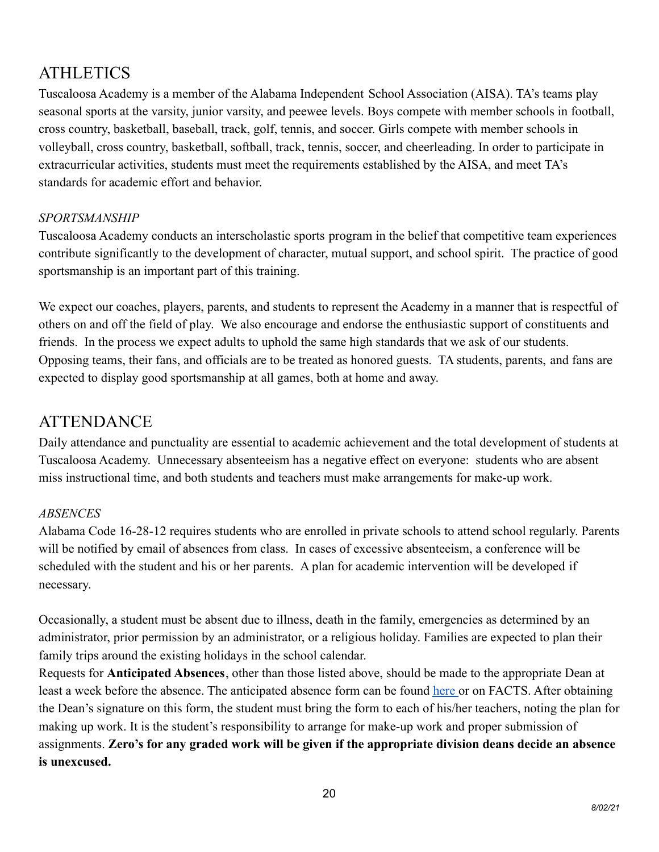## <span id="page-19-0"></span>ATHLETICS

Tuscaloosa Academy is a member of the Alabama Independent School Association (AISA). TA's teams play seasonal sports at the varsity, junior varsity, and peewee levels. Boys compete with member schools in football, cross country, basketball, baseball, track, golf, tennis, and soccer. Girls compete with member schools in volleyball, cross country, basketball, softball, track, tennis, soccer, and cheerleading. In order to participate in extracurricular activities, students must meet the requirements established by the AISA, and meet TA's standards for academic effort and behavior.

#### <span id="page-19-1"></span>*SPORTSMANSHIP*

Tuscaloosa Academy conducts an interscholastic sports program in the belief that competitive team experiences contribute significantly to the development of character, mutual support, and school spirit. The practice of good sportsmanship is an important part of this training.

We expect our coaches, players, parents, and students to represent the Academy in a manner that is respectful of others on and off the field of play. We also encourage and endorse the enthusiastic support of constituents and friends. In the process we expect adults to uphold the same high standards that we ask of our students. Opposing teams, their fans, and officials are to be treated as honored guests. TA students, parents, and fans are expected to display good sportsmanship at all games, both at home and away.

## <span id="page-19-2"></span>ATTENDANCE

Daily attendance and punctuality are essential to academic achievement and the total development of students at Tuscaloosa Academy. Unnecessary absenteeism has a negative effect on everyone: students who are absent miss instructional time, and both students and teachers must make arrangements for make-up work.

#### <span id="page-19-3"></span>*ABSENCES*

Alabama Code 16-28-12 requires students who are enrolled in private schools to attend school regularly. Parents will be notified by email of absences from class. In cases of excessive absenteeism, a conference will be scheduled with the student and his or her parents. A plan for academic intervention will be developed if necessary.

Occasionally, a student must be absent due to illness, death in the family, emergencies as determined by an administrator, prior permission by an administrator, or a religious holiday. Families are expected to plan their family trips around the existing holidays in the school calendar.

Requests for **Anticipated Absences**, other than those listed above, should be made to the appropriate Dean at least a week before the absence. The anticipated absence form can be found [here](https://docs.google.com/document/d/10LX1dDMFfA55JAOdhto7rD-4GUQ5hy0GFfiZYTsY8DM/edit?usp=sharing) or on FACTS. After obtaining the Dean's signature on this form, the student must bring the form to each of his/her teachers, noting the plan for making up work. It is the student's responsibility to arrange for make-up work and proper submission of assignments. **Zero's for any graded work will be given if the appropriate division deans decide an absence is unexcused.**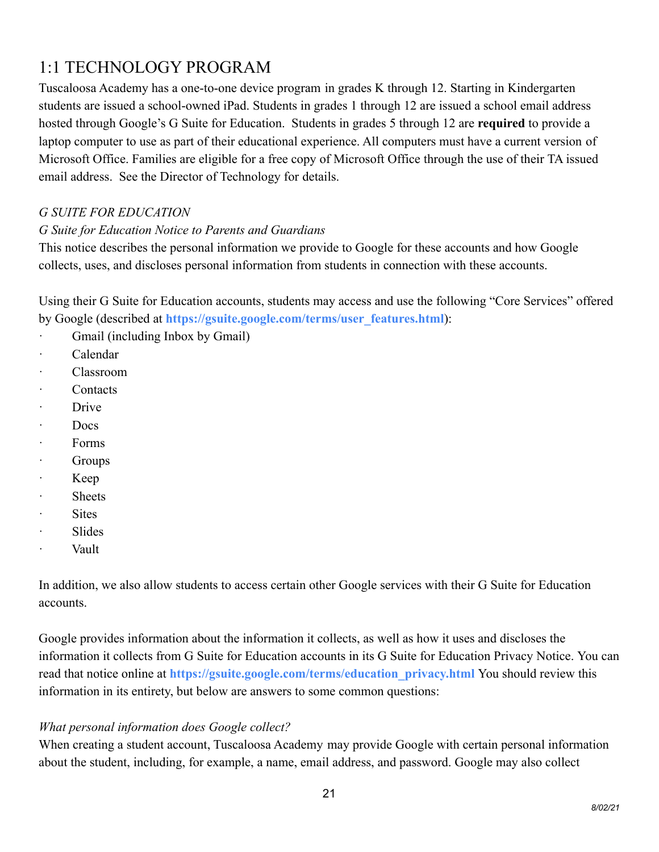## <span id="page-20-0"></span>1:1 TECHNOLOGY PROGRAM

Tuscaloosa Academy has a one-to-one device program in grades K through 12. Starting in Kindergarten students are issued a school-owned iPad. Students in grades 1 through 12 are issued a school email address hosted through Google's G Suite for Education. Students in grades 5 through 12 are **required** to provide a laptop computer to use as part of their educational experience. All computers must have a current version of Microsoft Office. Families are eligible for a free copy of Microsoft Office through the use of their TA issued email address. See the Director of Technology for details.

#### *G SUITE FOR EDUCATION*

#### *G Suite for Education Notice to Parents and Guardians*

This notice describes the personal information we provide to Google for these accounts and how Google collects, uses, and discloses personal information from students in connection with these accounts.

Using their G Suite for Education accounts, students may access and use the following "Core Services" offered by Google (described at **[https://gsuite.google.com/terms/user\\_features.html](https://gsuite.google.com/terms/user_features.html)**):

- Gmail (including Inbox by Gmail)
- · Calendar
- · Classroom
- **Contacts**
- · Drive
- · Docs
- · Forms
- · Groups
- · Keep
- · Sheets
- · Sites
- · Slides
- · Vault

In addition, we also allow students to access certain other Google services with their G Suite for Education accounts.

Google provides information about the information it collects, as well as how it uses and discloses the information it collects from G Suite for Education accounts in its G Suite for Education Privacy Notice. You can read that notice online at **[https://gsuite.google.com/terms/education\\_privacy.html](https://gsuite.google.com/terms/education_privacy.html)** You should review this information in its entirety, but below are answers to some common questions:

#### *What personal information does Google collect?*

When creating a student account, Tuscaloosa Academy may provide Google with certain personal information about the student, including, for example, a name, email address, and password. Google may also collect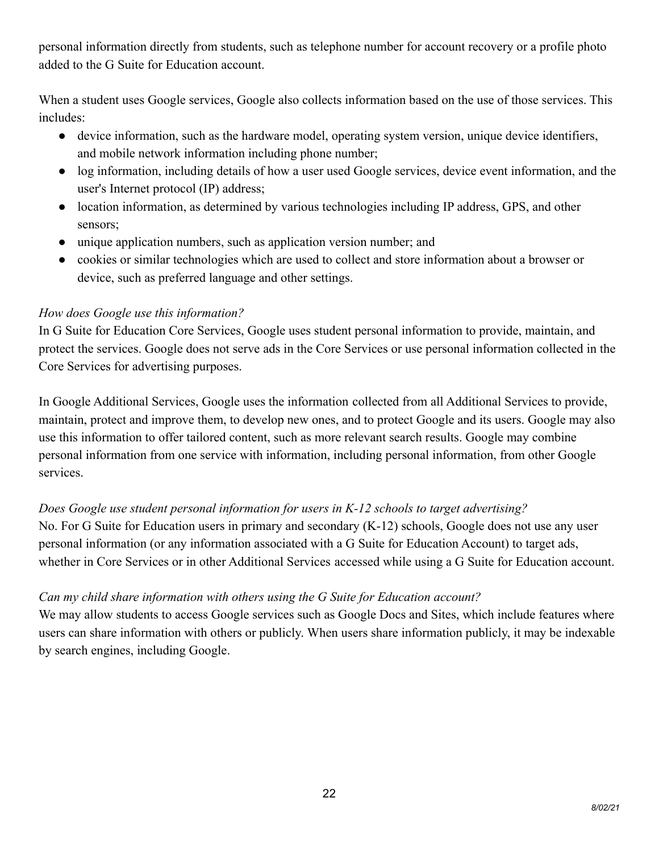personal information directly from students, such as telephone number for account recovery or a profile photo added to the G Suite for Education account.

When a student uses Google services, Google also collects information based on the use of those services. This includes:

- device information, such as the hardware model, operating system version, unique device identifiers, and mobile network information including phone number;
- log information, including details of how a user used Google services, device event information, and the user's Internet protocol (IP) address;
- location information, as determined by various technologies including IP address, GPS, and other sensors;
- unique application numbers, such as application version number; and
- cookies or similar technologies which are used to collect and store information about a browser or device, such as preferred language and other settings.

#### *How does Google use this information?*

In G Suite for Education Core Services, Google uses student personal information to provide, maintain, and protect the services. Google does not serve ads in the Core Services or use personal information collected in the Core Services for advertising purposes.

In Google Additional Services, Google uses the information collected from all Additional Services to provide, maintain, protect and improve them, to develop new ones, and to protect Google and its users. Google may also use this information to offer tailored content, such as more relevant search results. Google may combine personal information from one service with information, including personal information, from other Google services.

#### *Does Google use student personal information for users in K-12 schools to target advertising?*

No. For G Suite for Education users in primary and secondary (K-12) schools, Google does not use any user personal information (or any information associated with a G Suite for Education Account) to target ads, whether in Core Services or in other Additional Services accessed while using a G Suite for Education account.

#### *Can my child share information with others using the G Suite for Education account?*

We may allow students to access Google services such as Google Docs and Sites, which include features where users can share information with others or publicly. When users share information publicly, it may be indexable by search engines, including Google.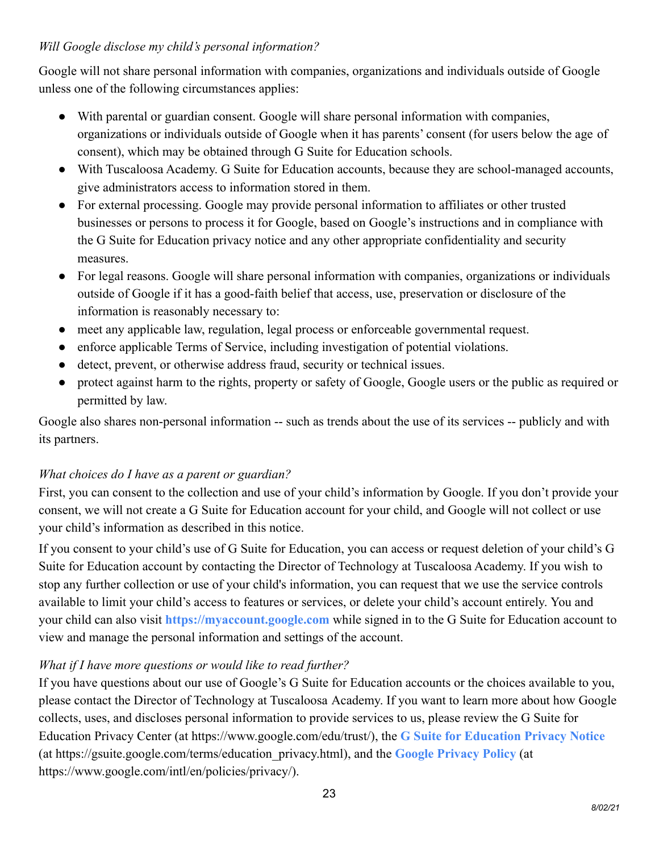#### *Will Google disclose my child's personal information?*

Google will not share personal information with companies, organizations and individuals outside of Google unless one of the following circumstances applies:

- With parental or guardian consent. Google will share personal information with companies, organizations or individuals outside of Google when it has parents' consent (for users below the age of consent), which may be obtained through G Suite for Education schools.
- With Tuscaloosa Academy. G Suite for Education accounts, because they are school-managed accounts, give administrators access to information stored in them.
- For external processing. Google may provide personal information to affiliates or other trusted businesses or persons to process it for Google, based on Google's instructions and in compliance with the G Suite for Education privacy notice and any other appropriate confidentiality and security measures.
- For legal reasons. Google will share personal information with companies, organizations or individuals outside of Google if it has a good-faith belief that access, use, preservation or disclosure of the information is reasonably necessary to:
- meet any applicable law, regulation, legal process or enforceable governmental request.
- enforce applicable Terms of Service, including investigation of potential violations.
- detect, prevent, or otherwise address fraud, security or technical issues.
- protect against harm to the rights, property or safety of Google, Google users or the public as required or permitted by law.

Google also shares non-personal information -- such as trends about the use of its services -- publicly and with its partners.

#### *What choices do I have as a parent or guardian?*

First, you can consent to the collection and use of your child's information by Google. If you don't provide your consent, we will not create a G Suite for Education account for your child, and Google will not collect or use your child's information as described in this notice.

If you consent to your child's use of G Suite for Education, you can access or request deletion of your child's G Suite for Education account by contacting the Director of Technology at Tuscaloosa Academy. If you wish to stop any further collection or use of your child's information, you can request that we use the service controls available to limit your child's access to features or services, or delete your child's account entirely. You and your child can also visit **[https://myaccount.google.com](https://myaccount.google.com/)** while signed in to the G Suite for Education account to view and manage the personal information and settings of the account.

#### *What if I have more questions or would like to read further?*

If you have questions about our use of Google's G Suite for Education accounts or the choices available to you, please contact the Director of Technology at Tuscaloosa Academy. If you want to learn more about how Google collects, uses, and discloses personal information to provide services to us, please review the [G Suite](https://www.google.com/edu/trust/) for [Education Privacy Center](https://www.google.com/edu/trust/) (at https://www.google.com/edu/trust/), the **[G Suite for Education Privacy Notice](https://gsuite.google.com/terms/education_privacy.html)** (at https://gsuite.google.com/terms/education\_privacy.html), and the **[Google Privacy Policy](https://www.google.com/intl/en/policies/privacy/)** (at https://www.google.com/intl/en/policies/privacy/).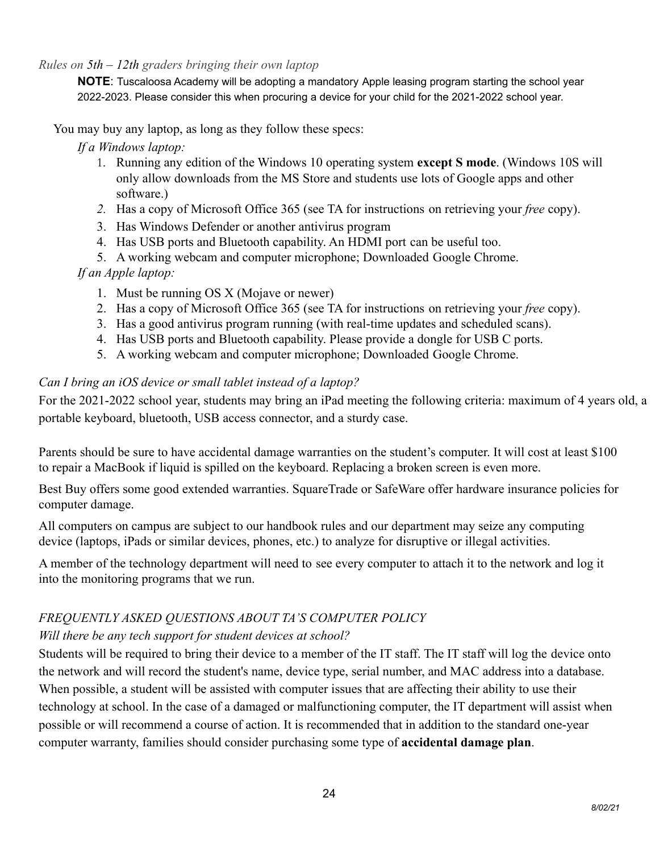#### <span id="page-23-0"></span>*Rules on 5th – 12th graders bringing their own laptop*

**NOTE**: Tuscaloosa Academy will be adopting a mandatory Apple leasing program starting the school year 2022-2023. Please consider this when procuring a device for your child for the 2021-2022 school year.

You may buy any laptop, as long as they follow these specs:

*If a Windows laptop:*

- 1. Running any edition of the Windows 10 operating system **except S mode**. (Windows 10S will only allow downloads from the MS Store and students use lots of Google apps and other software.)
- *2.* Has a copy of Microsoft Office 365 (see TA for instructions on retrieving your *free* copy).
- 3. Has Windows Defender or another antivirus program
- 4. Has USB ports and Bluetooth capability. An HDMI port can be useful too.
- 5. A working webcam and computer microphone; Downloaded Google Chrome.

*If an Apple laptop:*

- 1. Must be running OS X (Mojave or newer)
- 2. Has a copy of Microsoft Office 365 (see TA for instructions on retrieving your *free* copy).
- 3. Has a good antivirus program running (with real-time updates and scheduled scans).
- 4. Has USB ports and Bluetooth capability. Please provide a dongle for USB C ports.
- 5. A working webcam and computer microphone; Downloaded Google Chrome.

#### *Can I bring an iOS device or small tablet instead of a laptop?*

For the 2021-2022 school year, students may bring an iPad meeting the following criteria: maximum of 4 years old, a portable keyboard, bluetooth, USB access connector, and a sturdy case.

Parents should be sure to have accidental damage warranties on the student's computer. It will cost at least \$100 to repair a MacBook if liquid is spilled on the keyboard. Replacing a broken screen is even more.

Best Buy offers some good extended warranties. SquareTrade or SafeWare offer hardware insurance policies for computer damage.

All computers on campus are subject to our handbook rules and our department may seize any computing device (laptops, iPads or similar devices, phones, etc.) to analyze for disruptive or illegal activities.

A member of the technology department will need to see every computer to attach it to the network and log it into the monitoring programs that we run.

#### <span id="page-23-1"></span>*FREQUENTLY ASKED QUESTIONS ABOUT TA'S COMPUTER POLICY*

#### *Will there be any tech support for student devices at school?*

Students will be required to bring their device to a member of the IT staff. The IT staff will log the device onto the network and will record the student's name, device type, serial number, and MAC address into a database. When possible, a student will be assisted with computer issues that are affecting their ability to use their technology at school. In the case of a damaged or malfunctioning computer, the IT department will assist when possible or will recommend a course of action. It is recommended that in addition to the standard one-year computer warranty, families should consider purchasing some type of **accidental damage plan**.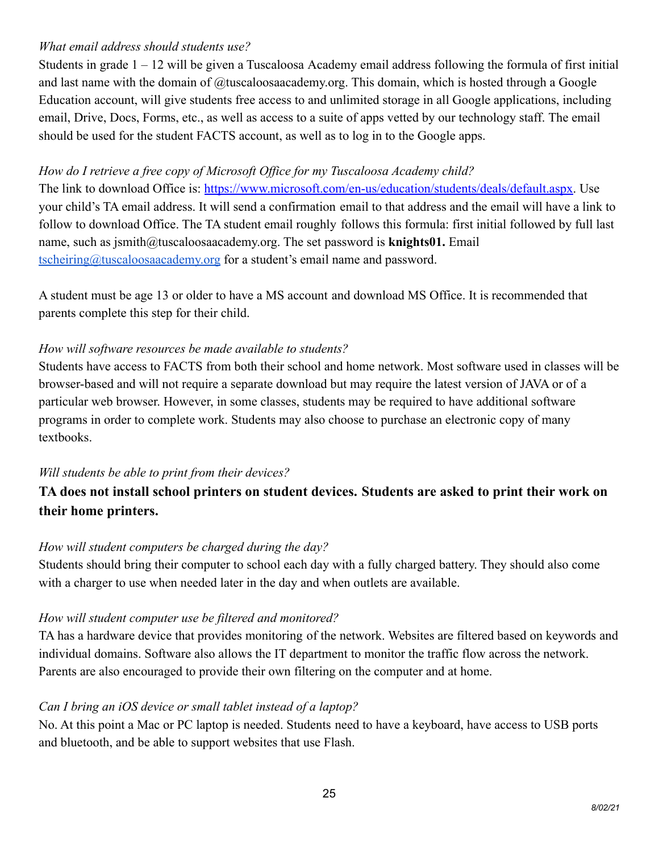#### *What email address should students use?*

Students in grade  $1 - 12$  will be given a Tuscaloosa Academy email address following the formula of first initial and last name with the domain of @tuscaloosaacademy.org. This domain, which is hosted through a Google Education account, will give students free access to and unlimited storage in all Google applications, including email, Drive, Docs, Forms, etc., as well as access to a suite of apps vetted by our technology staff. The email should be used for the student FACTS account, as well as to log in to the Google apps.

#### *How do I retrieve a free copy of Microsoft Office for my Tuscaloosa Academy child?*

The link to download Office is: [https://www.microsoft.com/en-us/education/students/deals/default.aspx.](https://www.microsoft.com/en-us/education/students/deals/default.aspx) Use your child's TA email address. It will send a confirmation email to that address and the email will have a link to follow to download Office. The TA student email roughly follows this formula: first initial followed by full last name, such as jsmith@tuscaloosaacademy.org. The set password is **knights01.** Email [tscheiring@tuscaloosaacademy.org](mailto:tscheiring@tuscaloosaacademy.org) for a student's email name and password.

A student must be age 13 or older to have a MS account and download MS Office. It is recommended that parents complete this step for their child.

#### *How will software resources be made available to students?*

Students have access to FACTS from both their school and home network. Most software used in classes will be browser-based and will not require a separate download but may require the latest version of JAVA or of a particular web browser. However, in some classes, students may be required to have additional software programs in order to complete work. Students may also choose to purchase an electronic copy of many textbooks.

#### *Will students be able to print from their devices?*

### **TA does not install school printers on student devices. Students are asked to print their work on their home printers.**

#### *How will student computers be charged during the day?*

Students should bring their computer to school each day with a fully charged battery. They should also come with a charger to use when needed later in the day and when outlets are available.

#### *How will student computer use be filtered and monitored?*

TA has a hardware device that provides monitoring of the network. Websites are filtered based on keywords and individual domains. Software also allows the IT department to monitor the traffic flow across the network. Parents are also encouraged to provide their own filtering on the computer and at home.

#### *Can I bring an iOS device or small tablet instead of a laptop?*

No. At this point a Mac or PC laptop is needed. Students need to have a keyboard, have access to USB ports and bluetooth, and be able to support websites that use Flash.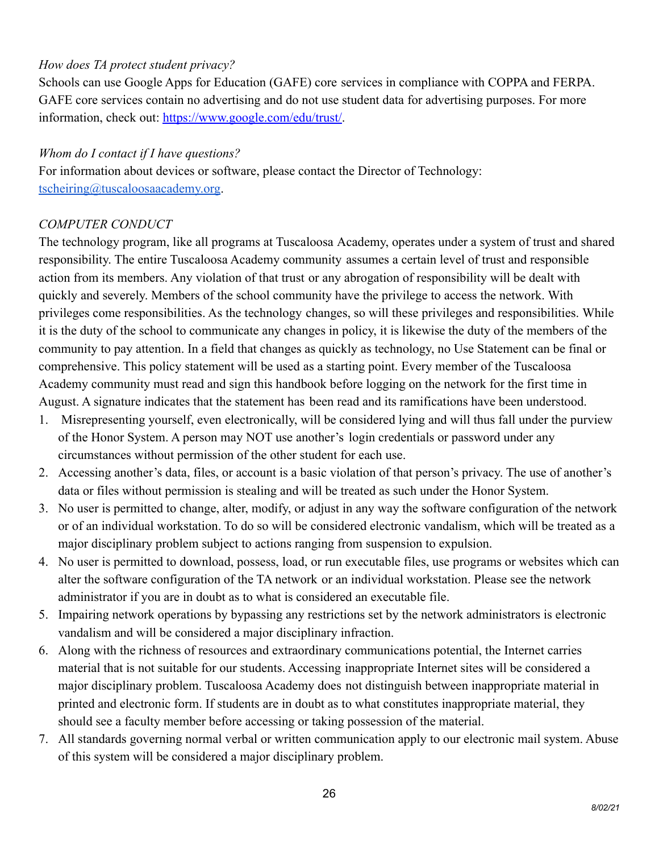#### *How does TA protect student privacy?*

Schools can use Google Apps for Education (GAFE) core services in compliance with COPPA and FERPA. GAFE core services contain no advertising and do not use student data for advertising purposes. For more information, check out: [https://www.google.com/edu/trust/.](https://www.google.com/edu/trust/)

#### *Whom do I contact if I have questions?*

For information about devices or software, please contact the Director of Technology: [tscheiring@tuscaloosaacademy.org.](mailto:tscheiring@tuscaloosaacademy.org)

#### <span id="page-25-0"></span>*COMPUTER CONDUCT*

The technology program, like all programs at Tuscaloosa Academy, operates under a system of trust and shared responsibility. The entire Tuscaloosa Academy community assumes a certain level of trust and responsible action from its members. Any violation of that trust or any abrogation of responsibility will be dealt with quickly and severely. Members of the school community have the privilege to access the network. With privileges come responsibilities. As the technology changes, so will these privileges and responsibilities. While it is the duty of the school to communicate any changes in policy, it is likewise the duty of the members of the community to pay attention. In a field that changes as quickly as technology, no Use Statement can be final or comprehensive. This policy statement will be used as a starting point. Every member of the Tuscaloosa Academy community must read and sign this handbook before logging on the network for the first time in August. A signature indicates that the statement has been read and its ramifications have been understood.

- 1. Misrepresenting yourself, even electronically, will be considered lying and will thus fall under the purview of the Honor System. A person may NOT use another's login credentials or password under any circumstances without permission of the other student for each use.
- 2. Accessing another's data, files, or account is a basic violation of that person's privacy. The use of another's data or files without permission is stealing and will be treated as such under the Honor System.
- 3. No user is permitted to change, alter, modify, or adjust in any way the software configuration of the network or of an individual workstation. To do so will be considered electronic vandalism, which will be treated as a major disciplinary problem subject to actions ranging from suspension to expulsion.
- 4. No user is permitted to download, possess, load, or run executable files, use programs or websites which can alter the software configuration of the TA network or an individual workstation. Please see the network administrator if you are in doubt as to what is considered an executable file.
- 5. Impairing network operations by bypassing any restrictions set by the network administrators is electronic vandalism and will be considered a major disciplinary infraction.
- 6. Along with the richness of resources and extraordinary communications potential, the Internet carries material that is not suitable for our students. Accessing inappropriate Internet sites will be considered a major disciplinary problem. Tuscaloosa Academy does not distinguish between inappropriate material in printed and electronic form. If students are in doubt as to what constitutes inappropriate material, they should see a faculty member before accessing or taking possession of the material.
- 7. All standards governing normal verbal or written communication apply to our electronic mail system. Abuse of this system will be considered a major disciplinary problem.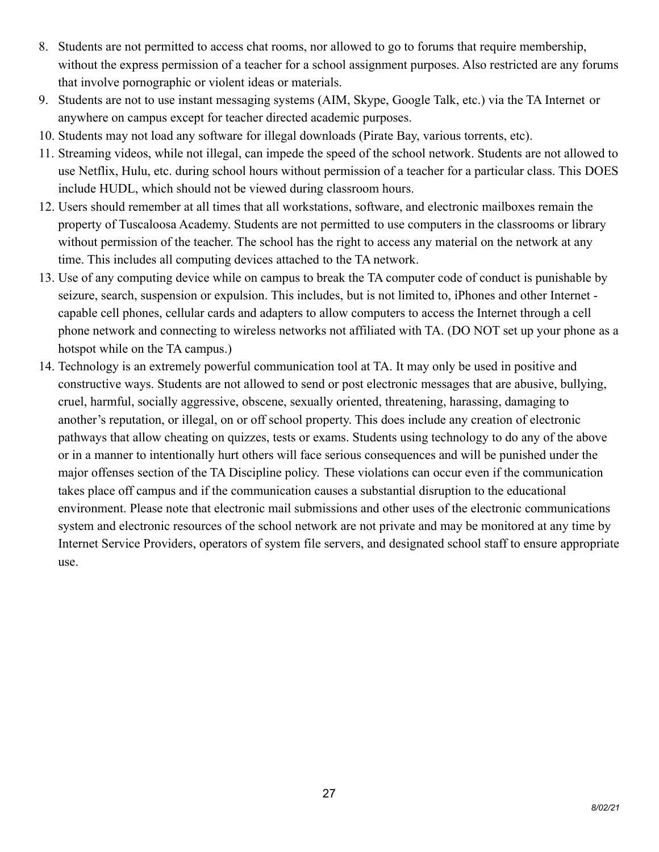- 8. Students are not permitted to access chat rooms, nor allowed to go to forums that require membership, without the express permission of a teacher for a school assignment purposes. Also restricted are any forums that involve pornographic or violent ideas or materials.
- 9. Students are not to use instant messaging systems (AIM, Skype, Google Talk, etc.) via the TA Internet or anywhere on campus except for teacher directed academic purposes.
- 10. Students may not load any software for illegal downloads (Pirate Bay, various torrents, etc).
- 11. Streaming videos, while not illegal, can impede the speed of the school network. Students are not allowed to use Netflix, Hulu, etc. during school hours without permission of a teacher for a particular class. This DOES include HUDL, which should not be viewed during classroom hours.
- 12. Users should remember at all times that all workstations, software, and electronic mailboxes remain the property of Tuscaloosa Academy. Students are not permitted to use computers in the classrooms or library without permission of the teacher. The school has the right to access any material on the network at any time. This includes all computing devices attached to the TA network.
- 13. Use of any computing device while on campus to break the TA computer code of conduct is punishable by seizure, search, suspension or expulsion. This includes, but is not limited to, iPhones and other Internet capable cell phones, cellular cards and adapters to allow computers to access the Internet through a cell phone network and connecting to wireless networks not affiliated with TA. (DO NOT set up your phone as a hotspot while on the TA campus.)
- <span id="page-26-0"></span>14. Technology is an extremely powerful communication tool at TA. It may only be used in positive and constructive ways. Students are not allowed to send or post electronic messages that are abusive, bullying, cruel, harmful, socially aggressive, obscene, sexually oriented, threatening, harassing, damaging to another's reputation, or illegal, on or off school property. This does include any creation of electronic pathways that allow cheating on quizzes, tests or exams. Students using technology to do any of the above or in a manner to intentionally hurt others will face serious consequences and will be punished under the major offenses section of the TA Discipline policy. These violations can occur even if the communication takes place off campus and if the communication causes a substantial disruption to the educational environment. Please note that electronic mail submissions and other uses of the electronic communications system and electronic resources of the school network are not private and may be monitored at any time by Internet Service Providers, operators of system file servers, and designated school staff to ensure appropriate use.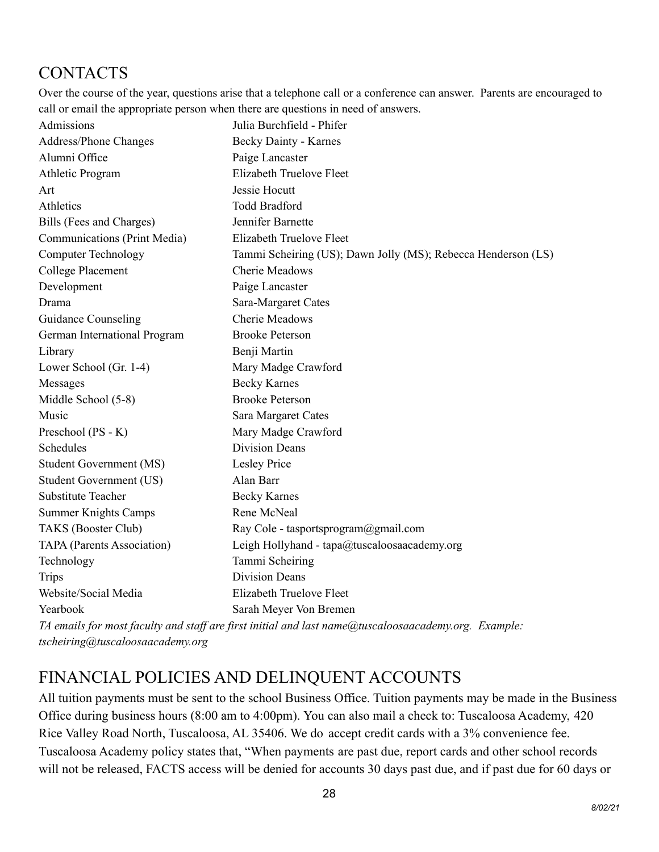## **CONTACTS**

Over the course of the year, questions arise that a telephone call or a conference can answer. Parents are encouraged to call or email the appropriate person when there are questions in need of answers.

| Admissions                                                                                           | Julia Burchfield - Phifer                                     |  |  |
|------------------------------------------------------------------------------------------------------|---------------------------------------------------------------|--|--|
| Address/Phone Changes                                                                                | Becky Dainty - Karnes                                         |  |  |
| Alumni Office                                                                                        | Paige Lancaster                                               |  |  |
| Athletic Program                                                                                     | <b>Elizabeth Truelove Fleet</b>                               |  |  |
| Art                                                                                                  | Jessie Hocutt                                                 |  |  |
| Athletics                                                                                            | <b>Todd Bradford</b>                                          |  |  |
| Bills (Fees and Charges)                                                                             | Jennifer Barnette                                             |  |  |
| Communications (Print Media)                                                                         | <b>Elizabeth Truelove Fleet</b>                               |  |  |
| <b>Computer Technology</b>                                                                           | Tammi Scheiring (US); Dawn Jolly (MS); Rebecca Henderson (LS) |  |  |
| <b>College Placement</b>                                                                             | <b>Cherie Meadows</b>                                         |  |  |
| Development                                                                                          | Paige Lancaster                                               |  |  |
| Drama                                                                                                | Sara-Margaret Cates                                           |  |  |
| <b>Guidance Counseling</b>                                                                           | <b>Cherie Meadows</b>                                         |  |  |
| German International Program                                                                         | <b>Brooke Peterson</b>                                        |  |  |
| Library                                                                                              | Benji Martin                                                  |  |  |
| Lower School (Gr. 1-4)                                                                               | Mary Madge Crawford                                           |  |  |
| Messages                                                                                             | <b>Becky Karnes</b>                                           |  |  |
| Middle School (5-8)                                                                                  | <b>Brooke Peterson</b>                                        |  |  |
| Music                                                                                                | Sara Margaret Cates                                           |  |  |
| Preschool (PS - K)                                                                                   | Mary Madge Crawford                                           |  |  |
| Schedules                                                                                            | <b>Division Deans</b>                                         |  |  |
| <b>Student Government (MS)</b>                                                                       | Lesley Price                                                  |  |  |
| <b>Student Government (US)</b>                                                                       | Alan Barr                                                     |  |  |
| <b>Substitute Teacher</b>                                                                            | <b>Becky Karnes</b>                                           |  |  |
| <b>Summer Knights Camps</b>                                                                          | Rene McNeal                                                   |  |  |
| TAKS (Booster Club)                                                                                  | Ray Cole - tasportsprogram@gmail.com                          |  |  |
| <b>TAPA</b> (Parents Association)                                                                    | Leigh Hollyhand - tapa@tuscaloosaacademy.org                  |  |  |
| Technology                                                                                           | Tammi Scheiring                                               |  |  |
| <b>Trips</b>                                                                                         | <b>Division Deans</b>                                         |  |  |
| Website/Social Media                                                                                 | <b>Elizabeth Truelove Fleet</b>                               |  |  |
| Yearbook                                                                                             | Sarah Meyer Von Bremen                                        |  |  |
| TA emails for most faculty and staff are first initial and last name@tuscaloosaacademy.org. Example: |                                                               |  |  |

*tscheiring@tuscaloosaacademy.org*

## FINANCIAL POLICIES AND DELINQUENT ACCOUNTS

All tuition payments must be sent to the school Business Office. Tuition payments may be made in the Business Office during business hours (8:00 am to 4:00pm). You can also mail a check to: Tuscaloosa Academy, 420 Rice Valley Road North, Tuscaloosa, AL 35406. We do accept credit cards with a 3% convenience fee. Tuscaloosa Academy policy states that, "When payments are past due, report cards and other school records will not be released, FACTS access will be denied for accounts 30 days past due, and if past due for 60 days or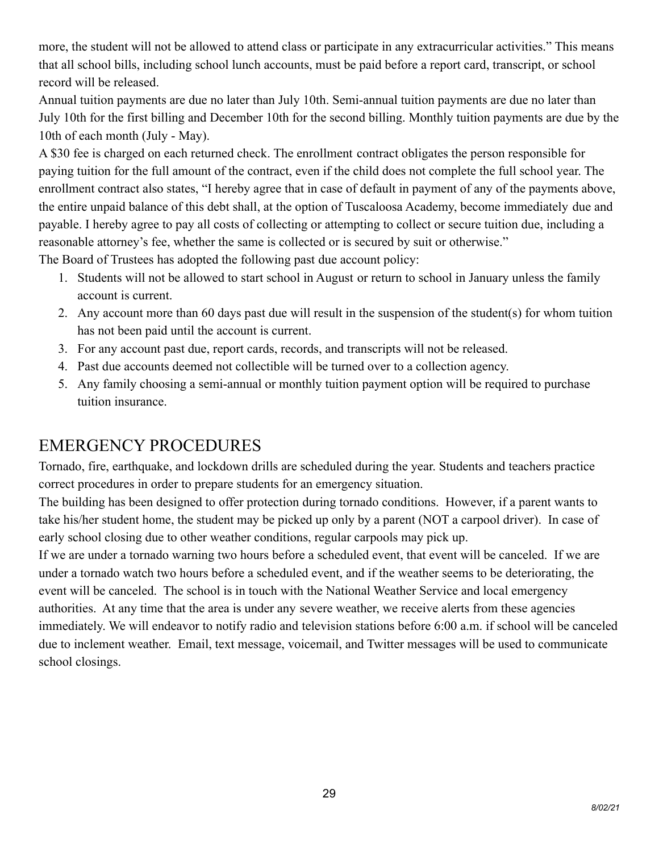more, the student will not be allowed to attend class or participate in any extracurricular activities." This means that all school bills, including school lunch accounts, must be paid before a report card, transcript, or school record will be released.

Annual tuition payments are due no later than July 10th. Semi-annual tuition payments are due no later than July 10th for the first billing and December 10th for the second billing. Monthly tuition payments are due by the 10th of each month (July - May).

A \$30 fee is charged on each returned check. The enrollment contract obligates the person responsible for paying tuition for the full amount of the contract, even if the child does not complete the full school year. The enrollment contract also states, "I hereby agree that in case of default in payment of any of the payments above, the entire unpaid balance of this debt shall, at the option of Tuscaloosa Academy, become immediately due and payable. I hereby agree to pay all costs of collecting or attempting to collect or secure tuition due, including a reasonable attorney's fee, whether the same is collected or is secured by suit or otherwise."

The Board of Trustees has adopted the following past due account policy:

- 1. Students will not be allowed to start school in August or return to school in January unless the family account is current.
- 2. Any account more than 60 days past due will result in the suspension of the student(s) for whom tuition has not been paid until the account is current.
- 3. For any account past due, report cards, records, and transcripts will not be released.
- 4. Past due accounts deemed not collectible will be turned over to a collection agency.
- 5. Any family choosing a semi-annual or monthly tuition payment option will be required to purchase tuition insurance.

## <span id="page-28-0"></span>EMERGENCY PROCEDURES

Tornado, fire, earthquake, and lockdown drills are scheduled during the year. Students and teachers practice correct procedures in order to prepare students for an emergency situation.

The building has been designed to offer protection during tornado conditions. However, if a parent wants to take his/her student home, the student may be picked up only by a parent (NOT a carpool driver). In case of early school closing due to other weather conditions, regular carpools may pick up.

If we are under a tornado warning two hours before a scheduled event, that event will be canceled. If we are under a tornado watch two hours before a scheduled event, and if the weather seems to be deteriorating, the event will be canceled. The school is in touch with the National Weather Service and local emergency authorities. At any time that the area is under any severe weather, we receive alerts from these agencies immediately. We will endeavor to notify radio and television stations before 6:00 a.m. if school will be canceled due to inclement weather. Email, text message, voicemail, and Twitter messages will be used to communicate school closings.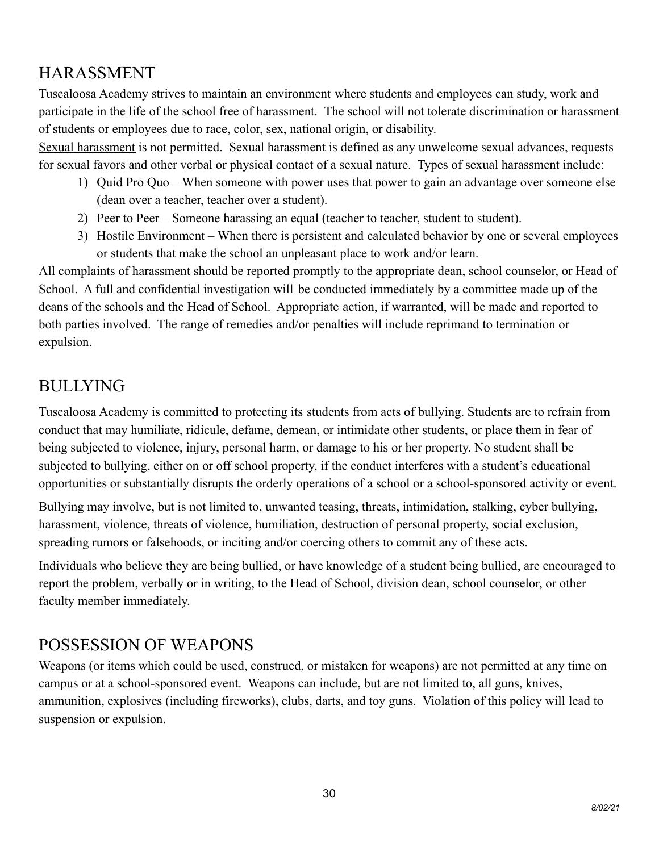## <span id="page-29-0"></span>HARASSMENT

Tuscaloosa Academy strives to maintain an environment where students and employees can study, work and participate in the life of the school free of harassment. The school will not tolerate discrimination or harassment of students or employees due to race, color, sex, national origin, or disability.

Sexual harassment is not permitted. Sexual harassment is defined as any unwelcome sexual advances, requests for sexual favors and other verbal or physical contact of a sexual nature. Types of sexual harassment include:

- 1) Quid Pro Quo When someone with power uses that power to gain an advantage over someone else (dean over a teacher, teacher over a student).
- 2) Peer to Peer Someone harassing an equal (teacher to teacher, student to student).
- 3) Hostile Environment When there is persistent and calculated behavior by one or several employees or students that make the school an unpleasant place to work and/or learn.

All complaints of harassment should be reported promptly to the appropriate dean, school counselor, or Head of School. A full and confidential investigation will be conducted immediately by a committee made up of the deans of the schools and the Head of School. Appropriate action, if warranted, will be made and reported to both parties involved. The range of remedies and/or penalties will include reprimand to termination or expulsion.

## <span id="page-29-1"></span>**BULLYING**

Tuscaloosa Academy is committed to protecting its students from acts of bullying. Students are to refrain from conduct that may humiliate, ridicule, defame, demean, or intimidate other students, or place them in fear of being subjected to violence, injury, personal harm, or damage to his or her property. No student shall be subjected to bullying, either on or off school property, if the conduct interferes with a student's educational opportunities or substantially disrupts the orderly operations of a school or a school-sponsored activity or event.

Bullying may involve, but is not limited to, unwanted teasing, threats, intimidation, stalking, cyber bullying, harassment, violence, threats of violence, humiliation, destruction of personal property, social exclusion, spreading rumors or falsehoods, or inciting and/or coercing others to commit any of these acts.

Individuals who believe they are being bullied, or have knowledge of a student being bullied, are encouraged to report the problem, verbally or in writing, to the Head of School, division dean, school counselor, or other faculty member immediately.

## <span id="page-29-2"></span>POSSESSION OF WEAPONS

Weapons (or items which could be used, construed, or mistaken for weapons) are not permitted at any time on campus or at a school-sponsored event. Weapons can include, but are not limited to, all guns, knives, ammunition, explosives (including fireworks), clubs, darts, and toy guns. Violation of this policy will lead to suspension or expulsion.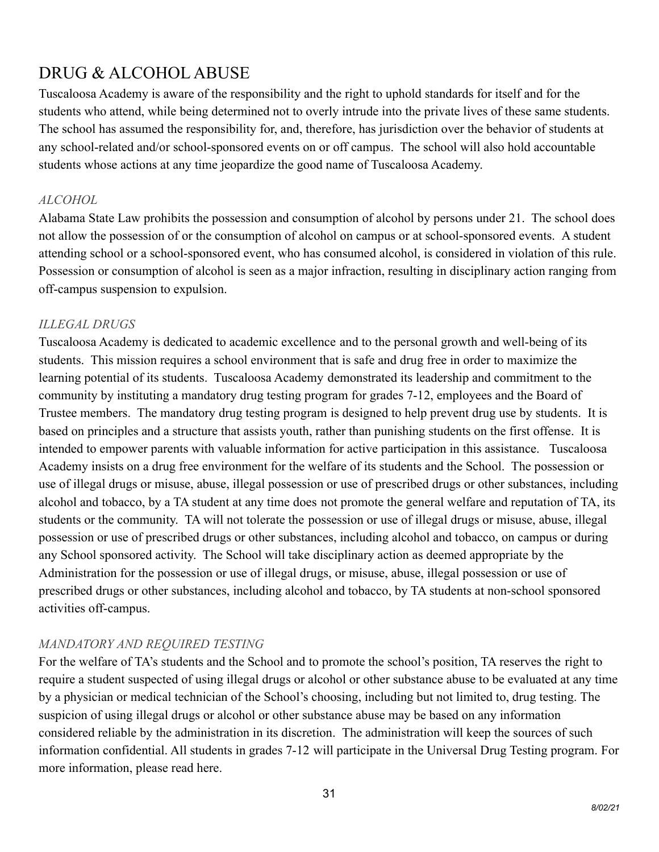## <span id="page-30-0"></span>DRUG & ALCOHOL ABUSE

Tuscaloosa Academy is aware of the responsibility and the right to uphold standards for itself and for the students who attend, while being determined not to overly intrude into the private lives of these same students. The school has assumed the responsibility for, and, therefore, has jurisdiction over the behavior of students at any school-related and/or school-sponsored events on or off campus. The school will also hold accountable students whose actions at any time jeopardize the good name of Tuscaloosa Academy.

#### <span id="page-30-1"></span>*ALCOHOL*

Alabama State Law prohibits the possession and consumption of alcohol by persons under 21. The school does not allow the possession of or the consumption of alcohol on campus or at school-sponsored events. A student attending school or a school-sponsored event, who has consumed alcohol, is considered in violation of this rule. Possession or consumption of alcohol is seen as a major infraction, resulting in disciplinary action ranging from off-campus suspension to expulsion.

#### <span id="page-30-2"></span>*ILLEGAL DRUGS*

Tuscaloosa Academy is dedicated to academic excellence and to the personal growth and well-being of its students. This mission requires a school environment that is safe and drug free in order to maximize the learning potential of its students. Tuscaloosa Academy demonstrated its leadership and commitment to the community by instituting a mandatory drug testing program for grades 7-12, employees and the Board of Trustee members. The mandatory drug testing program is designed to help prevent drug use by students. It is based on principles and a structure that assists youth, rather than punishing students on the first offense. It is intended to empower parents with valuable information for active participation in this assistance. Tuscaloosa Academy insists on a drug free environment for the welfare of its students and the School. The possession or use of illegal drugs or misuse, abuse, illegal possession or use of prescribed drugs or other substances, including alcohol and tobacco, by a TA student at any time does not promote the general welfare and reputation of TA, its students or the community. TA will not tolerate the possession or use of illegal drugs or misuse, abuse, illegal possession or use of prescribed drugs or other substances, including alcohol and tobacco, on campus or during any School sponsored activity. The School will take disciplinary action as deemed appropriate by the Administration for the possession or use of illegal drugs, or misuse, abuse, illegal possession or use of prescribed drugs or other substances, including alcohol and tobacco, by TA students at non-school sponsored activities off-campus.

#### <span id="page-30-3"></span>*MANDATORY AND REQUIRED TESTING*

For the welfare of TA's students and the School and to promote the school's position, TA reserves the right to require a student suspected of using illegal drugs or alcohol or other substance abuse to be evaluated at any time by a physician or medical technician of the School's choosing, including but not limited to, drug testing. The suspicion of using illegal drugs or alcohol or other substance abuse may be based on any information considered reliable by the administration in its discretion. The administration will keep the sources of such information confidential. All students in grades 7-12 will participate in the Universal Drug Testing program. For more information, please read here.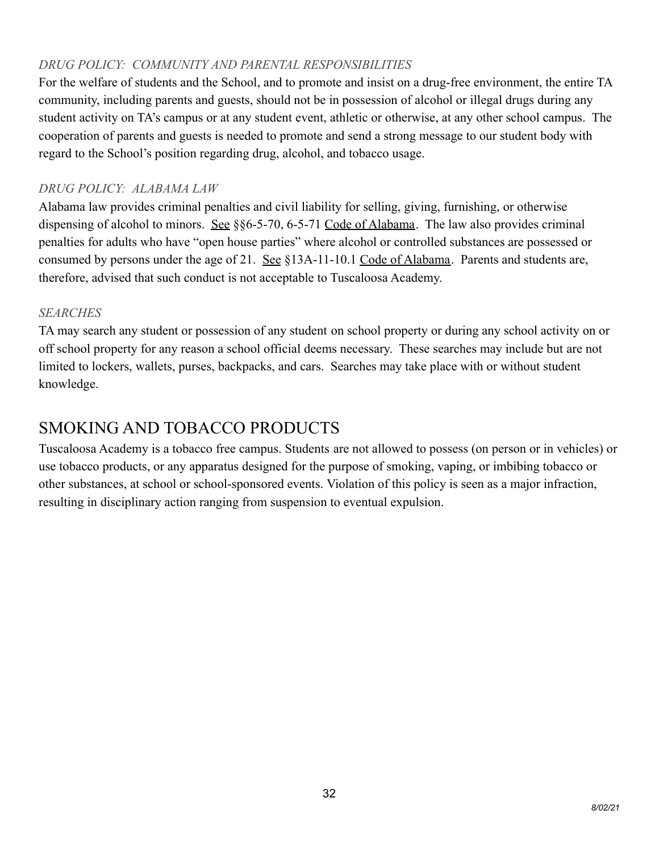#### <span id="page-31-0"></span>*DRUG POLICY: COMMUNITY AND PARENTAL RESPONSIBILITIES*

For the welfare of students and the School, and to promote and insist on a drug-free environment, the entire TA community, including parents and guests, should not be in possession of alcohol or illegal drugs during any student activity on TA's campus or at any student event, athletic or otherwise, at any other school campus. The cooperation of parents and guests is needed to promote and send a strong message to our student body with regard to the School's position regarding drug, alcohol, and tobacco usage.

#### <span id="page-31-1"></span>*DRUG POLICY: ALABAMA LAW*

Alabama law provides criminal penalties and civil liability for selling, giving, furnishing, or otherwise dispensing of alcohol to minors. See §§6-5-70, 6-5-71 Code of Alabama. The law also provides criminal penalties for adults who have "open house parties" where alcohol or controlled substances are possessed or consumed by persons under the age of 21. See §13A-11-10.1 Code of Alabama. Parents and students are, therefore, advised that such conduct is not acceptable to Tuscaloosa Academy.

#### <span id="page-31-2"></span>*SEARCHES*

TA may search any student or possession of any student on school property or during any school activity on or off school property for any reason a school official deems necessary. These searches may include but are not limited to lockers, wallets, purses, backpacks, and cars. Searches may take place with or without student knowledge.

## <span id="page-31-3"></span>SMOKING AND TOBACCO PRODUCTS

Tuscaloosa Academy is a tobacco free campus. Students are not allowed to possess (on person or in vehicles) or use tobacco products, or any apparatus designed for the purpose of smoking, vaping, or imbibing tobacco or other substances, at school or school-sponsored events. Violation of this policy is seen as a major infraction, resulting in disciplinary action ranging from suspension to eventual expulsion.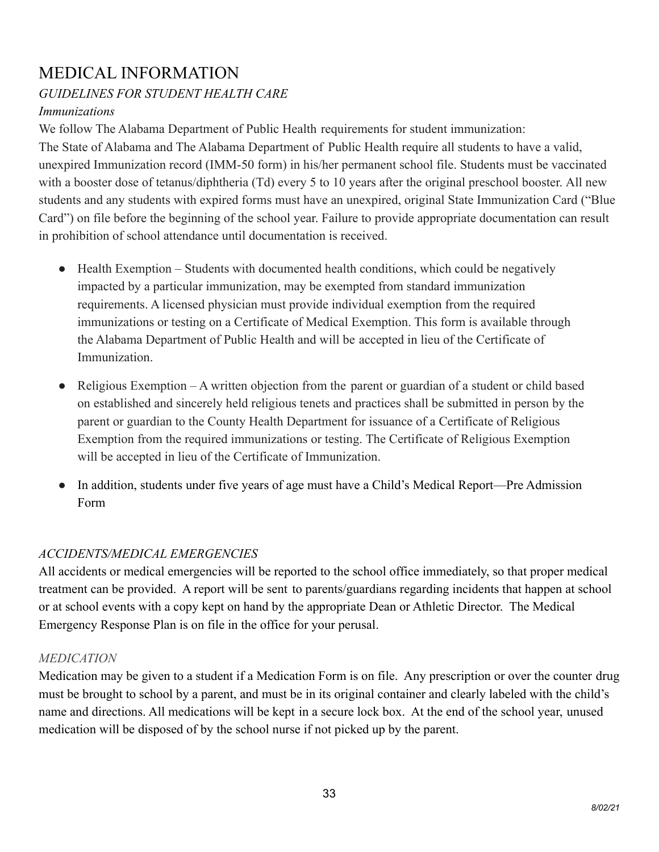## <span id="page-32-0"></span>MEDICAL INFORMATION *GUIDELINES FOR STUDENT HEALTH CARE*

#### <span id="page-32-1"></span>*Immunizations*

We follow The Alabama Department of Public Health requirements for student immunization: The State of Alabama and The Alabama Department of Public Health require all students to have a valid, unexpired Immunization record (IMM-50 form) in his/her permanent school file. Students must be vaccinated with a booster dose of tetanus/diphtheria (Td) every 5 to 10 years after the original preschool booster. All new students and any students with expired forms must have an unexpired, original State Immunization Card ("Blue Card") on file before the beginning of the school year. Failure to provide appropriate documentation can result in prohibition of school attendance until documentation is received.

- Health Exemption Students with documented health conditions, which could be negatively impacted by a particular immunization, may be exempted from standard immunization requirements. A licensed physician must provide individual exemption from the required immunizations or testing on a Certificate of Medical Exemption. This form is available through the Alabama Department of Public Health and will be accepted in lieu of the Certificate of Immunization.
- Religious Exemption A written objection from the parent or guardian of a student or child based on established and sincerely held religious tenets and practices shall be submitted in person by the parent or guardian to the County Health Department for issuance of a Certificate of Religious Exemption from the required immunizations or testing. The Certificate of Religious Exemption will be accepted in lieu of the Certificate of Immunization.
- In addition, students under five years of age must have a Child's Medical Report—Pre Admission Form

#### <span id="page-32-2"></span>*ACCIDENTS/MEDICAL EMERGENCIES*

All accidents or medical emergencies will be reported to the school office immediately, so that proper medical treatment can be provided. A report will be sent to parents/guardians regarding incidents that happen at school or at school events with a copy kept on hand by the appropriate Dean or Athletic Director. The Medical Emergency Response Plan is on file in the office for your perusal.

#### <span id="page-32-3"></span>*MEDICATION*

Medication may be given to a student if a Medication Form is on file. Any prescription or over the counter drug must be brought to school by a parent, and must be in its original container and clearly labeled with the child's name and directions. All medications will be kept in a secure lock box. At the end of the school year, unused medication will be disposed of by the school nurse if not picked up by the parent.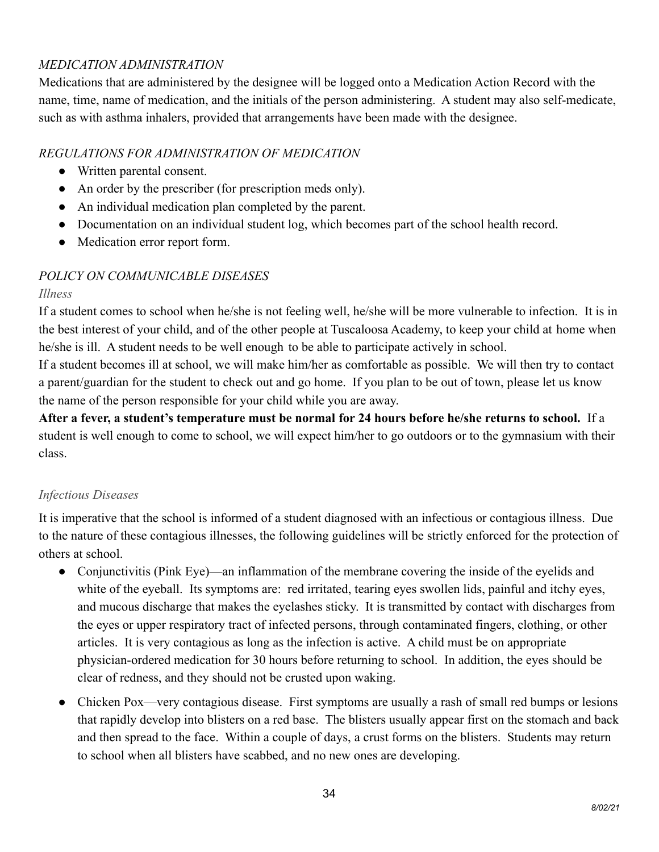#### <span id="page-33-0"></span>*MEDICATION ADMINISTRATION*

Medications that are administered by the designee will be logged onto a Medication Action Record with the name, time, name of medication, and the initials of the person administering. A student may also self-medicate, such as with asthma inhalers, provided that arrangements have been made with the designee.

#### <span id="page-33-1"></span>*REGULATIONS FOR ADMINISTRATION OF MEDICATION*

- Written parental consent.
- An order by the prescriber (for prescription meds only).
- An individual medication plan completed by the parent.
- Documentation on an individual student log, which becomes part of the school health record.
- Medication error report form.

#### <span id="page-33-2"></span>*POLICY ON COMMUNICABLE DISEASES*

#### <span id="page-33-3"></span>*Illness*

If a student comes to school when he/she is not feeling well, he/she will be more vulnerable to infection. It is in the best interest of your child, and of the other people at Tuscaloosa Academy, to keep your child at home when he/she is ill. A student needs to be well enough to be able to participate actively in school.

If a student becomes ill at school, we will make him/her as comfortable as possible. We will then try to contact a parent/guardian for the student to check out and go home. If you plan to be out of town, please let us know the name of the person responsible for your child while you are away.

**After a fever, a student's temperature must be normal for 24 hours before he/she returns to school.** If a student is well enough to come to school, we will expect him/her to go outdoors or to the gymnasium with their class.

#### <span id="page-33-4"></span>*Infectious Diseases*

It is imperative that the school is informed of a student diagnosed with an infectious or contagious illness. Due to the nature of these contagious illnesses, the following guidelines will be strictly enforced for the protection of others at school.

- Conjunctivitis (Pink Eye)—an inflammation of the membrane covering the inside of the eyelids and white of the eyeball. Its symptoms are: red irritated, tearing eyes swollen lids, painful and itchy eyes, and mucous discharge that makes the eyelashes sticky. It is transmitted by contact with discharges from the eyes or upper respiratory tract of infected persons, through contaminated fingers, clothing, or other articles. It is very contagious as long as the infection is active. A child must be on appropriate physician-ordered medication for 30 hours before returning to school. In addition, the eyes should be clear of redness, and they should not be crusted upon waking.
- Chicken Pox—very contagious disease. First symptoms are usually a rash of small red bumps or lesions that rapidly develop into blisters on a red base. The blisters usually appear first on the stomach and back and then spread to the face. Within a couple of days, a crust forms on the blisters. Students may return to school when all blisters have scabbed, and no new ones are developing.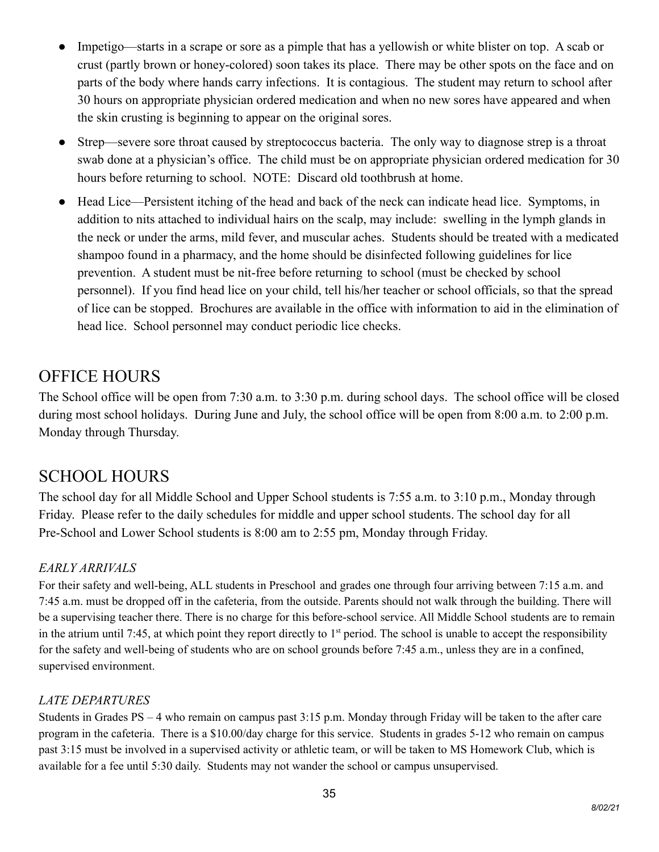- Impetigo—starts in a scrape or sore as a pimple that has a yellowish or white blister on top. A scab or crust (partly brown or honey-colored) soon takes its place. There may be other spots on the face and on parts of the body where hands carry infections. It is contagious. The student may return to school after 30 hours on appropriate physician ordered medication and when no new sores have appeared and when the skin crusting is beginning to appear on the original sores.
- Strep—severe sore throat caused by streptococcus bacteria. The only way to diagnose strep is a throat swab done at a physician's office. The child must be on appropriate physician ordered medication for 30 hours before returning to school. NOTE: Discard old toothbrush at home.
- Head Lice—Persistent itching of the head and back of the neck can indicate head lice. Symptoms, in addition to nits attached to individual hairs on the scalp, may include: swelling in the lymph glands in the neck or under the arms, mild fever, and muscular aches. Students should be treated with a medicated shampoo found in a pharmacy, and the home should be disinfected following guidelines for lice prevention. A student must be nit-free before returning to school (must be checked by school personnel). If you find head lice on your child, tell his/her teacher or school officials, so that the spread of lice can be stopped. Brochures are available in the office with information to aid in the elimination of head lice. School personnel may conduct periodic lice checks.

## <span id="page-34-0"></span>OFFICE HOURS

The School office will be open from 7:30 a.m. to 3:30 p.m. during school days. The school office will be closed during most school holidays. During June and July, the school office will be open from 8:00 a.m. to 2:00 p.m. Monday through Thursday.

## <span id="page-34-1"></span>SCHOOL HOURS

The school day for all Middle School and Upper School students is 7:55 a.m. to 3:10 p.m., Monday through Friday. Please refer to the daily schedules for middle and upper school students. The school day for all Pre-School and Lower School students is 8:00 am to 2:55 pm, Monday through Friday.

#### <span id="page-34-2"></span>*EARLY ARRIVALS*

For their safety and well-being, ALL students in Preschool and grades one through four arriving between 7:15 a.m. and 7:45 a.m. must be dropped off in the cafeteria, from the outside. Parents should not walk through the building. There will be a supervising teacher there. There is no charge for this before-school service. All Middle School students are to remain in the atrium until 7:45, at which point they report directly to  $1<sup>st</sup>$  period. The school is unable to accept the responsibility for the safety and well-being of students who are on school grounds before 7:45 a.m., unless they are in a confined, supervised environment.

#### <span id="page-34-3"></span>*LATE DEPARTURES*

Students in Grades PS – 4 who remain on campus past 3:15 p.m. Monday through Friday will be taken to the after care program in the cafeteria. There is a \$10.00/day charge for this service. Students in grades 5-12 who remain on campus past 3:15 must be involved in a supervised activity or athletic team, or will be taken to MS Homework Club, which is available for a fee until 5:30 daily. Students may not wander the school or campus unsupervised.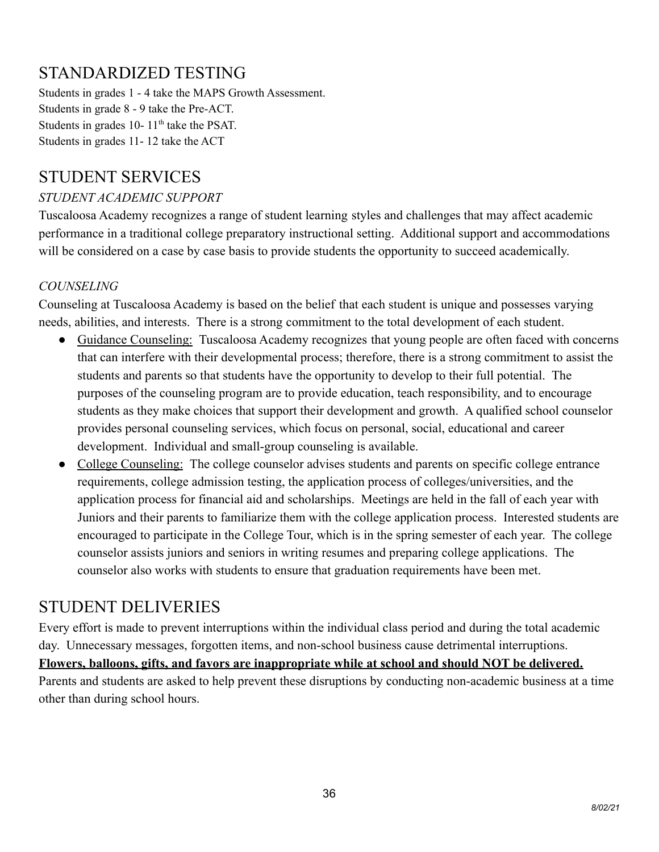## <span id="page-35-0"></span>STANDARDIZED TESTING

Students in grades 1 - 4 take the MAPS Growth Assessment. Students in grade 8 - 9 take the Pre-ACT. Students in grades  $10-11<sup>th</sup>$  take the PSAT. Students in grades 11- 12 take the ACT

## <span id="page-35-1"></span>STUDENT SERVICES

#### <span id="page-35-2"></span>*STUDENT ACADEMIC SUPPORT*

Tuscaloosa Academy recognizes a range of student learning styles and challenges that may affect academic performance in a traditional college preparatory instructional setting. Additional support and accommodations will be considered on a case by case basis to provide students the opportunity to succeed academically.

#### <span id="page-35-3"></span>*COUNSELING*

Counseling at Tuscaloosa Academy is based on the belief that each student is unique and possesses varying needs, abilities, and interests. There is a strong commitment to the total development of each student.

- Guidance Counseling: Tuscaloosa Academy recognizes that young people are often faced with concerns that can interfere with their developmental process; therefore, there is a strong commitment to assist the students and parents so that students have the opportunity to develop to their full potential. The purposes of the counseling program are to provide education, teach responsibility, and to encourage students as they make choices that support their development and growth. A qualified school counselor provides personal counseling services, which focus on personal, social, educational and career development. Individual and small-group counseling is available.
- College Counseling: The college counselor advises students and parents on specific college entrance requirements, college admission testing, the application process of colleges/universities, and the application process for financial aid and scholarships. Meetings are held in the fall of each year with Juniors and their parents to familiarize them with the college application process. Interested students are encouraged to participate in the College Tour, which is in the spring semester of each year. The college counselor assists juniors and seniors in writing resumes and preparing college applications. The counselor also works with students to ensure that graduation requirements have been met.

## <span id="page-35-4"></span>STUDENT DELIVERIES

Every effort is made to prevent interruptions within the individual class period and during the total academic day. Unnecessary messages, forgotten items, and non-school business cause detrimental interruptions. **Flowers, balloons, gifts, and favors are inappropriate while at school and should NOT be delivered.** Parents and students are asked to help prevent these disruptions by conducting non-academic business at a time other than during school hours.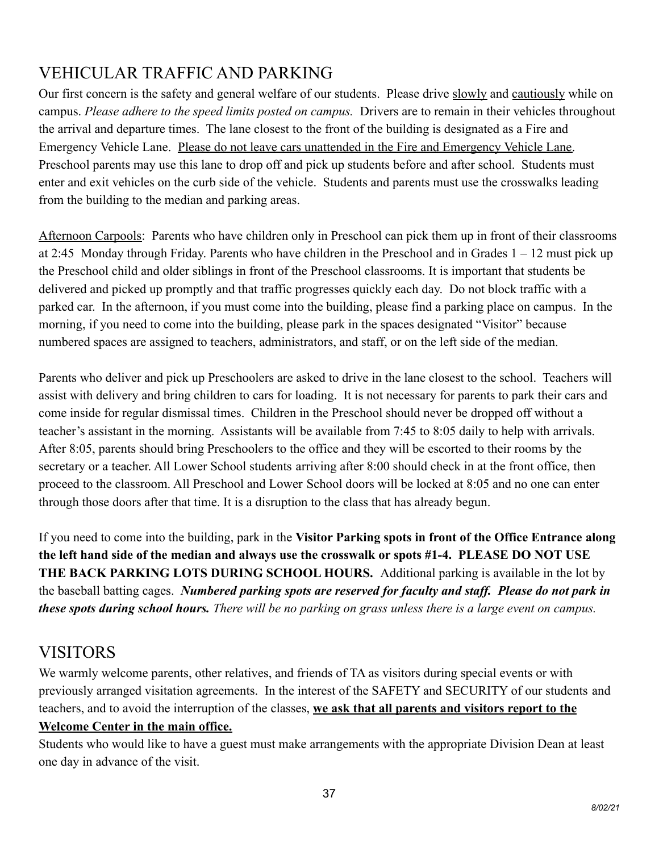### VEHICULAR TRAFFIC AND PARKING

Our first concern is the safety and general welfare of our students. Please drive slowly and cautiously while on campus. *Please adhere to the speed limits posted on campus.* Drivers are to remain in their vehicles throughout the arrival and departure times. The lane closest to the front of the building is designated as a Fire and Emergency Vehicle Lane. Please do not leave cars unattended in the Fire and Emergency Vehicle Lane. Preschool parents may use this lane to drop off and pick up students before and after school. Students must enter and exit vehicles on the curb side of the vehicle. Students and parents must use the crosswalks leading from the building to the median and parking areas.

Afternoon Carpools: Parents who have children only in Preschool can pick them up in front of their classrooms at 2:45 Monday through Friday. Parents who have children in the Preschool and in Grades 1 – 12 must pick up the Preschool child and older siblings in front of the Preschool classrooms. It is important that students be delivered and picked up promptly and that traffic progresses quickly each day. Do not block traffic with a parked car. In the afternoon, if you must come into the building, please find a parking place on campus. In the morning, if you need to come into the building, please park in the spaces designated "Visitor" because numbered spaces are assigned to teachers, administrators, and staff, or on the left side of the median.

Parents who deliver and pick up Preschoolers are asked to drive in the lane closest to the school. Teachers will assist with delivery and bring children to cars for loading. It is not necessary for parents to park their cars and come inside for regular dismissal times. Children in the Preschool should never be dropped off without a teacher's assistant in the morning. Assistants will be available from 7:45 to 8:05 daily to help with arrivals. After 8:05, parents should bring Preschoolers to the office and they will be escorted to their rooms by the secretary or a teacher. All Lower School students arriving after 8:00 should check in at the front office, then proceed to the classroom. All Preschool and Lower School doors will be locked at 8:05 and no one can enter through those doors after that time. It is a disruption to the class that has already begun.

If you need to come into the building, park in the **Visitor Parking spots in front of the Office Entrance along the left hand side of the median and always use the crosswalk or spots #1-4. PLEASE DO NOT USE THE BACK PARKING LOTS DURING SCHOOL HOURS.** Additional parking is available in the lot by the baseball batting cages. *Numbered parking spots are reserved for faculty and staff. Please do not park in these spots during school hours. There will be no parking on grass unless there is a large event on campus.*

### VISITORS

We warmly welcome parents, other relatives, and friends of TA as visitors during special events or with previously arranged visitation agreements. In the interest of the SAFETY and SECURITY of our students and teachers, and to avoid the interruption of the classes, **we ask that all parents and visitors report to the Welcome Center in the main office.**

Students who would like to have a guest must make arrangements with the appropriate Division Dean at least one day in advance of the visit.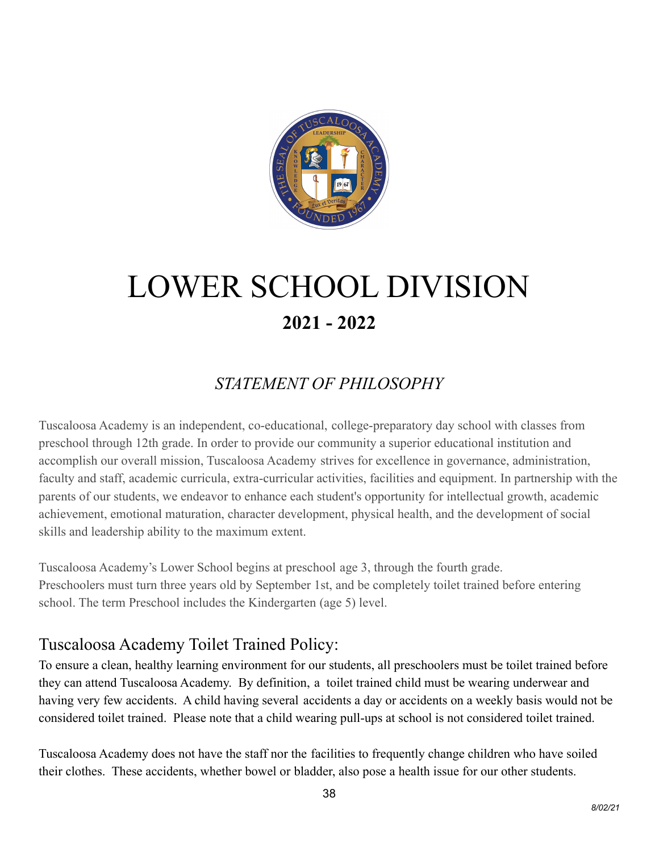

# LOWER SCHOOL DIVISION **2021 - 2022**

### *STATEMENT OF PHILOSOPHY*

Tuscaloosa Academy is an independent, co-educational, college-preparatory day school with classes from preschool through 12th grade. In order to provide our community a superior educational institution and accomplish our overall mission, Tuscaloosa Academy strives for excellence in governance, administration, faculty and staff, academic curricula, extra-curricular activities, facilities and equipment. In partnership with the parents of our students, we endeavor to enhance each student's opportunity for intellectual growth, academic achievement, emotional maturation, character development, physical health, and the development of social skills and leadership ability to the maximum extent.

Tuscaloosa Academy's Lower School begins at preschool age 3, through the fourth grade. Preschoolers must turn three years old by September 1st, and be completely toilet trained before entering school. The term Preschool includes the Kindergarten (age 5) level.

### Tuscaloosa Academy Toilet Trained Policy:

To ensure a clean, healthy learning environment for our students, all preschoolers must be toilet trained before they can attend Tuscaloosa Academy. By definition, a toilet trained child must be wearing underwear and having very few accidents. A child having several accidents a day or accidents on a weekly basis would not be considered toilet trained. Please note that a child wearing pull-ups at school is not considered toilet trained.

Tuscaloosa Academy does not have the staff nor the facilities to frequently change children who have soiled their clothes. These accidents, whether bowel or bladder, also pose a health issue for our other students.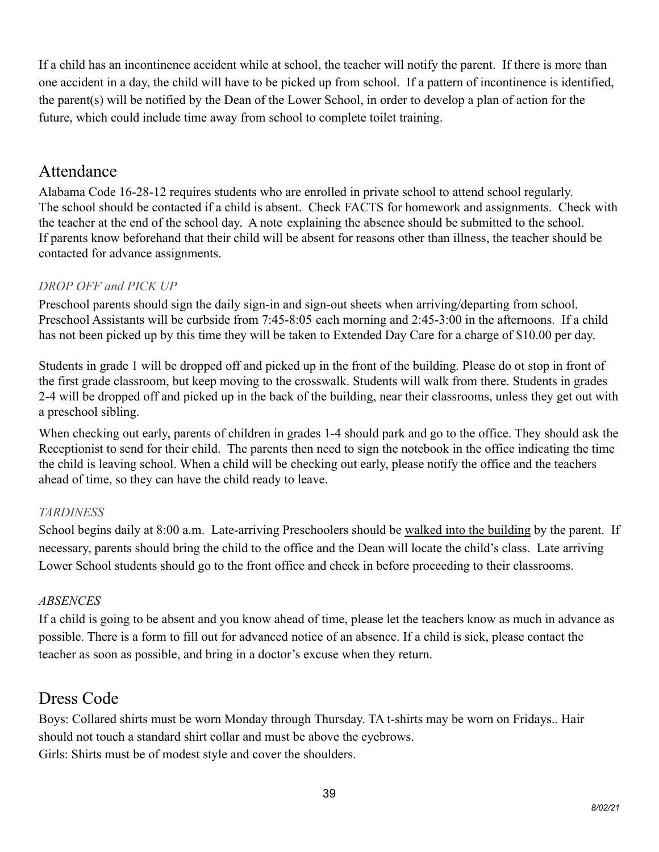If a child has an incontinence accident while at school, the teacher will notify the parent. If there is more than one accident in a day, the child will have to be picked up from school. If a pattern of incontinence is identified, the parent(s) will be notified by the Dean of the Lower School, in order to develop a plan of action for the future, which could include time away from school to complete toilet training.

### Attendance

Alabama Code 16-28-12 requires students who are enrolled in private school to attend school regularly. The school should be contacted if a child is absent. Check FACTS for homework and assignments. Check with the teacher at the end of the school day. A note explaining the absence should be submitted to the school. If parents know beforehand that their child will be absent for reasons other than illness, the teacher should be contacted for advance assignments.

#### *DROP OFF and PICK UP*

Preschool parents should sign the daily sign-in and sign-out sheets when arriving/departing from school. Preschool Assistants will be curbside from 7:45-8:05 each morning and 2:45-3:00 in the afternoons. If a child has not been picked up by this time they will be taken to Extended Day Care for a charge of \$10.00 per day.

Students in grade 1 will be dropped off and picked up in the front of the building. Please do ot stop in front of the first grade classroom, but keep moving to the crosswalk. Students will walk from there. Students in grades 2-4 will be dropped off and picked up in the back of the building, near their classrooms, unless they get out with a preschool sibling.

When checking out early, parents of children in grades 1-4 should park and go to the office. They should ask the Receptionist to send for their child. The parents then need to sign the notebook in the office indicating the time the child is leaving school. When a child will be checking out early, please notify the office and the teachers ahead of time, so they can have the child ready to leave.

### *TARDINESS*

School begins daily at 8:00 a.m. Late-arriving Preschoolers should be walked into the building by the parent. If necessary, parents should bring the child to the office and the Dean will locate the child's class. Late arriving Lower School students should go to the front office and check in before proceeding to their classrooms.

#### *ABSENCES*

If a child is going to be absent and you know ahead of time, please let the teachers know as much in advance as possible. There is a form to fill out for advanced notice of an absence. If a child is sick, please contact the teacher as soon as possible, and bring in a doctor's excuse when they return.

### Dress Code

Boys: Collared shirts must be worn Monday through Thursday. TA t-shirts may be worn on Fridays.. Hair should not touch a standard shirt collar and must be above the eyebrows. Girls: Shirts must be of modest style and cover the shoulders.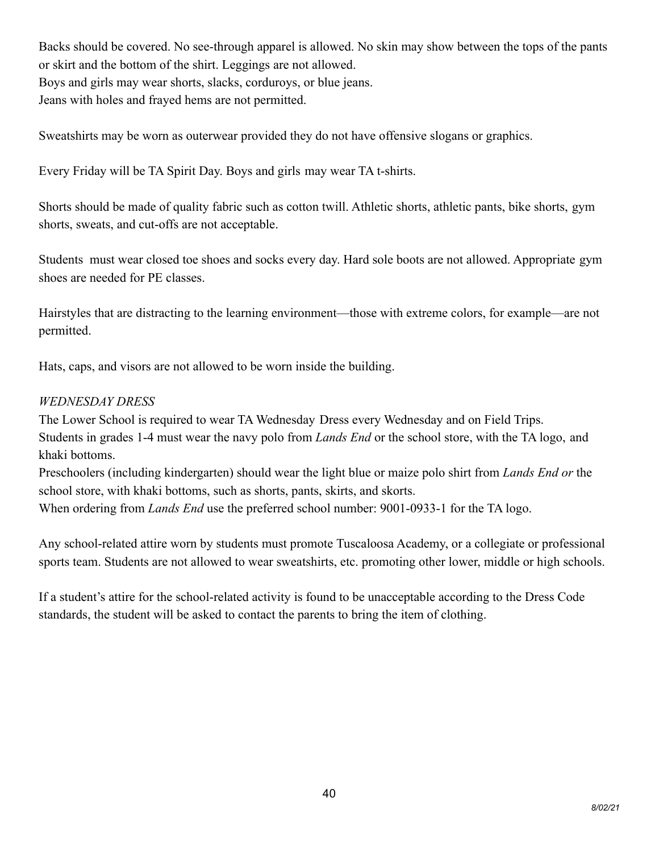Backs should be covered. No see-through apparel is allowed. No skin may show between the tops of the pants or skirt and the bottom of the shirt. Leggings are not allowed. Boys and girls may wear shorts, slacks, corduroys, or blue jeans. Jeans with holes and frayed hems are not permitted.

Sweatshirts may be worn as outerwear provided they do not have offensive slogans or graphics.

Every Friday will be TA Spirit Day. Boys and girls may wear TA t-shirts.

Shorts should be made of quality fabric such as cotton twill. Athletic shorts, athletic pants, bike shorts, gym shorts, sweats, and cut-offs are not acceptable.

Students must wear closed toe shoes and socks every day. Hard sole boots are not allowed. Appropriate gym shoes are needed for PE classes.

Hairstyles that are distracting to the learning environment—those with extreme colors, for example—are not permitted.

Hats, caps, and visors are not allowed to be worn inside the building.

#### *WEDNESDAY DRESS*

The Lower School is required to wear TA Wednesday Dress every Wednesday and on Field Trips. Students in grades 1-4 must wear the navy polo from *Lands End* or the school store, with the TA logo, and khaki bottoms.

Preschoolers (including kindergarten) should wear the light blue or maize polo shirt from *Lands End or* the school store, with khaki bottoms, such as shorts, pants, skirts, and skorts. When ordering from *Lands End* use the preferred school number: 9001-0933-1 for the TA logo.

Any school-related attire worn by students must promote Tuscaloosa Academy, or a collegiate or professional sports team. Students are not allowed to wear sweatshirts, etc. promoting other lower, middle or high schools.

If a student's attire for the school-related activity is found to be unacceptable according to the Dress Code standards, the student will be asked to contact the parents to bring the item of clothing.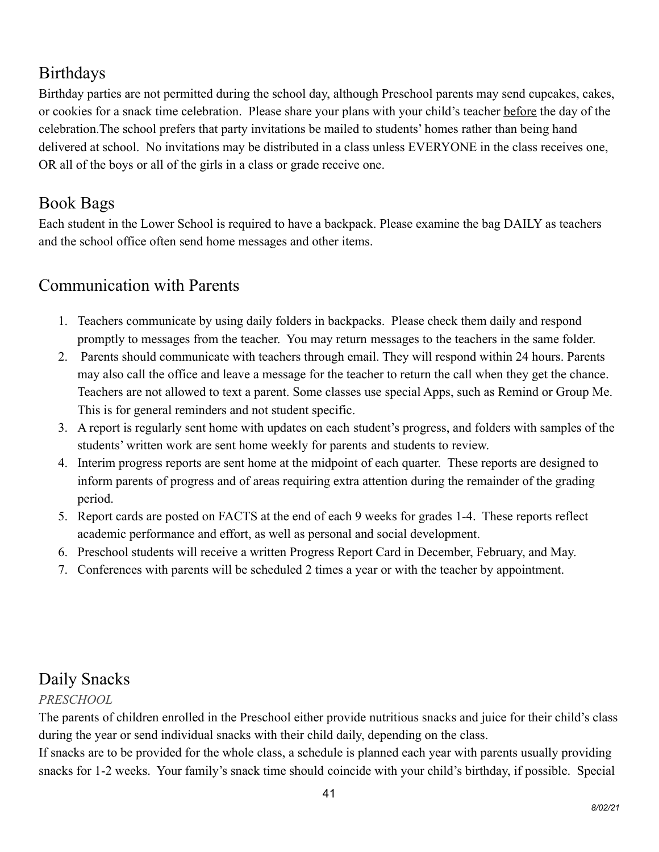### Birthdays

Birthday parties are not permitted during the school day, although Preschool parents may send cupcakes, cakes, or cookies for a snack time celebration. Please share your plans with your child's teacher before the day of the celebration.The school prefers that party invitations be mailed to students' homes rather than being hand delivered at school. No invitations may be distributed in a class unless EVERYONE in the class receives one, OR all of the boys or all of the girls in a class or grade receive one.

### Book Bags

Each student in the Lower School is required to have a backpack. Please examine the bag DAILY as teachers and the school office often send home messages and other items.

### Communication with Parents

- 1. Teachers communicate by using daily folders in backpacks. Please check them daily and respond promptly to messages from the teacher. You may return messages to the teachers in the same folder.
- 2. Parents should communicate with teachers through email. They will respond within 24 hours. Parents may also call the office and leave a message for the teacher to return the call when they get the chance. Teachers are not allowed to text a parent. Some classes use special Apps, such as Remind or Group Me. This is for general reminders and not student specific.
- 3. A report is regularly sent home with updates on each student's progress, and folders with samples of the students' written work are sent home weekly for parents and students to review.
- 4. Interim progress reports are sent home at the midpoint of each quarter. These reports are designed to inform parents of progress and of areas requiring extra attention during the remainder of the grading period.
- 5. Report cards are posted on FACTS at the end of each 9 weeks for grades 1-4. These reports reflect academic performance and effort, as well as personal and social development.
- 6. Preschool students will receive a written Progress Report Card in December, February, and May.
- 7. Conferences with parents will be scheduled 2 times a year or with the teacher by appointment.

### Daily Snacks

#### *PRESCHOOL*

The parents of children enrolled in the Preschool either provide nutritious snacks and juice for their child's class during the year or send individual snacks with their child daily, depending on the class.

If snacks are to be provided for the whole class, a schedule is planned each year with parents usually providing snacks for 1-2 weeks. Your family's snack time should coincide with your child's birthday, if possible. Special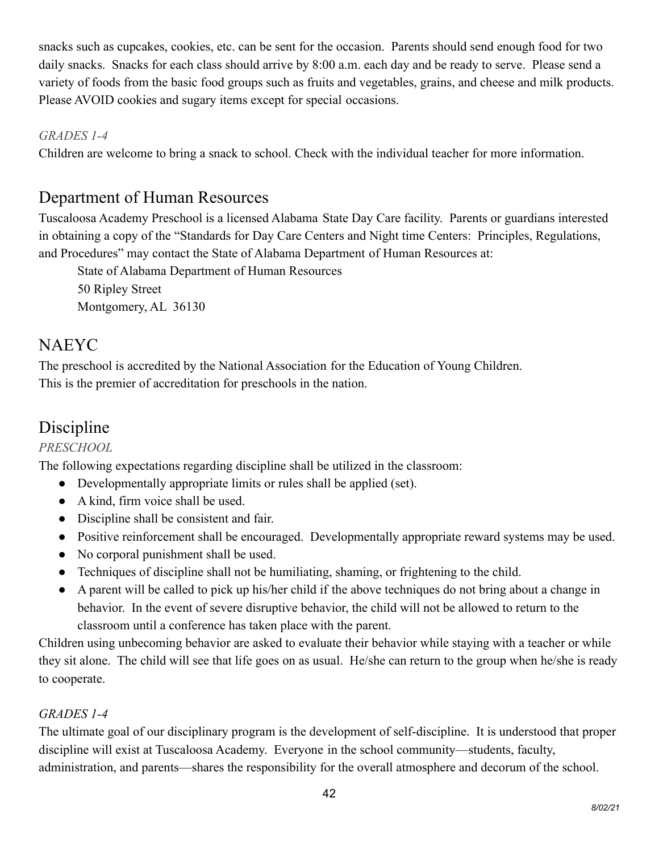snacks such as cupcakes, cookies, etc. can be sent for the occasion. Parents should send enough food for two daily snacks. Snacks for each class should arrive by 8:00 a.m. each day and be ready to serve. Please send a variety of foods from the basic food groups such as fruits and vegetables, grains, and cheese and milk products. Please AVOID cookies and sugary items except for special occasions.

#### *GRADES 1-4*

Children are welcome to bring a snack to school. Check with the individual teacher for more information.

### Department of Human Resources

Tuscaloosa Academy Preschool is a licensed Alabama State Day Care facility. Parents or guardians interested in obtaining a copy of the "Standards for Day Care Centers and Night time Centers: Principles, Regulations, and Procedures" may contact the State of Alabama Department of Human Resources at:

State of Alabama Department of Human Resources 50 Ripley Street Montgomery, AL 36130

### NAEYC

The preschool is accredited by the National Association for the Education of Young Children. This is the premier of accreditation for preschools in the nation.

### Discipline

#### *PRESCHOOL*

The following expectations regarding discipline shall be utilized in the classroom:

- Developmentally appropriate limits or rules shall be applied (set).
- A kind, firm voice shall be used.
- Discipline shall be consistent and fair.
- Positive reinforcement shall be encouraged. Developmentally appropriate reward systems may be used.
- No corporal punishment shall be used.
- Techniques of discipline shall not be humiliating, shaming, or frightening to the child.
- A parent will be called to pick up his/her child if the above techniques do not bring about a change in behavior. In the event of severe disruptive behavior, the child will not be allowed to return to the classroom until a conference has taken place with the parent.

Children using unbecoming behavior are asked to evaluate their behavior while staying with a teacher or while they sit alone. The child will see that life goes on as usual. He/she can return to the group when he/she is ready to cooperate.

#### *GRADES 1-4*

The ultimate goal of our disciplinary program is the development of self-discipline. It is understood that proper discipline will exist at Tuscaloosa Academy. Everyone in the school community—students, faculty, administration, and parents—shares the responsibility for the overall atmosphere and decorum of the school.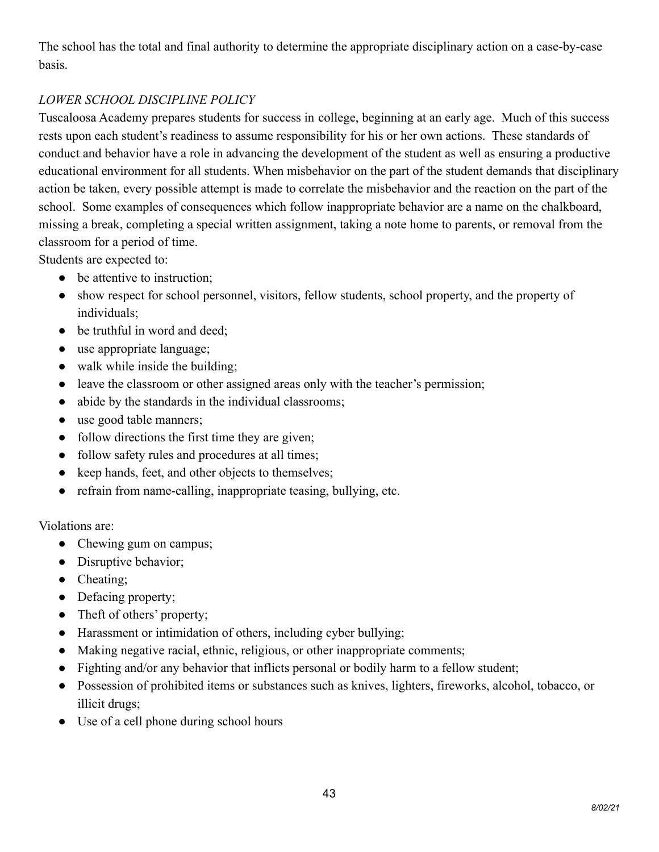The school has the total and final authority to determine the appropriate disciplinary action on a case-by-case basis.

#### *LOWER SCHOOL DISCIPLINE POLICY*

Tuscaloosa Academy prepares students for success in college, beginning at an early age. Much of this success rests upon each student's readiness to assume responsibility for his or her own actions. These standards of conduct and behavior have a role in advancing the development of the student as well as ensuring a productive educational environment for all students. When misbehavior on the part of the student demands that disciplinary action be taken, every possible attempt is made to correlate the misbehavior and the reaction on the part of the school. Some examples of consequences which follow inappropriate behavior are a name on the chalkboard, missing a break, completing a special written assignment, taking a note home to parents, or removal from the classroom for a period of time.

Students are expected to:

- be attentive to instruction;
- show respect for school personnel, visitors, fellow students, school property, and the property of individuals;
- be truthful in word and deed;
- use appropriate language;
- walk while inside the building;
- leave the classroom or other assigned areas only with the teacher's permission;
- abide by the standards in the individual classrooms;
- use good table manners;
- follow directions the first time they are given;
- follow safety rules and procedures at all times;
- keep hands, feet, and other objects to themselves;
- refrain from name-calling, inappropriate teasing, bullying, etc.

Violations are:

- Chewing gum on campus;
- Disruptive behavior;
- Cheating:
- Defacing property;
- Theft of others' property;
- Harassment or intimidation of others, including cyber bullying;
- Making negative racial, ethnic, religious, or other inappropriate comments;
- Fighting and/or any behavior that inflicts personal or bodily harm to a fellow student;
- Possession of prohibited items or substances such as knives, lighters, fireworks, alcohol, tobacco, or illicit drugs;
- Use of a cell phone during school hours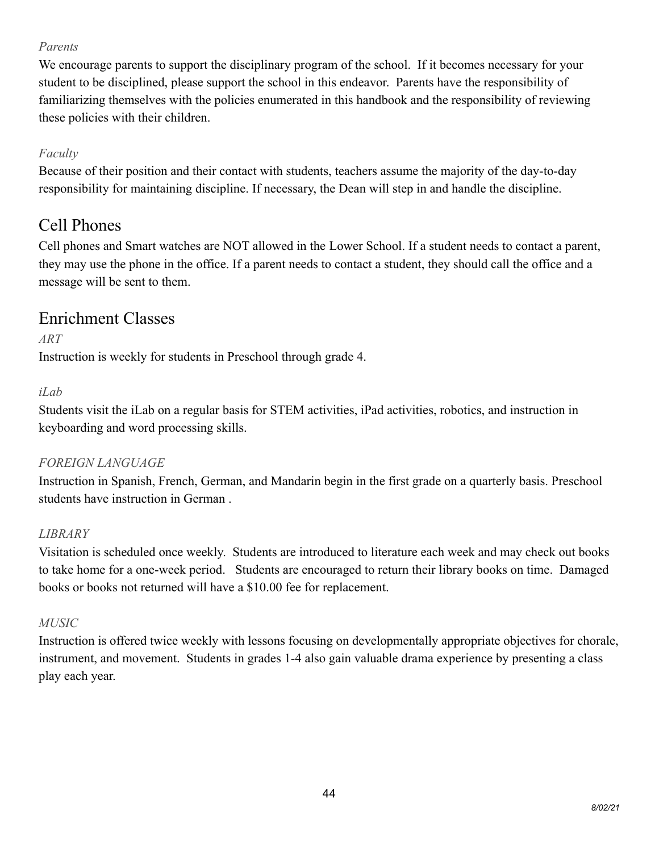#### *Parents*

We encourage parents to support the disciplinary program of the school. If it becomes necessary for your student to be disciplined, please support the school in this endeavor. Parents have the responsibility of familiarizing themselves with the policies enumerated in this handbook and the responsibility of reviewing these policies with their children.

#### *Faculty*

Because of their position and their contact with students, teachers assume the majority of the day-to-day responsibility for maintaining discipline. If necessary, the Dean will step in and handle the discipline.

### Cell Phones

Cell phones and Smart watches are NOT allowed in the Lower School. If a student needs to contact a parent, they may use the phone in the office. If a parent needs to contact a student, they should call the office and a message will be sent to them.

### Enrichment Classes

*ART*

Instruction is weekly for students in Preschool through grade 4.

#### *iLab*

Students visit the iLab on a regular basis for STEM activities, iPad activities, robotics, and instruction in keyboarding and word processing skills.

#### *FOREIGN LANGUAGE*

Instruction in Spanish, French, German, and Mandarin begin in the first grade on a quarterly basis. Preschool students have instruction in German .

#### *LIBRARY*

Visitation is scheduled once weekly. Students are introduced to literature each week and may check out books to take home for a one-week period. Students are encouraged to return their library books on time. Damaged books or books not returned will have a \$10.00 fee for replacement.

#### *MUSIC*

Instruction is offered twice weekly with lessons focusing on developmentally appropriate objectives for chorale, instrument, and movement. Students in grades 1-4 also gain valuable drama experience by presenting a class play each year.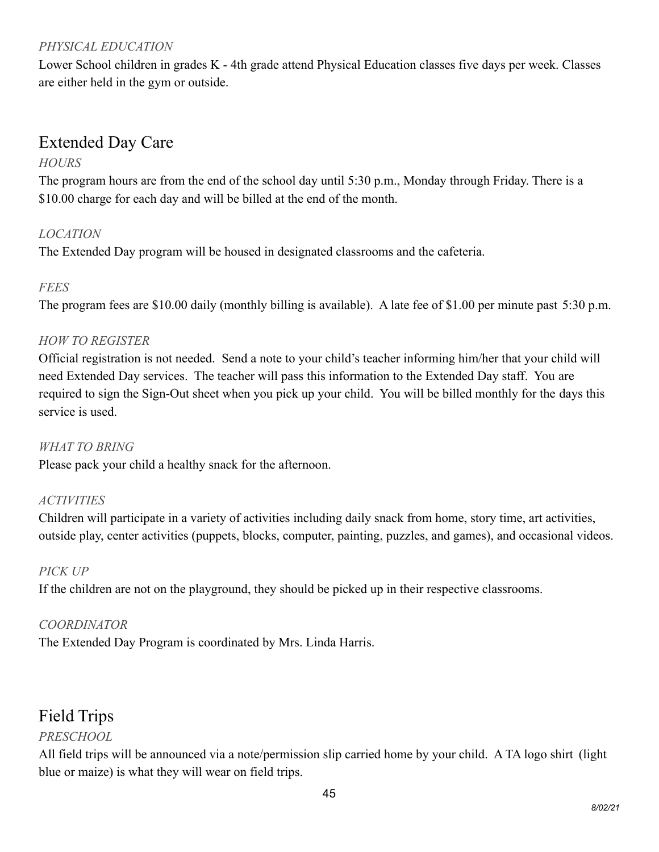#### *PHYSICAL EDUCATION*

Lower School children in grades K - 4th grade attend Physical Education classes five days per week. Classes are either held in the gym or outside.

### Extended Day Care

#### *HOURS*

The program hours are from the end of the school day until 5:30 p.m., Monday through Friday. There is a \$10.00 charge for each day and will be billed at the end of the month.

#### *LOCATION*

The Extended Day program will be housed in designated classrooms and the cafeteria.

#### *FEES*

The program fees are \$10.00 daily (monthly billing is available). A late fee of \$1.00 per minute past 5:30 p.m.

#### *HOW TO REGISTER*

Official registration is not needed. Send a note to your child's teacher informing him/her that your child will need Extended Day services. The teacher will pass this information to the Extended Day staff. You are required to sign the Sign-Out sheet when you pick up your child. You will be billed monthly for the days this service is used.

#### *WHAT TO BRING*

Please pack your child a healthy snack for the afternoon.

#### *ACTIVITIES*

Children will participate in a variety of activities including daily snack from home, story time, art activities, outside play, center activities (puppets, blocks, computer, painting, puzzles, and games), and occasional videos.

#### *PICK UP*

If the children are not on the playground, they should be picked up in their respective classrooms.

#### *COORDINATOR*

The Extended Day Program is coordinated by Mrs. Linda Harris.

### Field Trips

#### *PRESCHOOL*

All field trips will be announced via a note/permission slip carried home by your child. A TA logo shirt (light blue or maize) is what they will wear on field trips.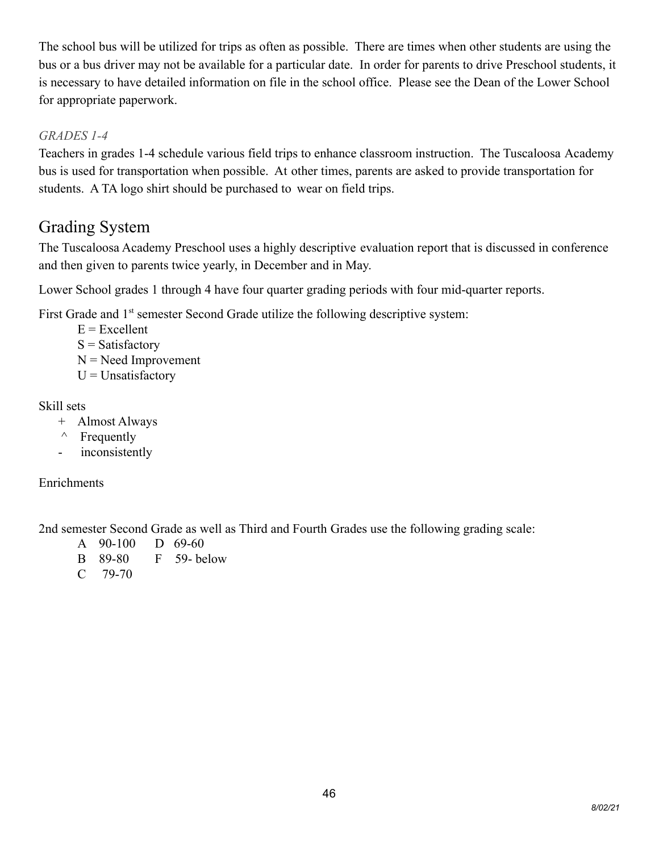The school bus will be utilized for trips as often as possible. There are times when other students are using the bus or a bus driver may not be available for a particular date. In order for parents to drive Preschool students, it is necessary to have detailed information on file in the school office. Please see the Dean of the Lower School for appropriate paperwork.

#### *GRADES 1-4*

Teachers in grades 1-4 schedule various field trips to enhance classroom instruction. The Tuscaloosa Academy bus is used for transportation when possible. At other times, parents are asked to provide transportation for students. A TA logo shirt should be purchased to wear on field trips.

### Grading System

The Tuscaloosa Academy Preschool uses a highly descriptive evaluation report that is discussed in conference and then given to parents twice yearly, in December and in May.

Lower School grades 1 through 4 have four quarter grading periods with four mid-quarter reports.

First Grade and 1<sup>st</sup> semester Second Grade utilize the following descriptive system:

- $E = Excellent$
- $S = Satisfactory$
- $N =$ Need Improvement
- $U =$ Unsatisfactory

#### Skill sets

- + Almost Always
- $\wedge$  Frequently
- inconsistently

#### Enrichments

2nd semester Second Grade as well as Third and Fourth Grades use the following grading scale:

- A 90-100 D 69-60
- B 89-80 F 59- below
- C 79-70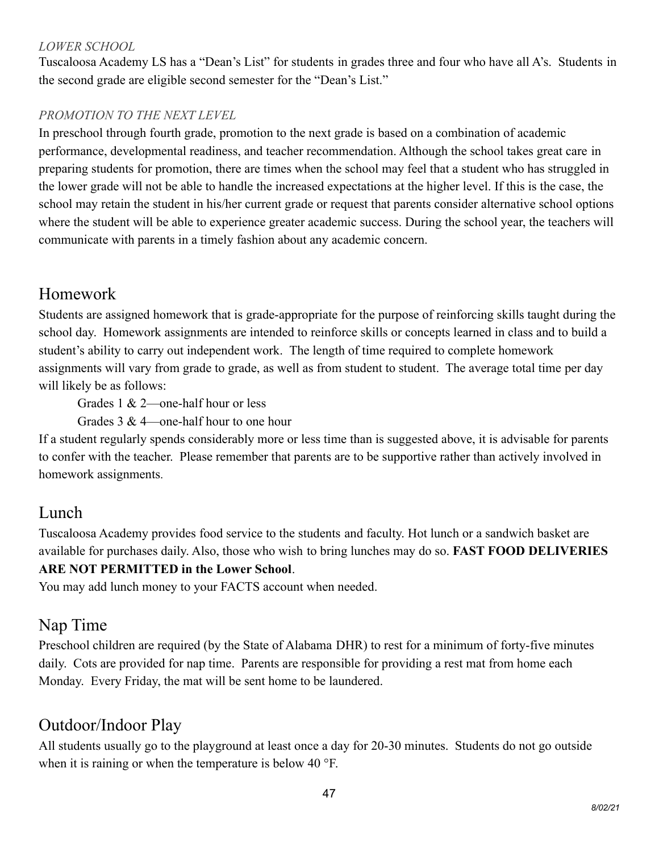#### *LOWER SCHOOL*

Tuscaloosa Academy LS has a "Dean's List" for students in grades three and four who have all A's. Students in the second grade are eligible second semester for the "Dean's List."

#### *PROMOTION TO THE NEXT LEVEL*

In preschool through fourth grade, promotion to the next grade is based on a combination of academic performance, developmental readiness, and teacher recommendation. Although the school takes great care in preparing students for promotion, there are times when the school may feel that a student who has struggled in the lower grade will not be able to handle the increased expectations at the higher level. If this is the case, the school may retain the student in his/her current grade or request that parents consider alternative school options where the student will be able to experience greater academic success. During the school year, the teachers will communicate with parents in a timely fashion about any academic concern.

### Homework

Students are assigned homework that is grade-appropriate for the purpose of reinforcing skills taught during the school day. Homework assignments are intended to reinforce skills or concepts learned in class and to build a student's ability to carry out independent work. The length of time required to complete homework assignments will vary from grade to grade, as well as from student to student. The average total time per day will likely be as follows:

Grades 1 & 2—one-half hour or less

Grades 3 & 4—one-half hour to one hour

If a student regularly spends considerably more or less time than is suggested above, it is advisable for parents to confer with the teacher. Please remember that parents are to be supportive rather than actively involved in homework assignments.

### Lunch

Tuscaloosa Academy provides food service to the students and faculty. Hot lunch or a sandwich basket are available for purchases daily. Also, those who wish to bring lunches may do so. **FAST FOOD DELIVERIES ARE NOT PERMITTED in the Lower School**.

You may add lunch money to your FACTS account when needed.

### Nap Time

Preschool children are required (by the State of Alabama DHR) to rest for a minimum of forty-five minutes daily. Cots are provided for nap time. Parents are responsible for providing a rest mat from home each Monday. Every Friday, the mat will be sent home to be laundered.

### Outdoor/Indoor Play

All students usually go to the playground at least once a day for 20-30 minutes. Students do not go outside when it is raining or when the temperature is below 40 °F.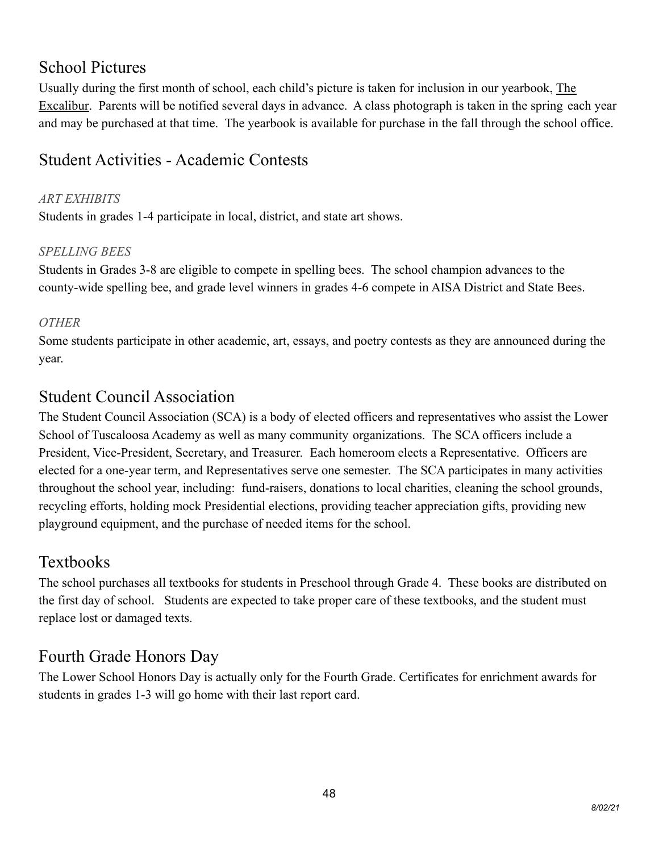### School Pictures

Usually during the first month of school, each child's picture is taken for inclusion in our yearbook, The Excalibur. Parents will be notified several days in advance. A class photograph is taken in the spring each year and may be purchased at that time. The yearbook is available for purchase in the fall through the school office.

### Student Activities - Academic Contests

#### *ART EXHIBITS*

Students in grades 1-4 participate in local, district, and state art shows.

#### *SPELLING BEES*

Students in Grades 3-8 are eligible to compete in spelling bees. The school champion advances to the county-wide spelling bee, and grade level winners in grades 4-6 compete in AISA District and State Bees.

#### *OTHER*

Some students participate in other academic, art, essays, and poetry contests as they are announced during the year.

### Student Council Association

The Student Council Association (SCA) is a body of elected officers and representatives who assist the Lower School of Tuscaloosa Academy as well as many community organizations. The SCA officers include a President, Vice-President, Secretary, and Treasurer. Each homeroom elects a Representative. Officers are elected for a one-year term, and Representatives serve one semester. The SCA participates in many activities throughout the school year, including: fund-raisers, donations to local charities, cleaning the school grounds, recycling efforts, holding mock Presidential elections, providing teacher appreciation gifts, providing new playground equipment, and the purchase of needed items for the school.

### Textbooks

The school purchases all textbooks for students in Preschool through Grade 4. These books are distributed on the first day of school. Students are expected to take proper care of these textbooks, and the student must replace lost or damaged texts.

### Fourth Grade Honors Day

The Lower School Honors Day is actually only for the Fourth Grade. Certificates for enrichment awards for students in grades 1-3 will go home with their last report card.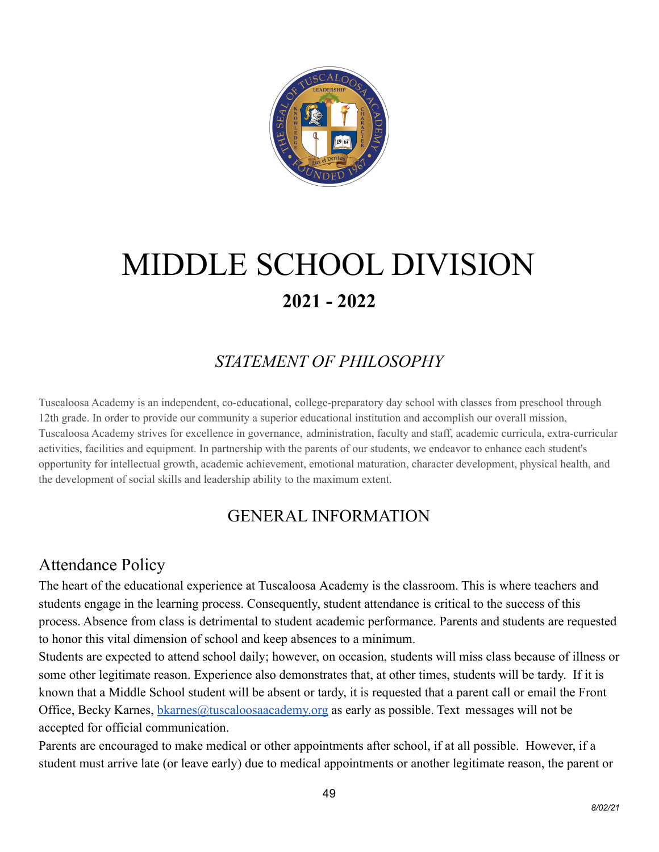

# MIDDLE SCHOOL DIVISION **2021 - 2022**

### *STATEMENT OF PHILOSOPHY*

Tuscaloosa Academy is an independent, co-educational, college-preparatory day school with classes from preschool through 12th grade. In order to provide our community a superior educational institution and accomplish our overall mission, Tuscaloosa Academy strives for excellence in governance, administration, faculty and staff, academic curricula, extra-curricular activities, facilities and equipment. In partnership with the parents of our students, we endeavor to enhance each student's opportunity for intellectual growth, academic achievement, emotional maturation, character development, physical health, and the development of social skills and leadership ability to the maximum extent.

### GENERAL INFORMATION

### Attendance Policy

The heart of the educational experience at Tuscaloosa Academy is the classroom. This is where teachers and students engage in the learning process. Consequently, student attendance is critical to the success of this process. Absence from class is detrimental to student academic performance. Parents and students are requested to honor this vital dimension of school and keep absences to a minimum.

Students are expected to attend school daily; however, on occasion, students will miss class because of illness or some other legitimate reason. Experience also demonstrates that, at other times, students will be tardy. If it is known that a Middle School student will be absent or tardy, it is requested that a parent call or email the Front Office, Becky Karnes, **[bkarnes@tuscaloosaacademy.org](mailto:bkarnes@tuscaloosaacademy.org)** as early as possible. Text messages will not be accepted for official communication.

Parents are encouraged to make medical or other appointments after school, if at all possible. However, if a student must arrive late (or leave early) due to medical appointments or another legitimate reason, the parent or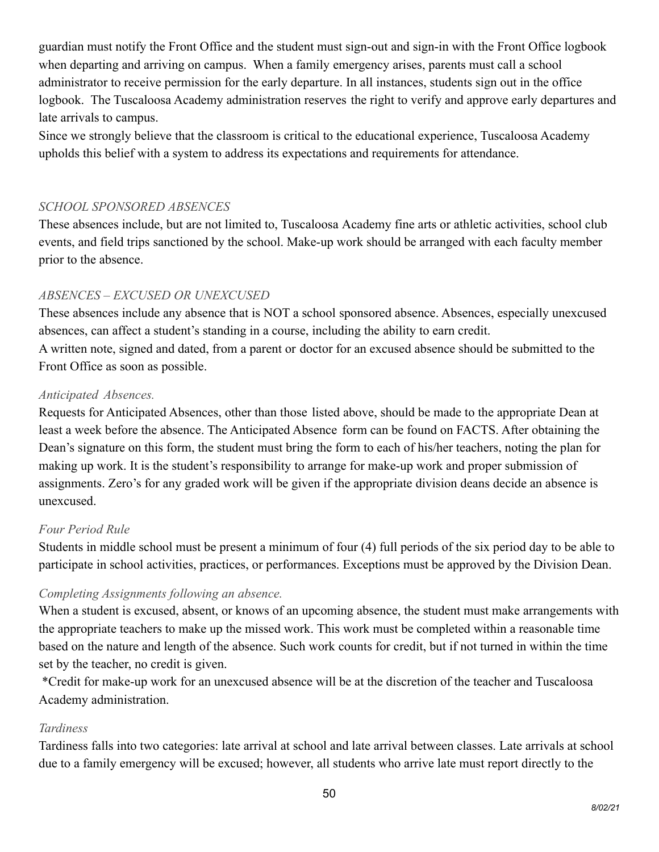guardian must notify the Front Office and the student must sign-out and sign-in with the Front Office logbook when departing and arriving on campus. When a family emergency arises, parents must call a school administrator to receive permission for the early departure. In all instances, students sign out in the office logbook. The Tuscaloosa Academy administration reserves the right to verify and approve early departures and late arrivals to campus.

Since we strongly believe that the classroom is critical to the educational experience, Tuscaloosa Academy upholds this belief with a system to address its expectations and requirements for attendance.

#### *SCHOOL SPONSORED ABSENCES*

These absences include, but are not limited to, Tuscaloosa Academy fine arts or athletic activities, school club events, and field trips sanctioned by the school. Make-up work should be arranged with each faculty member prior to the absence.

#### *ABSENCES – EXCUSED OR UNEXCUSED*

These absences include any absence that is NOT a school sponsored absence. Absences, especially unexcused absences, can affect a student's standing in a course, including the ability to earn credit. A written note, signed and dated, from a parent or doctor for an excused absence should be submitted to the Front Office as soon as possible.

#### *Anticipated Absences.*

Requests for Anticipated Absences, other than those listed above, should be made to the appropriate Dean at least a week before the absence. The Anticipated Absence form can be found on FACTS. After obtaining the Dean's signature on this form, the student must bring the form to each of his/her teachers, noting the plan for making up work. It is the student's responsibility to arrange for make-up work and proper submission of assignments. Zero's for any graded work will be given if the appropriate division deans decide an absence is unexcused.

#### *Four Period Rule*

Students in middle school must be present a minimum of four (4) full periods of the six period day to be able to participate in school activities, practices, or performances. Exceptions must be approved by the Division Dean.

#### *Completing Assignments following an absence.*

When a student is excused, absent, or knows of an upcoming absence, the student must make arrangements with the appropriate teachers to make up the missed work. This work must be completed within a reasonable time based on the nature and length of the absence. Such work counts for credit, but if not turned in within the time set by the teacher, no credit is given.

\*Credit for make-up work for an unexcused absence will be at the discretion of the teacher and Tuscaloosa Academy administration.

#### *Tardiness*

Tardiness falls into two categories: late arrival at school and late arrival between classes. Late arrivals at school due to a family emergency will be excused; however, all students who arrive late must report directly to the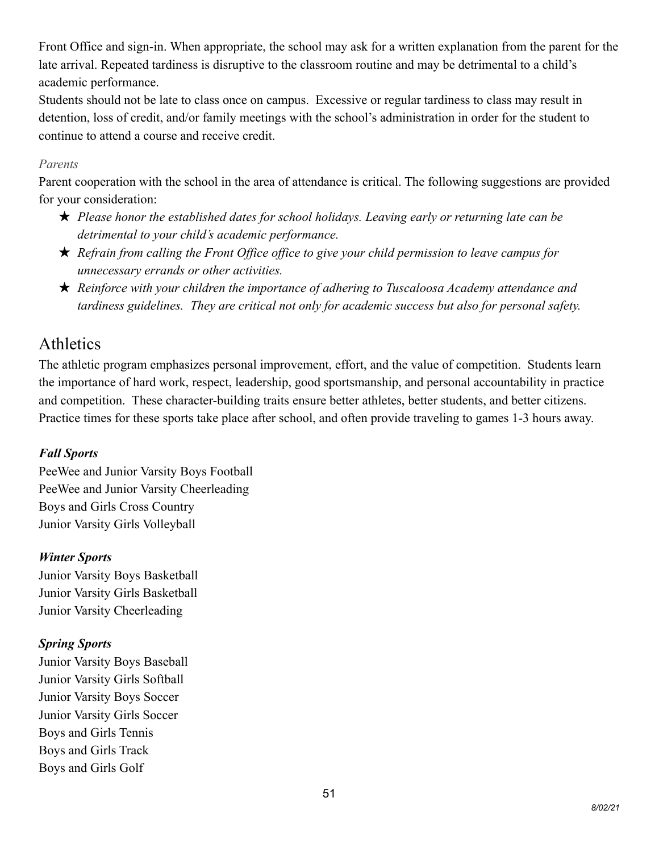Front Office and sign-in. When appropriate, the school may ask for a written explanation from the parent for the late arrival. Repeated tardiness is disruptive to the classroom routine and may be detrimental to a child's academic performance.

Students should not be late to class once on campus. Excessive or regular tardiness to class may result in detention, loss of credit, and/or family meetings with the school's administration in order for the student to continue to attend a course and receive credit.

#### *Parents*

Parent cooperation with the school in the area of attendance is critical. The following suggestions are provided for your consideration:

- ★ *Please honor the established dates for school holidays. Leaving early or returning late can be detrimental to your child's academic performance.*
- ★ *Refrain from calling the Front Office office to give your child permission to leave campus for unnecessary errands or other activities.*
- ★ *Reinforce with your children the importance of adhering to Tuscaloosa Academy attendance and tardiness guidelines. They are critical not only for academic success but also for personal safety.*

### Athletics

The athletic program emphasizes personal improvement, effort, and the value of competition. Students learn the importance of hard work, respect, leadership, good sportsmanship, and personal accountability in practice and competition. These character-building traits ensure better athletes, better students, and better citizens. Practice times for these sports take place after school, and often provide traveling to games 1-3 hours away.

#### *Fall Sports*

PeeWee and Junior Varsity Boys Football PeeWee and Junior Varsity Cheerleading Boys and Girls Cross Country Junior Varsity Girls Volleyball

#### *Winter Sports*

Junior Varsity Boys Basketball Junior Varsity Girls Basketball Junior Varsity Cheerleading

#### *Spring Sports*

Junior Varsity Boys Baseball Junior Varsity Girls Softball Junior Varsity Boys Soccer Junior Varsity Girls Soccer Boys and Girls Tennis Boys and Girls Track Boys and Girls Golf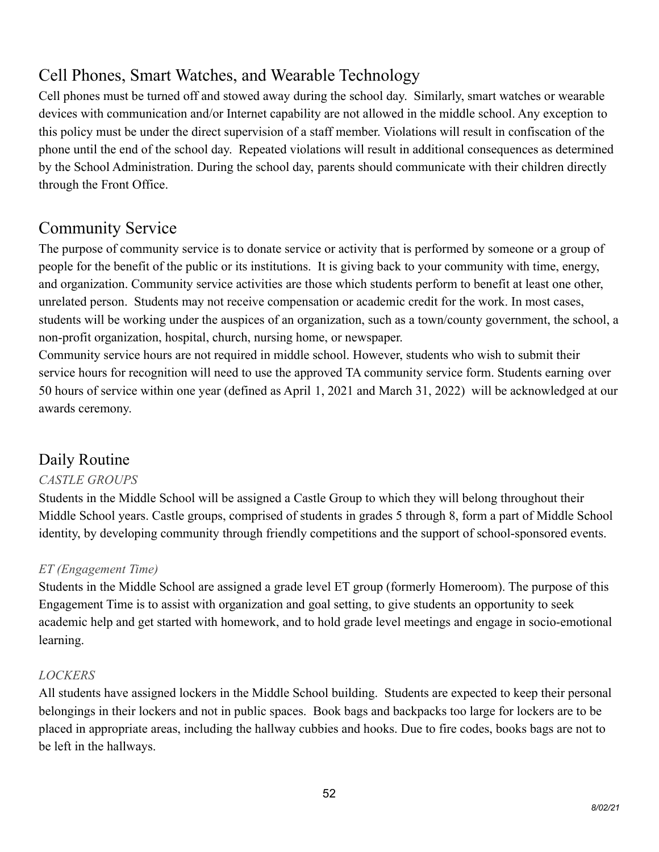### Cell Phones, Smart Watches, and Wearable Technology

Cell phones must be turned off and stowed away during the school day. Similarly, smart watches or wearable devices with communication and/or Internet capability are not allowed in the middle school. Any exception to this policy must be under the direct supervision of a staff member. Violations will result in confiscation of the phone until the end of the school day. Repeated violations will result in additional consequences as determined by the School Administration. During the school day, parents should communicate with their children directly through the Front Office.

### Community Service

The purpose of community service is to donate service or activity that is performed by someone or a group of people for the benefit of the public or its institutions. It is giving back to your community with time, energy, and organization. Community service activities are those which students perform to benefit at least one other, unrelated person. Students may not receive compensation or academic credit for the work. In most cases, students will be working under the auspices of an organization, such as a town/county government, the school, a non-profit organization, hospital, church, nursing home, or newspaper.

Community service hours are not required in middle school. However, students who wish to submit their service hours for recognition will need to use the approved TA community service form. Students earning over 50 hours of service within one year (defined as April 1, 2021 and March 31, 2022) will be acknowledged at our awards ceremony.

### Daily Routine

### *CASTLE GROUPS*

Students in the Middle School will be assigned a Castle Group to which they will belong throughout their Middle School years. Castle groups, comprised of students in grades 5 through 8, form a part of Middle School identity, by developing community through friendly competitions and the support of school-sponsored events.

#### *ET (Engagement Time)*

Students in the Middle School are assigned a grade level ET group (formerly Homeroom). The purpose of this Engagement Time is to assist with organization and goal setting, to give students an opportunity to seek academic help and get started with homework, and to hold grade level meetings and engage in socio-emotional learning.

#### *LOCKERS*

All students have assigned lockers in the Middle School building. Students are expected to keep their personal belongings in their lockers and not in public spaces. Book bags and backpacks too large for lockers are to be placed in appropriate areas, including the hallway cubbies and hooks. Due to fire codes, books bags are not to be left in the hallways.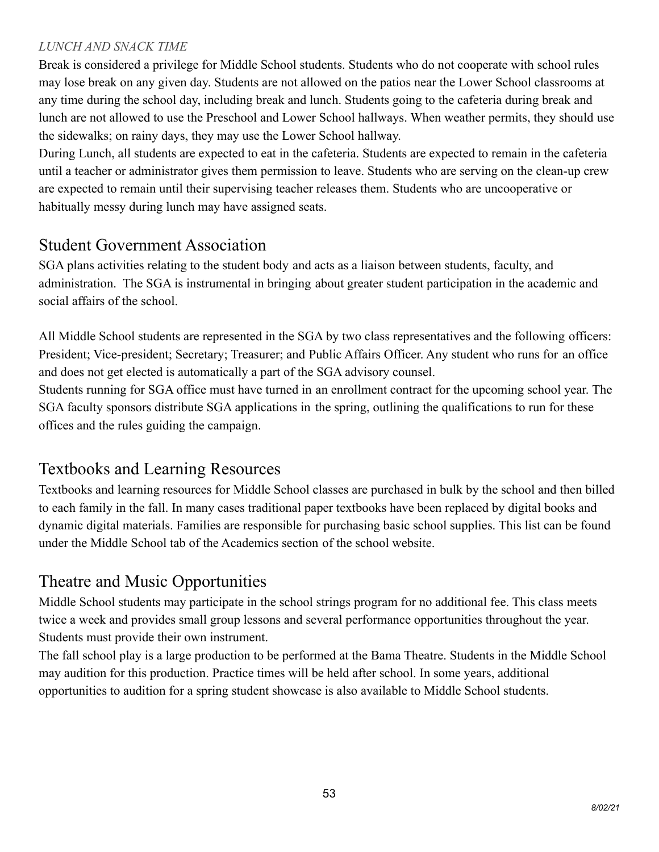#### *LUNCH AND SNACK TIME*

Break is considered a privilege for Middle School students. Students who do not cooperate with school rules may lose break on any given day. Students are not allowed on the patios near the Lower School classrooms at any time during the school day, including break and lunch. Students going to the cafeteria during break and lunch are not allowed to use the Preschool and Lower School hallways. When weather permits, they should use the sidewalks; on rainy days, they may use the Lower School hallway.

During Lunch, all students are expected to eat in the cafeteria. Students are expected to remain in the cafeteria until a teacher or administrator gives them permission to leave. Students who are serving on the clean-up crew are expected to remain until their supervising teacher releases them. Students who are uncooperative or habitually messy during lunch may have assigned seats.

### Student Government Association

SGA plans activities relating to the student body and acts as a liaison between students, faculty, and administration. The SGA is instrumental in bringing about greater student participation in the academic and social affairs of the school.

All Middle School students are represented in the SGA by two class representatives and the following officers: President; Vice-president; Secretary; Treasurer; and Public Affairs Officer. Any student who runs for an office and does not get elected is automatically a part of the SGA advisory counsel.

Students running for SGA office must have turned in an enrollment contract for the upcoming school year. The SGA faculty sponsors distribute SGA applications in the spring, outlining the qualifications to run for these offices and the rules guiding the campaign.

### Textbooks and Learning Resources

Textbooks and learning resources for Middle School classes are purchased in bulk by the school and then billed to each family in the fall. In many cases traditional paper textbooks have been replaced by digital books and dynamic digital materials. Families are responsible for purchasing basic school supplies. This list can be found under the Middle School tab of the Academics section of the school website.

### Theatre and Music Opportunities

Middle School students may participate in the school strings program for no additional fee. This class meets twice a week and provides small group lessons and several performance opportunities throughout the year. Students must provide their own instrument.

The fall school play is a large production to be performed at the Bama Theatre. Students in the Middle School may audition for this production. Practice times will be held after school. In some years, additional opportunities to audition for a spring student showcase is also available to Middle School students.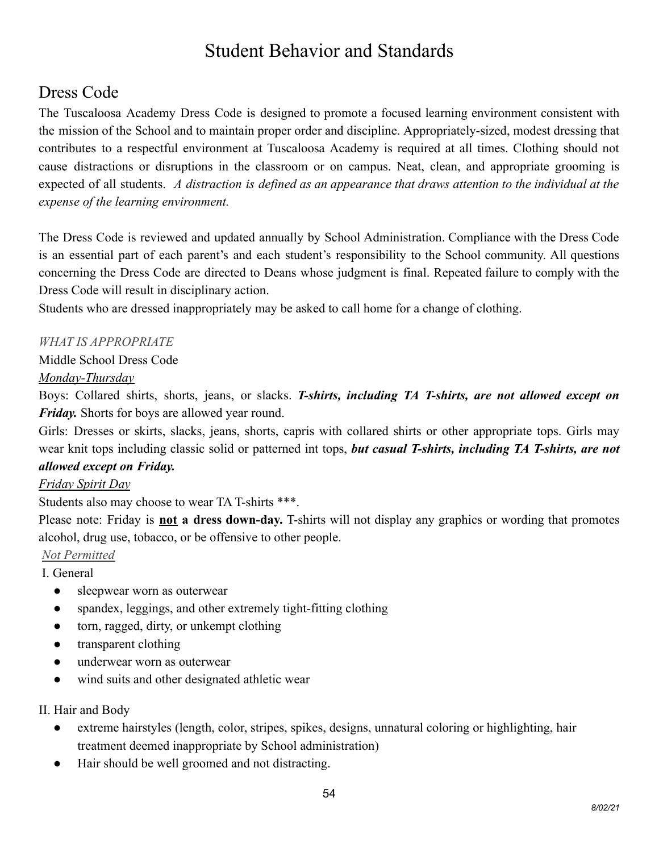## Student Behavior and Standards

### Dress Code

The Tuscaloosa Academy Dress Code is designed to promote a focused learning environment consistent with the mission of the School and to maintain proper order and discipline. Appropriately-sized, modest dressing that contributes to a respectful environment at Tuscaloosa Academy is required at all times. Clothing should not cause distractions or disruptions in the classroom or on campus. Neat, clean, and appropriate grooming is expected of all students. *A distraction is defined as an appearance that draws attention to the individual at the expense of the learning environment.*

The Dress Code is reviewed and updated annually by School Administration. Compliance with the Dress Code is an essential part of each parent's and each student's responsibility to the School community. All questions concerning the Dress Code are directed to Deans whose judgment is final. Repeated failure to comply with the Dress Code will result in disciplinary action.

Students who are dressed inappropriately may be asked to call home for a change of clothing.

#### *WHAT IS APPROPRIATE*

Middle School Dress Code

#### *Monday-Thursday*

Boys: Collared shirts, shorts, jeans, or slacks. *T-shirts, including TA T-shirts, are not allowed except on Friday.* Shorts for boys are allowed year round.

Girls: Dresses or skirts, slacks, jeans, shorts, capris with collared shirts or other appropriate tops. Girls may wear knit tops including classic solid or patterned int tops, *but casual T-shirts, including TA T-shirts, are not allowed except on Friday.*

### *Friday Spirit Day*

Students also may choose to wear TA T-shirts \*\*\*.

Please note: Friday is **not a dress down-day.** T-shirts will not display any graphics or wording that promotes alcohol, drug use, tobacco, or be offensive to other people.

#### *Not Permitted*

I. General

- sleepwear worn as outerwear
- spandex, leggings, and other extremely tight-fitting clothing
- torn, ragged, dirty, or unkempt clothing
- transparent clothing
- underwear worn as outerwear
- wind suits and other designated athletic wear

#### II. Hair and Body

- extreme hairstyles (length, color, stripes, spikes, designs, unnatural coloring or highlighting, hair treatment deemed inappropriate by School administration)
- Hair should be well groomed and not distracting.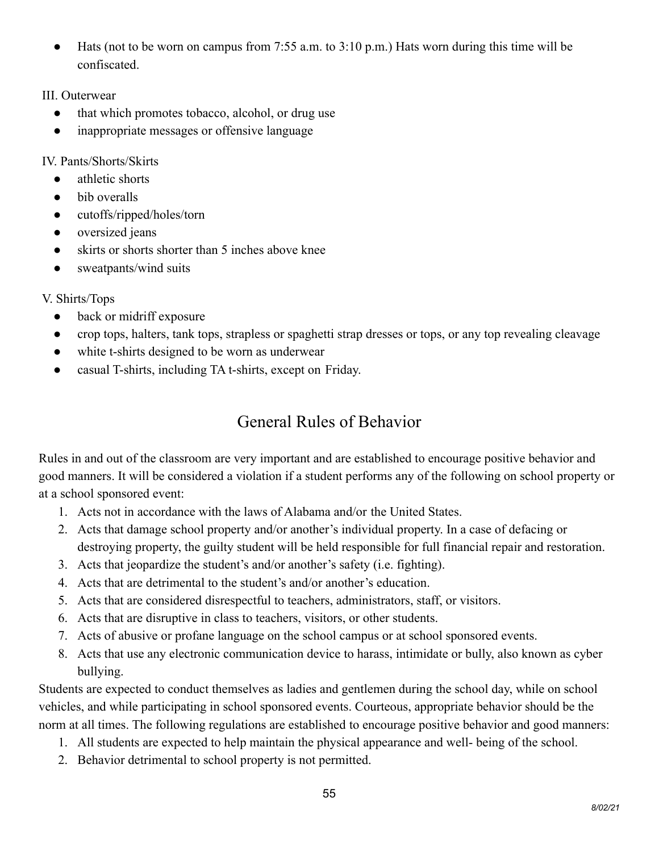Hats (not to be worn on campus from 7:55 a.m. to  $3:10$  p.m.) Hats worn during this time will be confiscated.

III. Outerwear

- that which promotes tobacco, alcohol, or drug use
- inappropriate messages or offensive language

IV. Pants/Shorts/Skirts

- athletic shorts
- bib overalls
- cutoffs/ripped/holes/torn
- oversized jeans
- skirts or shorts shorter than 5 inches above knee
- sweatpants/wind suits

#### V. Shirts/Tops

- back or midriff exposure
- crop tops, halters, tank tops, strapless or spaghetti strap dresses or tops, or any top revealing cleavage
- white t-shirts designed to be worn as underwear
- casual T-shirts, including TA t-shirts, except on Friday.

### General Rules of Behavior

Rules in and out of the classroom are very important and are established to encourage positive behavior and good manners. It will be considered a violation if a student performs any of the following on school property or at a school sponsored event:

- 1. Acts not in accordance with the laws of Alabama and/or the United States.
- 2. Acts that damage school property and/or another's individual property. In a case of defacing or destroying property, the guilty student will be held responsible for full financial repair and restoration.
- 3. Acts that jeopardize the student's and/or another's safety (i.e. fighting).
- 4. Acts that are detrimental to the student's and/or another's education.
- 5. Acts that are considered disrespectful to teachers, administrators, staff, or visitors.
- 6. Acts that are disruptive in class to teachers, visitors, or other students.
- 7. Acts of abusive or profane language on the school campus or at school sponsored events.
- 8. Acts that use any electronic communication device to harass, intimidate or bully, also known as cyber bullying.

Students are expected to conduct themselves as ladies and gentlemen during the school day, while on school vehicles, and while participating in school sponsored events. Courteous, appropriate behavior should be the norm at all times. The following regulations are established to encourage positive behavior and good manners:

- 1. All students are expected to help maintain the physical appearance and well- being of the school.
- 2. Behavior detrimental to school property is not permitted.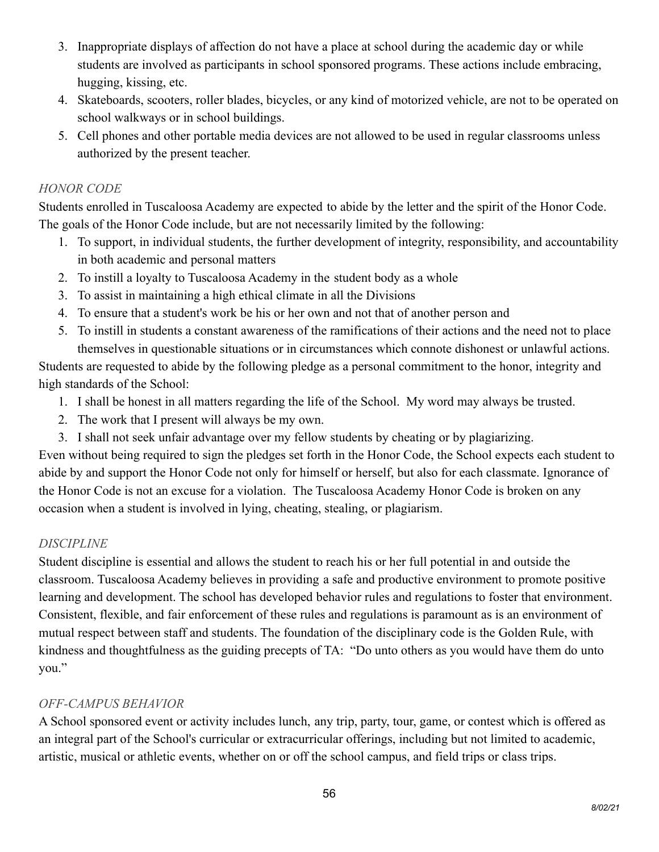- 3. Inappropriate displays of affection do not have a place at school during the academic day or while students are involved as participants in school sponsored programs. These actions include embracing, hugging, kissing, etc.
- 4. Skateboards, scooters, roller blades, bicycles, or any kind of motorized vehicle, are not to be operated on school walkways or in school buildings.
- 5. Cell phones and other portable media devices are not allowed to be used in regular classrooms unless authorized by the present teacher.

#### *HONOR CODE*

Students enrolled in Tuscaloosa Academy are expected to abide by the letter and the spirit of the Honor Code. The goals of the Honor Code include, but are not necessarily limited by the following:

- 1. To support, in individual students, the further development of integrity, responsibility, and accountability in both academic and personal matters
- 2. To instill a loyalty to Tuscaloosa Academy in the student body as a whole
- 3. To assist in maintaining a high ethical climate in all the Divisions
- 4. To ensure that a student's work be his or her own and not that of another person and
- 5. To instill in students a constant awareness of the ramifications of their actions and the need not to place themselves in questionable situations or in circumstances which connote dishonest or unlawful actions.

Students are requested to abide by the following pledge as a personal commitment to the honor, integrity and high standards of the School:

- 1. I shall be honest in all matters regarding the life of the School. My word may always be trusted.
- 2. The work that I present will always be my own.
- 3. I shall not seek unfair advantage over my fellow students by cheating or by plagiarizing.

Even without being required to sign the pledges set forth in the Honor Code, the School expects each student to abide by and support the Honor Code not only for himself or herself, but also for each classmate. Ignorance of the Honor Code is not an excuse for a violation. The Tuscaloosa Academy Honor Code is broken on any occasion when a student is involved in lying, cheating, stealing, or plagiarism.

#### *DISCIPLINE*

Student discipline is essential and allows the student to reach his or her full potential in and outside the classroom. Tuscaloosa Academy believes in providing a safe and productive environment to promote positive learning and development. The school has developed behavior rules and regulations to foster that environment. Consistent, flexible, and fair enforcement of these rules and regulations is paramount as is an environment of mutual respect between staff and students. The foundation of the disciplinary code is the Golden Rule, with kindness and thoughtfulness as the guiding precepts of TA: "Do unto others as you would have them do unto you."

#### *OFF-CAMPUS BEHAVIOR*

A School sponsored event or activity includes lunch, any trip, party, tour, game, or contest which is offered as an integral part of the School's curricular or extracurricular offerings, including but not limited to academic, artistic, musical or athletic events, whether on or off the school campus, and field trips or class trips.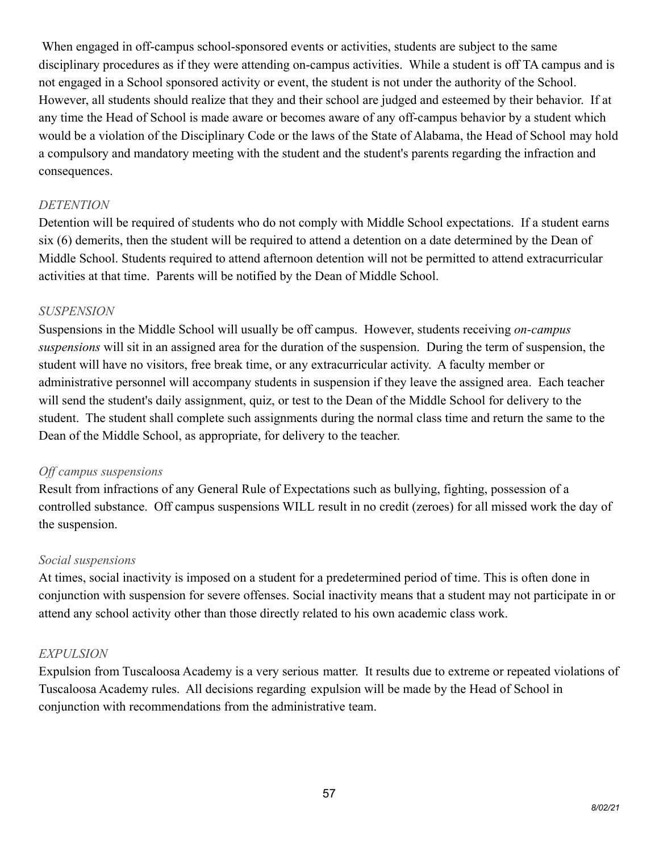When engaged in off-campus school-sponsored events or activities, students are subject to the same disciplinary procedures as if they were attending on-campus activities. While a student is off TA campus and is not engaged in a School sponsored activity or event, the student is not under the authority of the School. However, all students should realize that they and their school are judged and esteemed by their behavior. If at any time the Head of School is made aware or becomes aware of any off-campus behavior by a student which would be a violation of the Disciplinary Code or the laws of the State of Alabama, the Head of School may hold a compulsory and mandatory meeting with the student and the student's parents regarding the infraction and consequences.

#### *DETENTION*

Detention will be required of students who do not comply with Middle School expectations. If a student earns six (6) demerits, then the student will be required to attend a detention on a date determined by the Dean of Middle School. Students required to attend afternoon detention will not be permitted to attend extracurricular activities at that time. Parents will be notified by the Dean of Middle School.

#### *SUSPENSION*

Suspensions in the Middle School will usually be off campus. However, students receiving *on-campus suspensions* will sit in an assigned area for the duration of the suspension. During the term of suspension, the student will have no visitors, free break time, or any extracurricular activity. A faculty member or administrative personnel will accompany students in suspension if they leave the assigned area. Each teacher will send the student's daily assignment, quiz, or test to the Dean of the Middle School for delivery to the student. The student shall complete such assignments during the normal class time and return the same to the Dean of the Middle School, as appropriate, for delivery to the teacher.

#### *Off campus suspensions*

Result from infractions of any General Rule of Expectations such as bullying, fighting, possession of a controlled substance. Off campus suspensions WILL result in no credit (zeroes) for all missed work the day of the suspension.

#### *Social suspensions*

At times, social inactivity is imposed on a student for a predetermined period of time. This is often done in conjunction with suspension for severe offenses. Social inactivity means that a student may not participate in or attend any school activity other than those directly related to his own academic class work.

#### *EXPULSION*

Expulsion from Tuscaloosa Academy is a very serious matter. It results due to extreme or repeated violations of Tuscaloosa Academy rules. All decisions regarding expulsion will be made by the Head of School in conjunction with recommendations from the administrative team.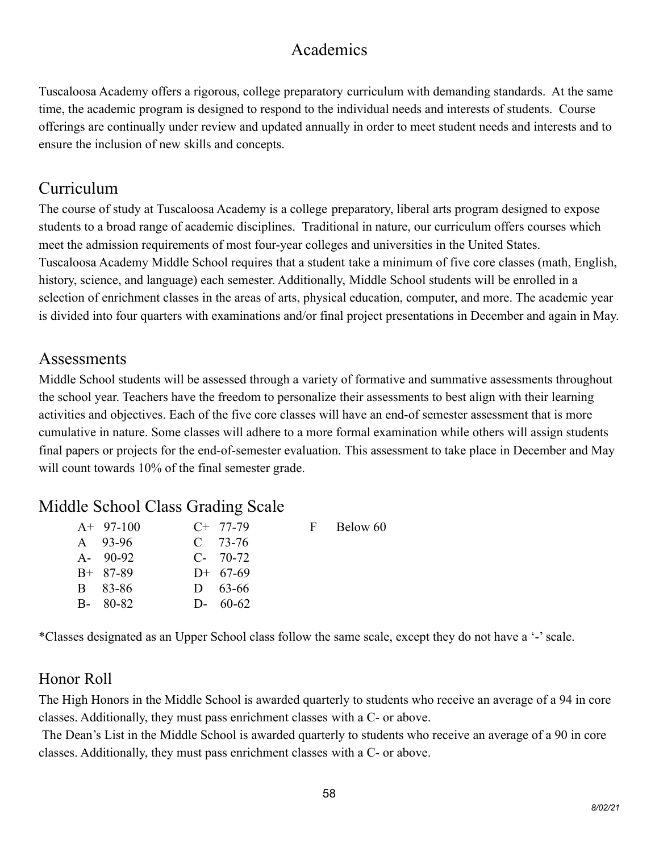### Academics

Tuscaloosa Academy offers a rigorous, college preparatory curriculum with demanding standards. At the same time, the academic program is designed to respond to the individual needs and interests of students. Course offerings are continually under review and updated annually in order to meet student needs and interests and to ensure the inclusion of new skills and concepts.

### Curriculum

The course of study at Tuscaloosa Academy is a college preparatory, liberal arts program designed to expose students to a broad range of academic disciplines. Traditional in nature, our curriculum offers courses which meet the admission requirements of most four-year colleges and universities in the United States. Tuscaloosa Academy Middle School requires that a student take a minimum of five core classes (math, English, history, science, and language) each semester. Additionally, Middle School students will be enrolled in a selection of enrichment classes in the areas of arts, physical education, computer, and more. The academic year is divided into four quarters with examinations and/or final project presentations in December and again in May.

### **Assessments**

Middle School students will be assessed through a variety of formative and summative assessments throughout the school year. Teachers have the freedom to personalize their assessments to best align with their learning activities and objectives. Each of the five core classes will have an end-of semester assessment that is more cumulative in nature. Some classes will adhere to a more formal examination while others will assign students final papers or projects for the end-of-semester evaluation. This assessment to take place in December and May will count towards 10% of the final semester grade.

### Middle School Class Grading Scale

| $A+97-100$  | $C+ 77-79$  | F. | Below 60 |
|-------------|-------------|----|----------|
| A 93-96     | $C$ 73-76   |    |          |
| $A - 90-92$ | $C - 70-72$ |    |          |
| $B+ 87-89$  | $D+ 67-69$  |    |          |
| B 83-86     | $D = 63-66$ |    |          |
| B- 80-82    | $D - 60-62$ |    |          |

\*Classes designated as an Upper School class follow the same scale, except they do not have a '-' scale.

### Honor Roll

The High Honors in the Middle School is awarded quarterly to students who receive an average of a 94 in core classes. Additionally, they must pass enrichment classes with a C- or above.

The Dean's List in the Middle School is awarded quarterly to students who receive an average of a 90 in core classes. Additionally, they must pass enrichment classes with a C- or above.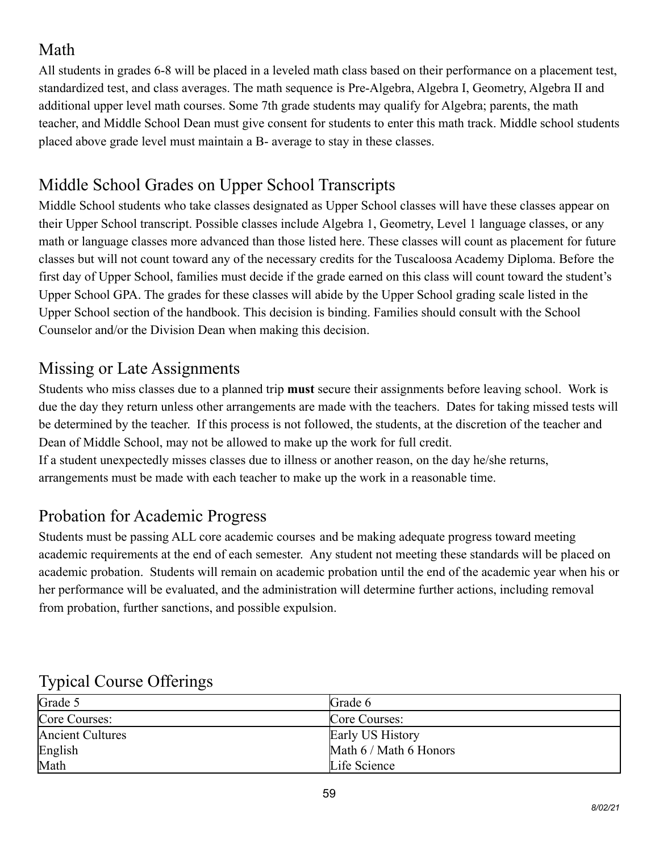### Math

All students in grades 6-8 will be placed in a leveled math class based on their performance on a placement test, standardized test, and class averages. The math sequence is Pre-Algebra, Algebra I, Geometry, Algebra II and additional upper level math courses. Some 7th grade students may qualify for Algebra; parents, the math teacher, and Middle School Dean must give consent for students to enter this math track. Middle school students placed above grade level must maintain a B- average to stay in these classes.

### Middle School Grades on Upper School Transcripts

Middle School students who take classes designated as Upper School classes will have these classes appear on their Upper School transcript. Possible classes include Algebra 1, Geometry, Level 1 language classes, or any math or language classes more advanced than those listed here. These classes will count as placement for future classes but will not count toward any of the necessary credits for the Tuscaloosa Academy Diploma. Before the first day of Upper School, families must decide if the grade earned on this class will count toward the student's Upper School GPA. The grades for these classes will abide by the Upper School grading scale listed in the Upper School section of the handbook. This decision is binding. Families should consult with the School Counselor and/or the Division Dean when making this decision.

### Missing or Late Assignments

Students who miss classes due to a planned trip **must** secure their assignments before leaving school. Work is due the day they return unless other arrangements are made with the teachers. Dates for taking missed tests will be determined by the teacher. If this process is not followed, the students, at the discretion of the teacher and Dean of Middle School, may not be allowed to make up the work for full credit.

If a student unexpectedly misses classes due to illness or another reason, on the day he/she returns, arrangements must be made with each teacher to make up the work in a reasonable time.

### Probation for Academic Progress

Students must be passing ALL core academic courses and be making adequate progress toward meeting academic requirements at the end of each semester. Any student not meeting these standards will be placed on academic probation. Students will remain on academic probation until the end of the academic year when his or her performance will be evaluated, and the administration will determine further actions, including removal from probation, further sanctions, and possible expulsion.

| Grade 5                 | Grade 6                |
|-------------------------|------------------------|
| Core Courses:           | Core Courses:          |
| <b>Ancient Cultures</b> | Early US History       |
| English                 | Math 6 / Math 6 Honors |
| Math                    | Life Science           |

### Typical Course Offerings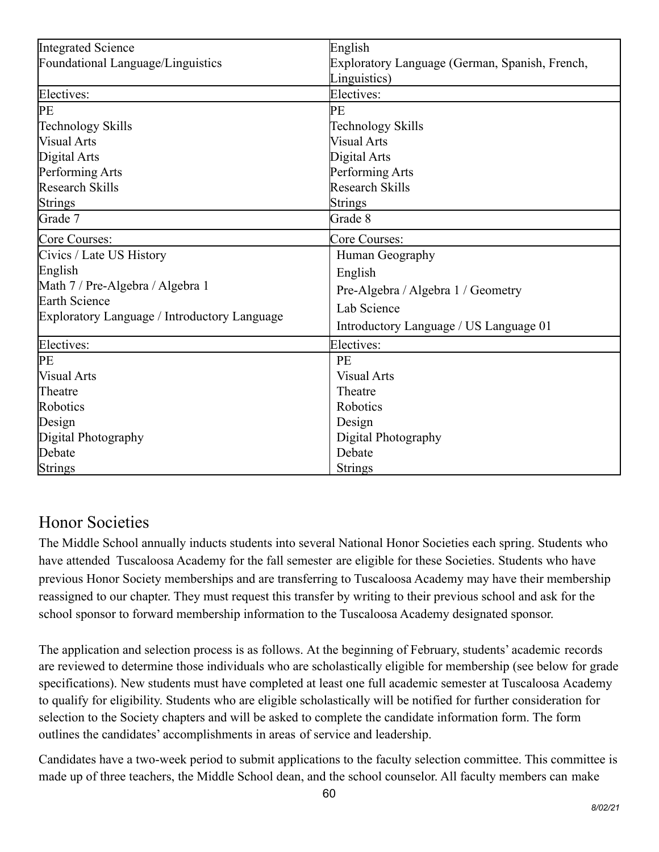| <b>Integrated Science</b>                    | English                                        |  |  |
|----------------------------------------------|------------------------------------------------|--|--|
| Foundational Language/Linguistics            | Exploratory Language (German, Spanish, French, |  |  |
|                                              | Linguistics)                                   |  |  |
| Electives:                                   | Electives:                                     |  |  |
| PE                                           | PЕ                                             |  |  |
| Technology Skills                            | Technology Skills                              |  |  |
| Visual Arts                                  | <b>Visual Arts</b>                             |  |  |
| Digital Arts                                 | Digital Arts                                   |  |  |
| Performing Arts                              | Performing Arts                                |  |  |
| Research Skills                              | Research Skills                                |  |  |
| <b>Strings</b>                               | <b>Strings</b>                                 |  |  |
| Grade 7                                      | Grade 8                                        |  |  |
| Core Courses:                                | Core Courses:                                  |  |  |
| Civics / Late US History                     | Human Geography                                |  |  |
| English                                      | English                                        |  |  |
| Math 7 / Pre-Algebra / Algebra 1             | Pre-Algebra / Algebra 1 / Geometry             |  |  |
| Earth Science                                | Lab Science                                    |  |  |
| Exploratory Language / Introductory Language | Introductory Language / US Language 01         |  |  |
|                                              |                                                |  |  |
| Electives:                                   | Electives:                                     |  |  |
| PE                                           | <b>PE</b>                                      |  |  |
| <b>Visual Arts</b>                           | <b>Visual Arts</b>                             |  |  |
| Theatre                                      | Theatre                                        |  |  |
| Robotics                                     | <b>Robotics</b>                                |  |  |
| Design                                       | Design                                         |  |  |
| Digital Photography                          | Digital Photography                            |  |  |
| Debate                                       | Debate                                         |  |  |
| Strings                                      | <b>Strings</b>                                 |  |  |

### Honor Societies

The Middle School annually inducts students into several National Honor Societies each spring. Students who have attended Tuscaloosa Academy for the fall semester are eligible for these Societies. Students who have previous Honor Society memberships and are transferring to Tuscaloosa Academy may have their membership reassigned to our chapter. They must request this transfer by writing to their previous school and ask for the school sponsor to forward membership information to the Tuscaloosa Academy designated sponsor.

The application and selection process is as follows. At the beginning of February, students' academic records are reviewed to determine those individuals who are scholastically eligible for membership (see below for grade specifications). New students must have completed at least one full academic semester at Tuscaloosa Academy to qualify for eligibility. Students who are eligible scholastically will be notified for further consideration for selection to the Society chapters and will be asked to complete the candidate information form. The form outlines the candidates' accomplishments in areas of service and leadership.

Candidates have a two-week period to submit applications to the faculty selection committee. This committee is made up of three teachers, the Middle School dean, and the school counselor. All faculty members can make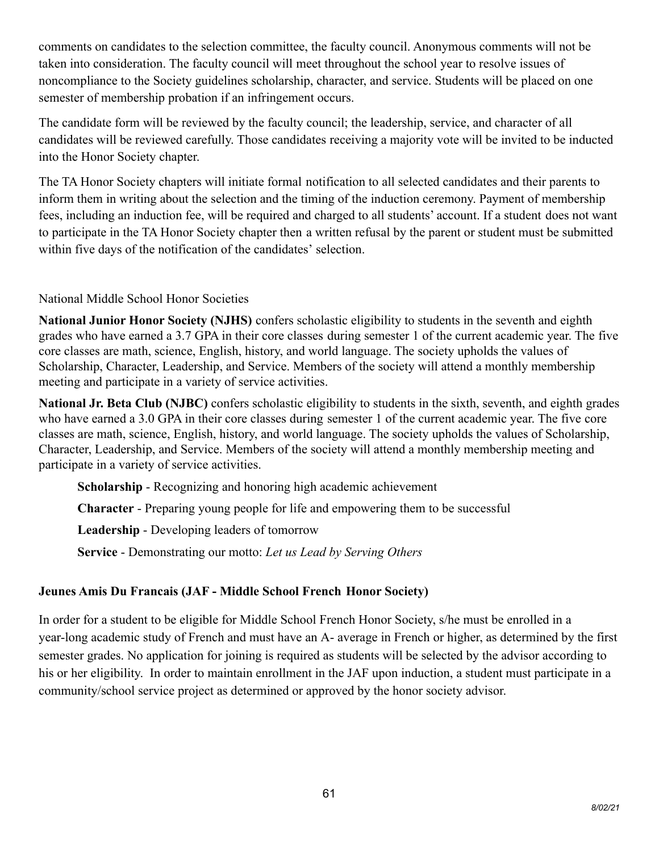comments on candidates to the selection committee, the faculty council. Anonymous comments will not be taken into consideration. The faculty council will meet throughout the school year to resolve issues of noncompliance to the Society guidelines scholarship, character, and service. Students will be placed on one semester of membership probation if an infringement occurs.

The candidate form will be reviewed by the faculty council; the leadership, service, and character of all candidates will be reviewed carefully. Those candidates receiving a majority vote will be invited to be inducted into the Honor Society chapter.

The TA Honor Society chapters will initiate formal notification to all selected candidates and their parents to inform them in writing about the selection and the timing of the induction ceremony. Payment of membership fees, including an induction fee, will be required and charged to all students' account. If a student does not want to participate in the TA Honor Society chapter then a written refusal by the parent or student must be submitted within five days of the notification of the candidates' selection.

#### National Middle School Honor Societies

**National Junior Honor Society (NJHS)** confers scholastic eligibility to students in the seventh and eighth grades who have earned a 3.7 GPA in their core classes during semester 1 of the current academic year. The five core classes are math, science, English, history, and world language. The society upholds the values of Scholarship, Character, Leadership, and Service. Members of the society will attend a monthly membership meeting and participate in a variety of service activities.

**National Jr. Beta Club (NJBC)** confers scholastic eligibility to students in the sixth, seventh, and eighth grades who have earned a 3.0 GPA in their core classes during semester 1 of the current academic year. The five core classes are math, science, English, history, and world language. The society upholds the values of Scholarship, Character, Leadership, and Service. Members of the society will attend a monthly membership meeting and participate in a variety of service activities.

**Scholarship** - Recognizing and honoring high academic achievement

**Character** - Preparing young people for life and empowering them to be successful

**Leadership** - Developing leaders of tomorrow

**Service** - Demonstrating our motto: *Let us Lead by Serving Others*

#### **Jeunes Amis Du Francais (JAF - Middle School French Honor Society)**

In order for a student to be eligible for Middle School French Honor Society, s/he must be enrolled in a year-long academic study of French and must have an A- average in French or higher, as determined by the first semester grades. No application for joining is required as students will be selected by the advisor according to his or her eligibility. In order to maintain enrollment in the JAF upon induction, a student must participate in a community/school service project as determined or approved by the honor society advisor.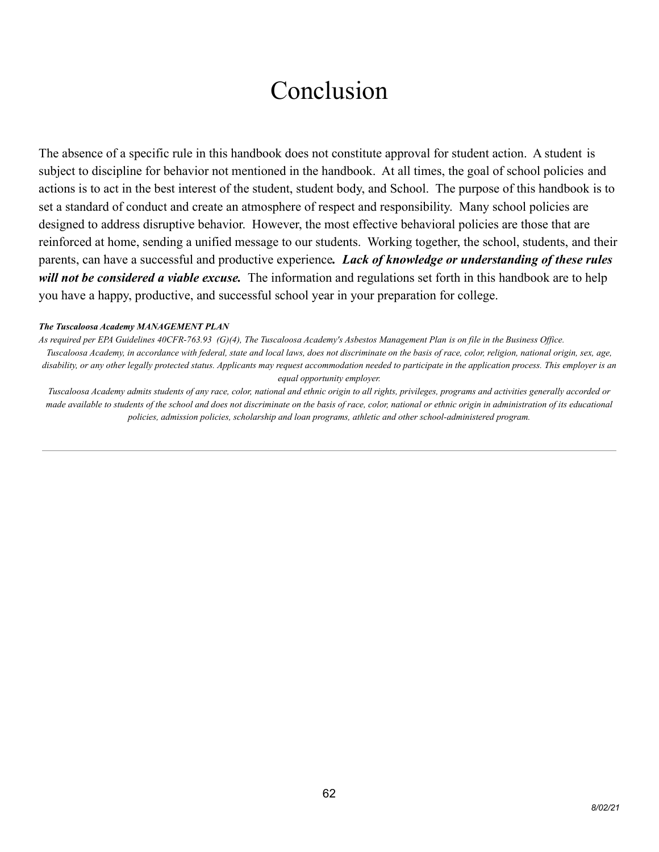## Conclusion

The absence of a specific rule in this handbook does not constitute approval for student action. A student is subject to discipline for behavior not mentioned in the handbook. At all times, the goal of school policies and actions is to act in the best interest of the student, student body, and School. The purpose of this handbook is to set a standard of conduct and create an atmosphere of respect and responsibility. Many school policies are designed to address disruptive behavior. However, the most effective behavioral policies are those that are reinforced at home, sending a unified message to our students. Working together, the school, students, and their parents, can have a successful and productive experience*. Lack of knowledge or understanding of these rules will not be considered a viable excuse.* The information and regulations set forth in this handbook are to help you have a happy, productive, and successful school year in your preparation for college.

#### *The Tuscaloosa Academy MANAGEMENT PLAN*

As required per EPA Guidelines 40CFR-763.93 (G)(4), The Tuscaloosa Academy's Asbestos Management Plan is on file in the Business Office. Tuscaloosa Academy, in accordance with federal, state and local laws, does not discriminate on the basis of race, color, religion, national origin, sex, age, disability, or any other legally protected status. Applicants may request accommodation needed to participate in the application process. This employer is an *equal opportunity employer.*

Tuscaloosa Academy admits students of any race, color, national and ethnic origin to all rights, privileges, programs and activities generally accorded or made available to students of the school and does not discriminate on the basis of race, color, national or ethnic origin in administration of its educational *policies, admission policies, scholarship and loan programs, athletic and other school-administered program.*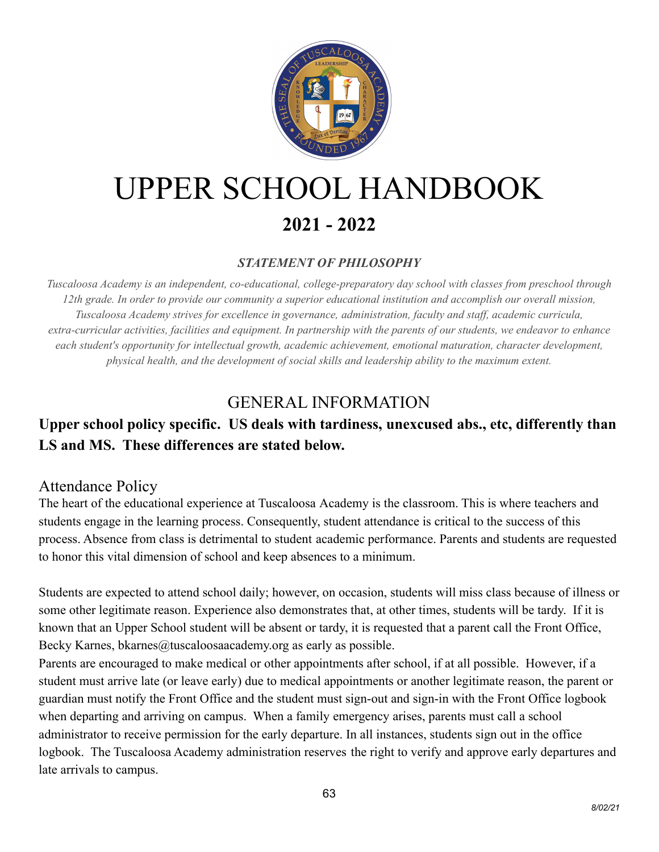

## UPPER SCHOOL HANDBOOK **2021 - 2022**

#### *STATEMENT OF PHILOSOPHY*

*Tuscaloosa Academy is an independent, co-educational, college-preparatory day school with classes from preschool through 12th grade. In order to provide our community a superior educational institution and accomplish our overall mission, Tuscaloosa Academy strives for excellence in governance, administration, faculty and staff, academic curricula, extra-curricular activities, facilities and equipment. In partnership with the parents of our students, we endeavor to enhance each student's opportunity for intellectual growth, academic achievement, emotional maturation, character development, physical health, and the development of social skills and leadership ability to the maximum extent.*

### GENERAL INFORMATION

### **Upper school policy specific. US deals with tardiness, unexcused abs., etc, differently than LS and MS. These differences are stated below.**

### Attendance Policy

The heart of the educational experience at Tuscaloosa Academy is the classroom. This is where teachers and students engage in the learning process. Consequently, student attendance is critical to the success of this process. Absence from class is detrimental to student academic performance. Parents and students are requested to honor this vital dimension of school and keep absences to a minimum.

Students are expected to attend school daily; however, on occasion, students will miss class because of illness or some other legitimate reason. Experience also demonstrates that, at other times, students will be tardy. If it is known that an Upper School student will be absent or tardy, it is requested that a parent call the Front Office, Becky Karnes, bkarnes@tuscaloosaacademy.org as early as possible.

Parents are encouraged to make medical or other appointments after school, if at all possible. However, if a student must arrive late (or leave early) due to medical appointments or another legitimate reason, the parent or guardian must notify the Front Office and the student must sign-out and sign-in with the Front Office logbook when departing and arriving on campus. When a family emergency arises, parents must call a school administrator to receive permission for the early departure. In all instances, students sign out in the office logbook. The Tuscaloosa Academy administration reserves the right to verify and approve early departures and late arrivals to campus.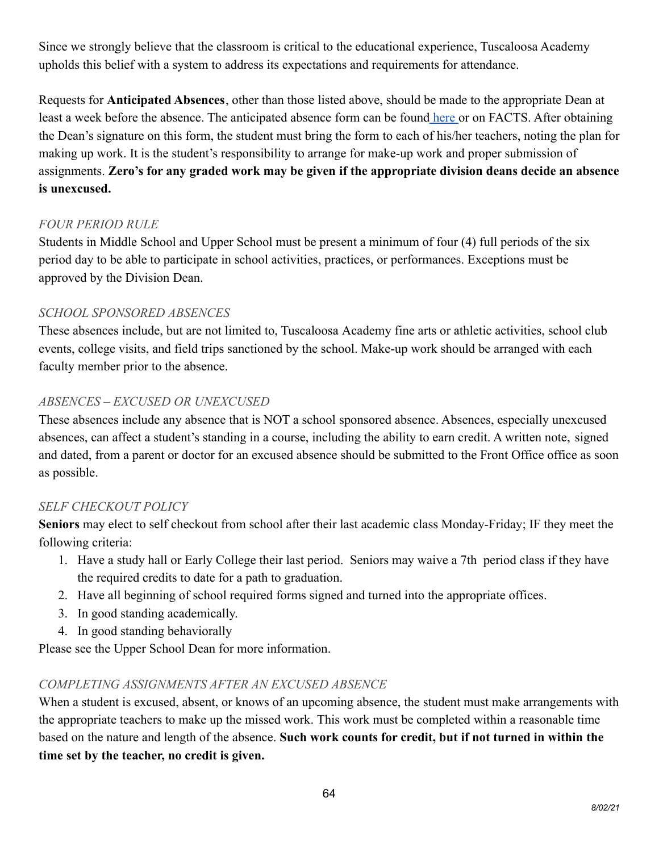Since we strongly believe that the classroom is critical to the educational experience, Tuscaloosa Academy upholds this belief with a system to address its expectations and requirements for attendance.

Requests for **Anticipated Absences**, other than those listed above, should be made to the appropriate Dean at least a week before the absence. The anticipated absence form can be found [here](https://docs.google.com/document/d/10LX1dDMFfA55JAOdhto7rD-4GUQ5hy0GFfiZYTsY8DM/edit?usp=sharing) or on FACTS. After obtaining the Dean's signature on this form, the student must bring the form to each of his/her teachers, noting the plan for making up work. It is the student's responsibility to arrange for make-up work and proper submission of assignments. **Zero's for any graded work may be given if the appropriate division deans decide an absence is unexcused.**

#### *FOUR PERIOD RULE*

Students in Middle School and Upper School must be present a minimum of four (4) full periods of the six period day to be able to participate in school activities, practices, or performances. Exceptions must be approved by the Division Dean.

#### *SCHOOL SPONSORED ABSENCES*

These absences include, but are not limited to, Tuscaloosa Academy fine arts or athletic activities, school club events, college visits, and field trips sanctioned by the school. Make-up work should be arranged with each faculty member prior to the absence.

#### *ABSENCES – EXCUSED OR UNEXCUSED*

These absences include any absence that is NOT a school sponsored absence. Absences, especially unexcused absences, can affect a student's standing in a course, including the ability to earn credit. A written note, signed and dated, from a parent or doctor for an excused absence should be submitted to the Front Office office as soon as possible.

#### *SELF CHECKOUT POLICY*

**Seniors** may elect to self checkout from school after their last academic class Monday-Friday; IF they meet the following criteria:

- 1. Have a study hall or Early College their last period. Seniors may waive a 7th period class if they have the required credits to date for a path to graduation.
- 2. Have all beginning of school required forms signed and turned into the appropriate offices.
- 3. In good standing academically.
- 4. In good standing behaviorally

Please see the Upper School Dean for more information.

#### *COMPLETING ASSIGNMENTS AFTER AN EXCUSED ABSENCE*

When a student is excused, absent, or knows of an upcoming absence, the student must make arrangements with the appropriate teachers to make up the missed work. This work must be completed within a reasonable time based on the nature and length of the absence. **Such work counts for credit, but if not turned in within the time set by the teacher, no credit is given.**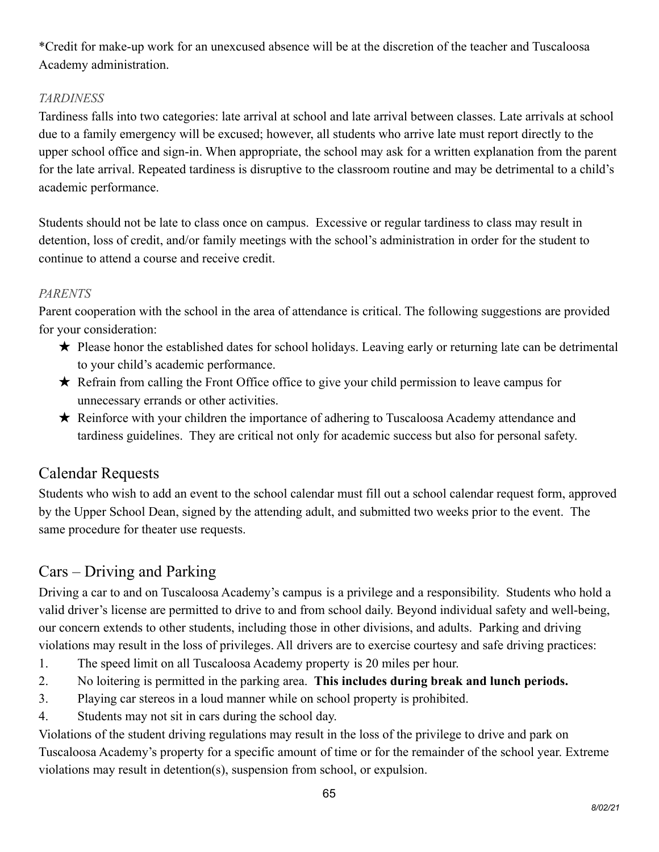\*Credit for make-up work for an unexcused absence will be at the discretion of the teacher and Tuscaloosa Academy administration.

#### *TARDINESS*

Tardiness falls into two categories: late arrival at school and late arrival between classes. Late arrivals at school due to a family emergency will be excused; however, all students who arrive late must report directly to the upper school office and sign-in. When appropriate, the school may ask for a written explanation from the parent for the late arrival. Repeated tardiness is disruptive to the classroom routine and may be detrimental to a child's academic performance.

Students should not be late to class once on campus. Excessive or regular tardiness to class may result in detention, loss of credit, and/or family meetings with the school's administration in order for the student to continue to attend a course and receive credit.

#### *PARENTS*

Parent cooperation with the school in the area of attendance is critical. The following suggestions are provided for your consideration:

- ★ Please honor the established dates for school holidays. Leaving early or returning late can be detrimental to your child's academic performance.
- ★ Refrain from calling the Front Office office to give your child permission to leave campus for unnecessary errands or other activities.
- ★ Reinforce with your children the importance of adhering to Tuscaloosa Academy attendance and tardiness guidelines. They are critical not only for academic success but also for personal safety.

### Calendar Requests

Students who wish to add an event to the school calendar must fill out a school calendar request form, approved by the Upper School Dean, signed by the attending adult, and submitted two weeks prior to the event. The same procedure for theater use requests.

### Cars – Driving and Parking

Driving a car to and on Tuscaloosa Academy's campus is a privilege and a responsibility. Students who hold a valid driver's license are permitted to drive to and from school daily. Beyond individual safety and well-being, our concern extends to other students, including those in other divisions, and adults. Parking and driving violations may result in the loss of privileges. All drivers are to exercise courtesy and safe driving practices:

- 1. The speed limit on all Tuscaloosa Academy property is 20 miles per hour.
- 2. No loitering is permitted in the parking area. **This includes during break and lunch periods.**
- 3. Playing car stereos in a loud manner while on school property is prohibited.
- 4. Students may not sit in cars during the school day.

Violations of the student driving regulations may result in the loss of the privilege to drive and park on Tuscaloosa Academy's property for a specific amount of time or for the remainder of the school year. Extreme violations may result in detention(s), suspension from school, or expulsion.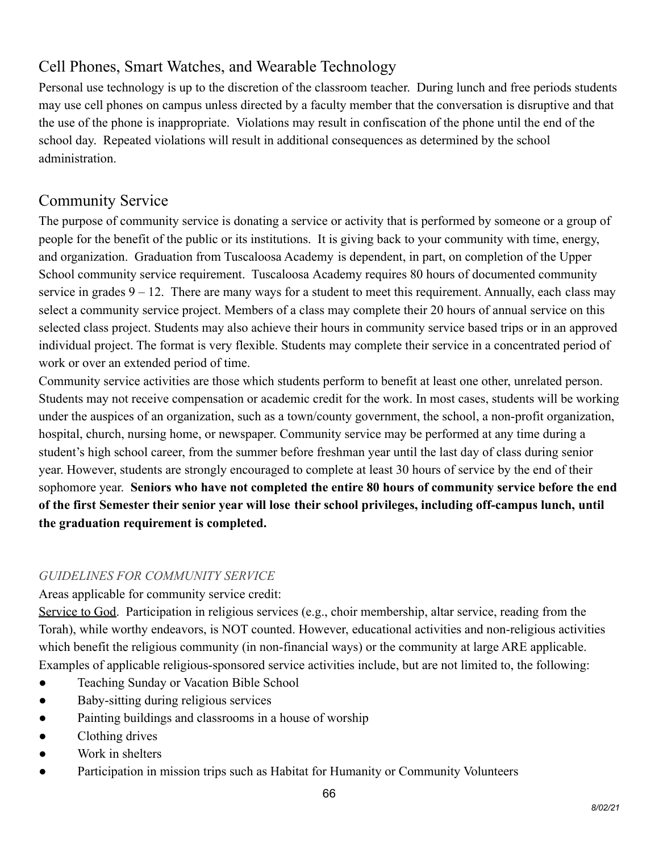### Cell Phones, Smart Watches, and Wearable Technology

Personal use technology is up to the discretion of the classroom teacher. During lunch and free periods students may use cell phones on campus unless directed by a faculty member that the conversation is disruptive and that the use of the phone is inappropriate. Violations may result in confiscation of the phone until the end of the school day. Repeated violations will result in additional consequences as determined by the school administration.

### Community Service

The purpose of community service is donating a service or activity that is performed by someone or a group of people for the benefit of the public or its institutions. It is giving back to your community with time, energy, and organization. Graduation from Tuscaloosa Academy is dependent, in part, on completion of the Upper School community service requirement. Tuscaloosa Academy requires 80 hours of documented community service in grades  $9 - 12$ . There are many ways for a student to meet this requirement. Annually, each class may select a community service project. Members of a class may complete their 20 hours of annual service on this selected class project. Students may also achieve their hours in community service based trips or in an approved individual project. The format is very flexible. Students may complete their service in a concentrated period of work or over an extended period of time.

Community service activities are those which students perform to benefit at least one other, unrelated person. Students may not receive compensation or academic credit for the work. In most cases, students will be working under the auspices of an organization, such as a town/county government, the school, a non-profit organization, hospital, church, nursing home, or newspaper. Community service may be performed at any time during a student's high school career, from the summer before freshman year until the last day of class during senior year. However, students are strongly encouraged to complete at least 30 hours of service by the end of their sophomore year. **Seniors who have not completed the entire 80 hours of community service before the end of the first Semester their senior year will lose their school privileges, including off-campus lunch, until the graduation requirement is completed.**

#### *GUIDELINES FOR COMMUNITY SERVICE*

Areas applicable for community service credit:

Service to God. Participation in religious services (e.g., choir membership, altar service, reading from the Torah), while worthy endeavors, is NOT counted. However, educational activities and non-religious activities which benefit the religious community (in non-financial ways) or the community at large ARE applicable. Examples of applicable religious-sponsored service activities include, but are not limited to, the following:

- Teaching Sunday or Vacation Bible School
- Baby-sitting during religious services
- Painting buildings and classrooms in a house of worship
- Clothing drives
- Work in shelters
- Participation in mission trips such as Habitat for Humanity or Community Volunteers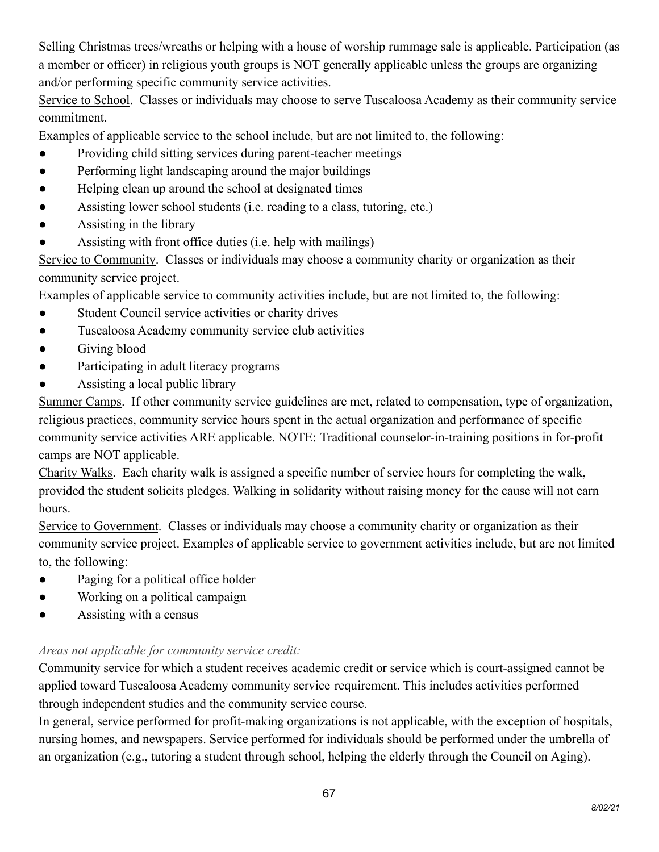Selling Christmas trees/wreaths or helping with a house of worship rummage sale is applicable. Participation (as a member or officer) in religious youth groups is NOT generally applicable unless the groups are organizing and/or performing specific community service activities.

Service to School. Classes or individuals may choose to serve Tuscaloosa Academy as their community service commitment.

Examples of applicable service to the school include, but are not limited to, the following:

- Providing child sitting services during parent-teacher meetings
- Performing light landscaping around the major buildings
- Helping clean up around the school at designated times
- Assisting lower school students (i.e. reading to a class, tutoring, etc.)
- Assisting in the library
- Assisting with front office duties (i.e. help with mailings)

Service to Community. Classes or individuals may choose a community charity or organization as their community service project.

Examples of applicable service to community activities include, but are not limited to, the following:

- Student Council service activities or charity drives
- Tuscaloosa Academy community service club activities
- Giving blood
- Participating in adult literacy programs
- Assisting a local public library

Summer Camps. If other community service guidelines are met, related to compensation, type of organization, religious practices, community service hours spent in the actual organization and performance of specific community service activities ARE applicable. NOTE: Traditional counselor-in-training positions in for-profit camps are NOT applicable.

Charity Walks. Each charity walk is assigned a specific number of service hours for completing the walk, provided the student solicits pledges. Walking in solidarity without raising money for the cause will not earn hours.

Service to Government. Classes or individuals may choose a community charity or organization as their community service project. Examples of applicable service to government activities include, but are not limited to, the following:

- Paging for a political office holder
- Working on a political campaign
- Assisting with a census

#### *Areas not applicable for community service credit:*

Community service for which a student receives academic credit or service which is court-assigned cannot be applied toward Tuscaloosa Academy community service requirement. This includes activities performed through independent studies and the community service course.

In general, service performed for profit-making organizations is not applicable, with the exception of hospitals, nursing homes, and newspapers. Service performed for individuals should be performed under the umbrella of an organization (e.g., tutoring a student through school, helping the elderly through the Council on Aging).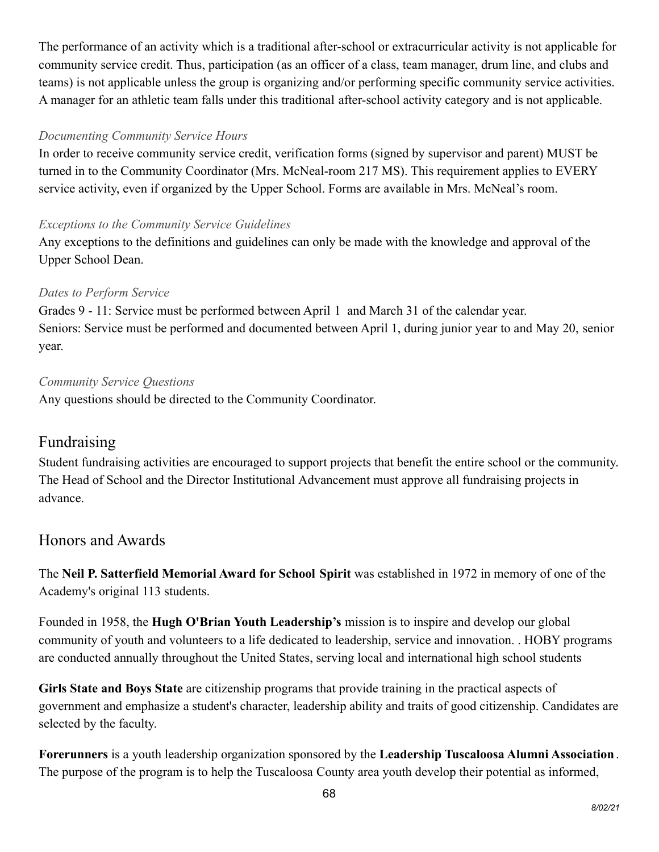The performance of an activity which is a traditional after-school or extracurricular activity is not applicable for community service credit. Thus, participation (as an officer of a class, team manager, drum line, and clubs and teams) is not applicable unless the group is organizing and/or performing specific community service activities. A manager for an athletic team falls under this traditional after-school activity category and is not applicable.

#### *Documenting Community Service Hours*

In order to receive community service credit, verification forms (signed by supervisor and parent) MUST be turned in to the Community Coordinator (Mrs. McNeal-room 217 MS). This requirement applies to EVERY service activity, even if organized by the Upper School. Forms are available in Mrs. McNeal's room.

#### *Exceptions to the Community Service Guidelines*

Any exceptions to the definitions and guidelines can only be made with the knowledge and approval of the Upper School Dean.

#### *Dates to Perform Service*

Grades 9 - 11: Service must be performed between April 1 and March 31 of the calendar year. Seniors: Service must be performed and documented between April 1, during junior year to and May 20, senior year.

#### *Community Service Questions*

Any questions should be directed to the Community Coordinator.

### Fundraising

Student fundraising activities are encouraged to support projects that benefit the entire school or the community. The Head of School and the Director Institutional Advancement must approve all fundraising projects in advance.

### Honors and Awards

The **Neil P. Satterfield Memorial Award for School Spirit** was established in 1972 in memory of one of the Academy's original 113 students.

Founded in 1958, the **Hugh O'Brian Youth Leadership's** mission is to inspire and develop our global community of youth and volunteers to a life dedicated to leadership, service and innovation. . HOBY programs are conducted annually throughout the United States, serving local and international high school students

**Girls State and Boys State** are citizenship programs that provide training in the practical aspects of government and emphasize a student's character, leadership ability and traits of good citizenship. Candidates are selected by the faculty.

**Forerunners** is a youth leadership organization sponsored by the **Leadership Tuscaloosa Alumni Association**. The purpose of the program is to help the Tuscaloosa County area youth develop their potential as informed,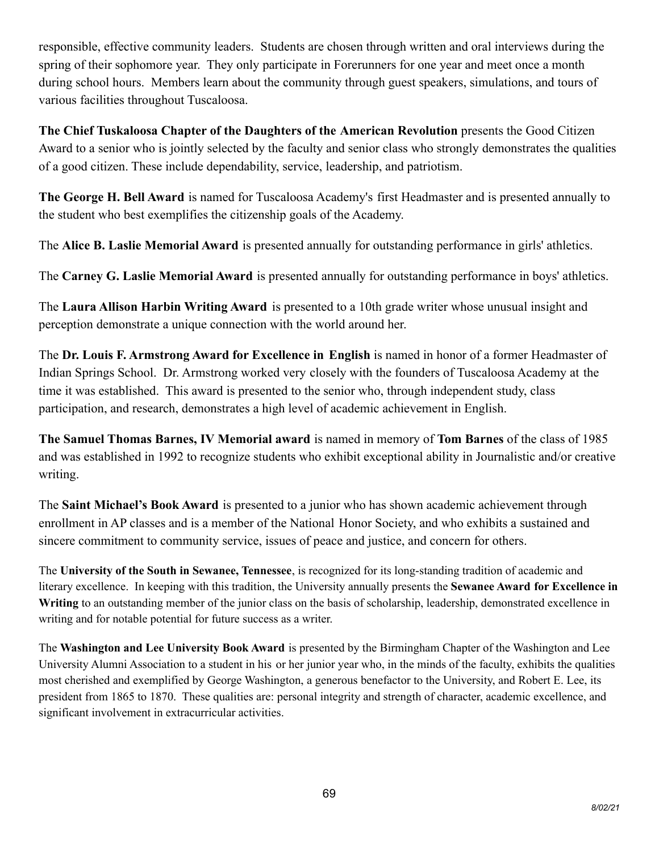responsible, effective community leaders. Students are chosen through written and oral interviews during the spring of their sophomore year. They only participate in Forerunners for one year and meet once a month during school hours. Members learn about the community through guest speakers, simulations, and tours of various facilities throughout Tuscaloosa.

**The Chief Tuskaloosa Chapter of the Daughters of the American Revolution** presents the Good Citizen Award to a senior who is jointly selected by the faculty and senior class who strongly demonstrates the qualities of a good citizen. These include dependability, service, leadership, and patriotism.

**The George H. Bell Award** is named for Tuscaloosa Academy's first Headmaster and is presented annually to the student who best exemplifies the citizenship goals of the Academy.

The **Alice B. Laslie Memorial Award** is presented annually for outstanding performance in girls' athletics.

The **Carney G. Laslie Memorial Award** is presented annually for outstanding performance in boys' athletics.

The **Laura Allison Harbin Writing Award** is presented to a 10th grade writer whose unusual insight and perception demonstrate a unique connection with the world around her.

The **Dr. Louis F. Armstrong Award for Excellence in English** is named in honor of a former Headmaster of Indian Springs School. Dr. Armstrong worked very closely with the founders of Tuscaloosa Academy at the time it was established. This award is presented to the senior who, through independent study, class participation, and research, demonstrates a high level of academic achievement in English.

**The Samuel Thomas Barnes, IV Memorial award** is named in memory of **Tom Barnes** of the class of 1985 and was established in 1992 to recognize students who exhibit exceptional ability in Journalistic and/or creative writing.

The **Saint Michael's Book Award** is presented to a junior who has shown academic achievement through enrollment in AP classes and is a member of the National Honor Society, and who exhibits a sustained and sincere commitment to community service, issues of peace and justice, and concern for others.

The **University of the South in Sewanee, Tennessee**, is recognized for its long-standing tradition of academic and literary excellence. In keeping with this tradition, the University annually presents the **Sewanee Award for Excellence in Writing** to an outstanding member of the junior class on the basis of scholarship, leadership, demonstrated excellence in writing and for notable potential for future success as a writer.

The **Washington and Lee University Book Award** is presented by the Birmingham Chapter of the Washington and Lee University Alumni Association to a student in his or her junior year who, in the minds of the faculty, exhibits the qualities most cherished and exemplified by George Washington, a generous benefactor to the University, and Robert E. Lee, its president from 1865 to 1870. These qualities are: personal integrity and strength of character, academic excellence, and significant involvement in extracurricular activities.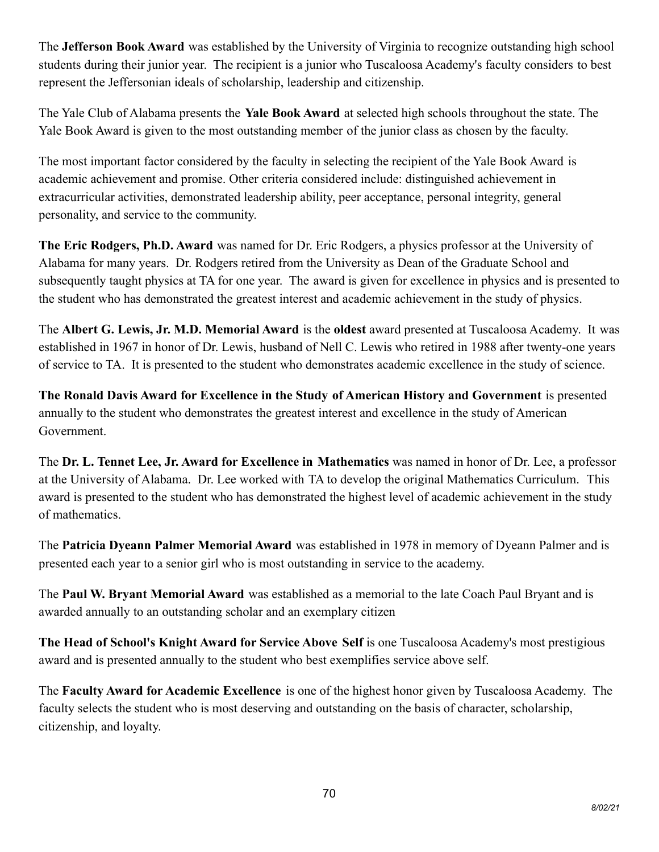The **Jefferson Book Award** was established by the University of Virginia to recognize outstanding high school students during their junior year. The recipient is a junior who Tuscaloosa Academy's faculty considers to best represent the Jeffersonian ideals of scholarship, leadership and citizenship.

The Yale Club of Alabama presents the **Yale Book Award** at selected high schools throughout the state. The Yale Book Award is given to the most outstanding member of the junior class as chosen by the faculty.

The most important factor considered by the faculty in selecting the recipient of the Yale Book Award is academic achievement and promise. Other criteria considered include: distinguished achievement in extracurricular activities, demonstrated leadership ability, peer acceptance, personal integrity, general personality, and service to the community.

**The Eric Rodgers, Ph.D. Award** was named for Dr. Eric Rodgers, a physics professor at the University of Alabama for many years. Dr. Rodgers retired from the University as Dean of the Graduate School and subsequently taught physics at TA for one year. The award is given for excellence in physics and is presented to the student who has demonstrated the greatest interest and academic achievement in the study of physics.

The **Albert G. Lewis, Jr. M.D. Memorial Award** is the **oldest** award presented at Tuscaloosa Academy. It was established in 1967 in honor of Dr. Lewis, husband of Nell C. Lewis who retired in 1988 after twenty-one years of service to TA. It is presented to the student who demonstrates academic excellence in the study of science.

**The Ronald Davis Award for Excellence in the Study of American History and Government** is presented annually to the student who demonstrates the greatest interest and excellence in the study of American Government.

The **Dr. L. Tennet Lee, Jr. Award for Excellence in Mathematics** was named in honor of Dr. Lee, a professor at the University of Alabama. Dr. Lee worked with TA to develop the original Mathematics Curriculum. This award is presented to the student who has demonstrated the highest level of academic achievement in the study of mathematics.

The **Patricia Dyeann Palmer Memorial Award** was established in 1978 in memory of Dyeann Palmer and is presented each year to a senior girl who is most outstanding in service to the academy.

The **Paul W. Bryant Memorial Award** was established as a memorial to the late Coach Paul Bryant and is awarded annually to an outstanding scholar and an exemplary citizen

**The Head of School's Knight Award for Service Above Self** is one Tuscaloosa Academy's most prestigious award and is presented annually to the student who best exemplifies service above self.

The **Faculty Award for Academic Excellence** is one of the highest honor given by Tuscaloosa Academy. The faculty selects the student who is most deserving and outstanding on the basis of character, scholarship, citizenship, and loyalty.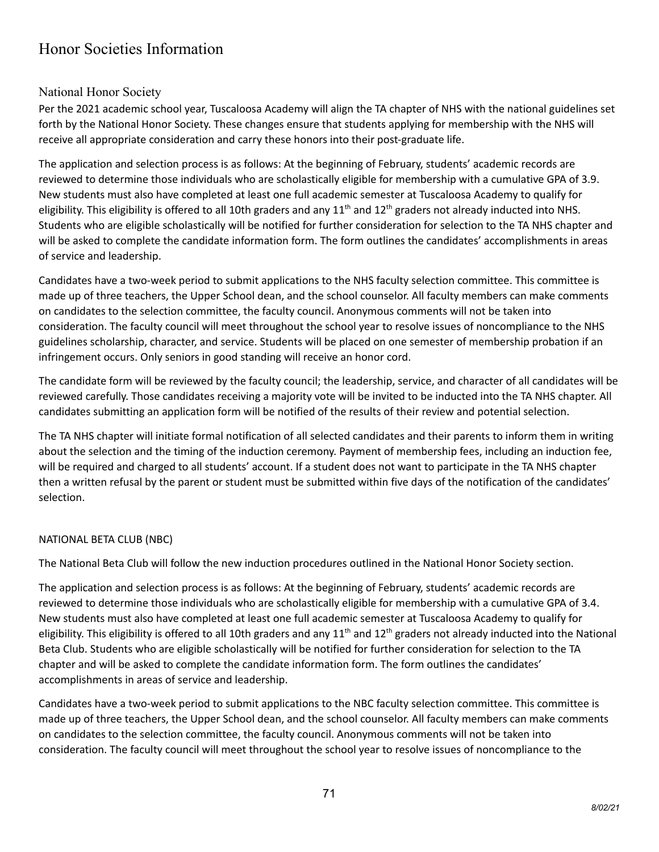### Honor Societies Information

#### National Honor Society

Per the 2021 academic school year, Tuscaloosa Academy will align the TA chapter of NHS with the national guidelines set forth by the National Honor Society. These changes ensure that students applying for membership with the NHS will receive all appropriate consideration and carry these honors into their post-graduate life.

The application and selection process is as follows: At the beginning of February, students' academic records are reviewed to determine those individuals who are scholastically eligible for membership with a cumulative GPA of 3.9. New students must also have completed at least one full academic semester at Tuscaloosa Academy to qualify for eligibility. This eligibility is offered to all 10th graders and any 11<sup>th</sup> and 12<sup>th</sup> graders not already inducted into NHS. Students who are eligible scholastically will be notified for further consideration for selection to the TA NHS chapter and will be asked to complete the candidate information form. The form outlines the candidates' accomplishments in areas of service and leadership.

Candidates have a two-week period to submit applications to the NHS faculty selection committee. This committee is made up of three teachers, the Upper School dean, and the school counselor. All faculty members can make comments on candidates to the selection committee, the faculty council. Anonymous comments will not be taken into consideration. The faculty council will meet throughout the school year to resolve issues of noncompliance to the NHS guidelines scholarship, character, and service. Students will be placed on one semester of membership probation if an infringement occurs. Only seniors in good standing will receive an honor cord.

The candidate form will be reviewed by the faculty council; the leadership, service, and character of all candidates will be reviewed carefully. Those candidates receiving a majority vote will be invited to be inducted into the TA NHS chapter. All candidates submitting an application form will be notified of the results of their review and potential selection.

The TA NHS chapter will initiate formal notification of all selected candidates and their parents to inform them in writing about the selection and the timing of the induction ceremony. Payment of membership fees, including an induction fee, will be required and charged to all students' account. If a student does not want to participate in the TA NHS chapter then a written refusal by the parent or student must be submitted within five days of the notification of the candidates' selection.

#### NATIONAL BETA CLUB (NBC)

The National Beta Club will follow the new induction procedures outlined in the National Honor Society section.

The application and selection process is as follows: At the beginning of February, students' academic records are reviewed to determine those individuals who are scholastically eligible for membership with a cumulative GPA of 3.4. New students must also have completed at least one full academic semester at Tuscaloosa Academy to qualify for eligibility. This eligibility is offered to all 10th graders and any 11<sup>th</sup> and 12<sup>th</sup> graders not already inducted into the National Beta Club. Students who are eligible scholastically will be notified for further consideration for selection to the TA chapter and will be asked to complete the candidate information form. The form outlines the candidates' accomplishments in areas of service and leadership.

Candidates have a two-week period to submit applications to the NBC faculty selection committee. This committee is made up of three teachers, the Upper School dean, and the school counselor. All faculty members can make comments on candidates to the selection committee, the faculty council. Anonymous comments will not be taken into consideration. The faculty council will meet throughout the school year to resolve issues of noncompliance to the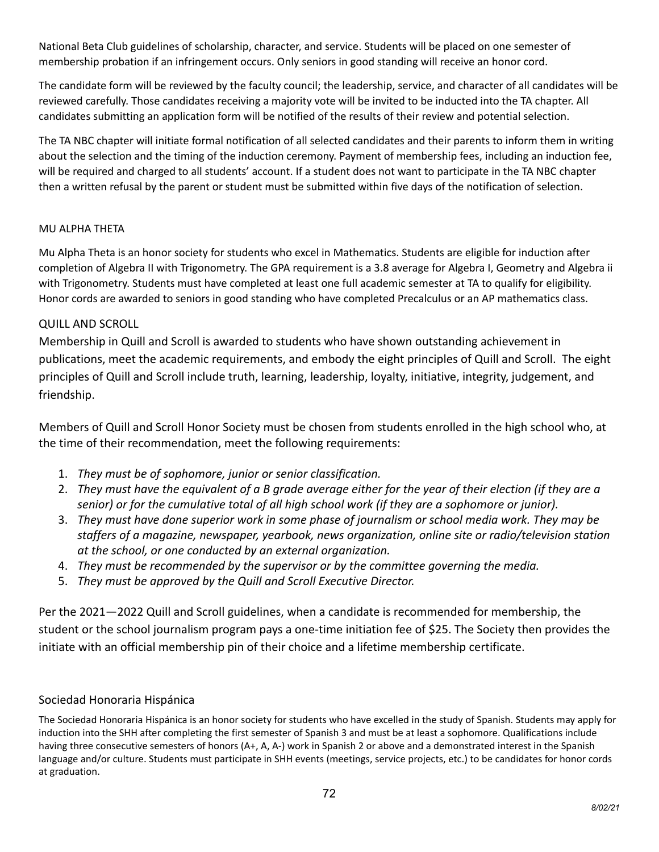National Beta Club guidelines of scholarship, character, and service. Students will be placed on one semester of membership probation if an infringement occurs. Only seniors in good standing will receive an honor cord.

The candidate form will be reviewed by the faculty council; the leadership, service, and character of all candidates will be reviewed carefully. Those candidates receiving a majority vote will be invited to be inducted into the TA chapter. All candidates submitting an application form will be notified of the results of their review and potential selection.

The TA NBC chapter will initiate formal notification of all selected candidates and their parents to inform them in writing about the selection and the timing of the induction ceremony. Payment of membership fees, including an induction fee, will be required and charged to all students' account. If a student does not want to participate in the TA NBC chapter then a written refusal by the parent or student must be submitted within five days of the notification of selection.

#### MU ALPHA THETA

Mu Alpha Theta is an honor society for students who excel in Mathematics. Students are eligible for induction after completion of Algebra II with Trigonometry. The GPA requirement is a 3.8 average for Algebra I, Geometry and Algebra ii with Trigonometry. Students must have completed at least one full academic semester at TA to qualify for eligibility. Honor cords are awarded to seniors in good standing who have completed Precalculus or an AP mathematics class.

#### QUILL AND SCROLL

Membership in Quill and Scroll is awarded to students who have shown outstanding achievement in publications, meet the academic requirements, and embody the eight principles of Quill and Scroll. The eight principles of Quill and Scroll include truth, learning, leadership, loyalty, initiative, integrity, judgement, and friendship.

Members of Quill and Scroll Honor Society must be chosen from students enrolled in the high school who, at the time of their recommendation, meet the following requirements:

- 1. *They must be of sophomore, junior or senior classification.*
- 2. *They must have the equivalent of a B grade average either for the year of their election (if they are a senior) or for the cumulative total of all high school work (if they are a sophomore or junior).*
- 3. *They must have done superior work in some phase of journalism or school media work. They may be staffers of a magazine, newspaper, yearbook, news organization, online site or radio/television station at the school, or one conducted by an external organization.*
- 4. *They must be recommended by the supervisor or by the committee governing the media.*
- 5. *They must be approved by the Quill and Scroll Executive Director.*

Per the 2021—2022 Quill and Scroll guidelines, when a candidate is recommended for membership, the student or the school journalism program pays a one-time initiation fee of \$25. The Society then provides the initiate with an official membership pin of their choice and a lifetime membership certificate.

#### Sociedad Honoraria Hispánica

The Sociedad Honoraria Hispánica is an honor society for students who have excelled in the study of Spanish. Students may apply for induction into the SHH after completing the first semester of Spanish 3 and must be at least a sophomore. Qualifications include having three consecutive semesters of honors (A+, A, A-) work in Spanish 2 or above and a demonstrated interest in the Spanish language and/or culture. Students must participate in SHH events (meetings, service projects, etc.) to be candidates for honor cords at graduation.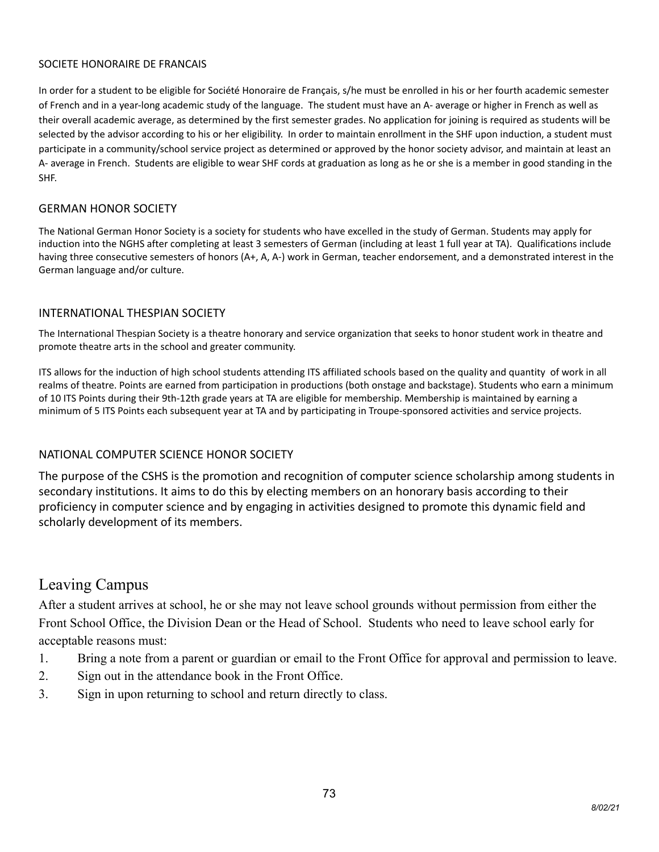#### SOCIETE HONORAIRE DE FRANCAIS

In order for a student to be eligible for Société Honoraire de Français, s/he must be enrolled in his or her fourth academic semester of French and in a year-long academic study of the language. The student must have an A- average or higher in French as well as their overall academic average, as determined by the first semester grades. No application for joining is required as students will be selected by the advisor according to his or her eligibility. In order to maintain enrollment in the SHF upon induction, a student must participate in a community/school service project as determined or approved by the honor society advisor, and maintain at least an A- average in French. Students are eligible to wear SHF cords at graduation as long as he or she is a member in good standing in the SHF.

#### GERMAN HONOR SOCIETY

The National German Honor Society is a society for students who have excelled in the study of German. Students may apply for induction into the NGHS after completing at least 3 semesters of German (including at least 1 full year at TA). Qualifications include having three consecutive semesters of honors (A+, A, A-) work in German, teacher endorsement, and a demonstrated interest in the German language and/or culture.

#### INTERNATIONAL THESPIAN SOCIETY

The International Thespian Society is a theatre honorary and service organization that seeks to honor student work in theatre and promote theatre arts in the school and greater community.

ITS allows for the induction of high school students attending ITS affiliated schools based on the quality and quantity of work in all realms of theatre. Points are earned from participation in productions (both onstage and backstage). Students who earn a minimum of 10 ITS Points during their 9th-12th grade years at TA are eligible for membership. Membership is maintained by earning a minimum of 5 ITS Points each subsequent year at TA and by participating in Troupe-sponsored activities and service projects.

#### NATIONAL COMPUTER SCIENCE HONOR SOCIETY

The purpose of the CSHS is the promotion and recognition of computer science scholarship among students in secondary institutions. It aims to do this by electing members on an honorary basis according to their proficiency in computer science and by engaging in activities designed to promote this dynamic field and scholarly development of its members.

## Leaving Campus

After a student arrives at school, he or she may not leave school grounds without permission from either the Front School Office, the Division Dean or the Head of School. Students who need to leave school early for acceptable reasons must:

- 1. Bring a note from a parent or guardian or email to the Front Office for approval and permission to leave.
- 2. Sign out in the attendance book in the Front Office.
- 3. Sign in upon returning to school and return directly to class.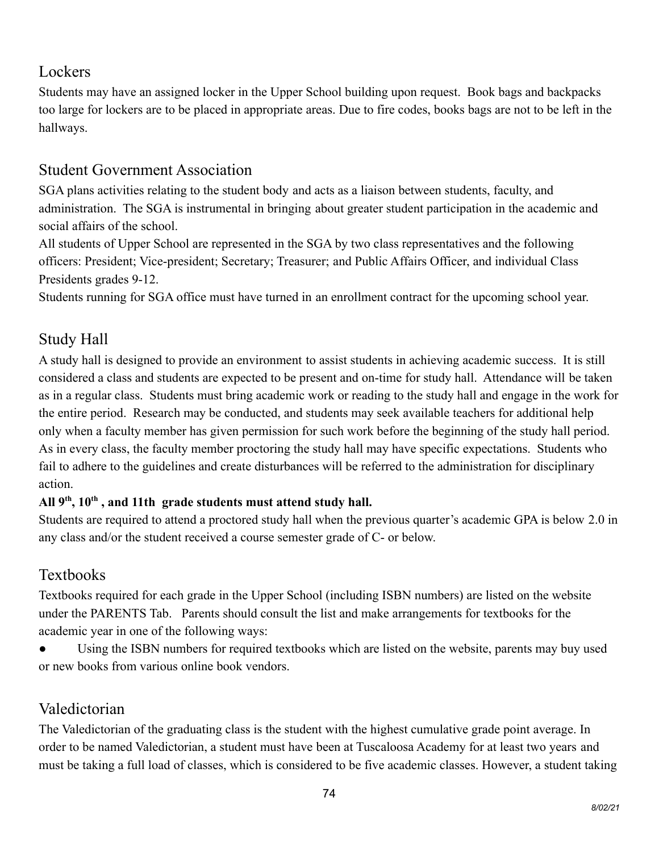# Lockers

Students may have an assigned locker in the Upper School building upon request. Book bags and backpacks too large for lockers are to be placed in appropriate areas. Due to fire codes, books bags are not to be left in the hallways.

# Student Government Association

SGA plans activities relating to the student body and acts as a liaison between students, faculty, and administration. The SGA is instrumental in bringing about greater student participation in the academic and social affairs of the school.

All students of Upper School are represented in the SGA by two class representatives and the following officers: President; Vice-president; Secretary; Treasurer; and Public Affairs Officer, and individual Class Presidents grades 9-12.

Students running for SGA office must have turned in an enrollment contract for the upcoming school year.

# Study Hall

A study hall is designed to provide an environment to assist students in achieving academic success. It is still considered a class and students are expected to be present and on-time for study hall. Attendance will be taken as in a regular class. Students must bring academic work or reading to the study hall and engage in the work for the entire period. Research may be conducted, and students may seek available teachers for additional help only when a faculty member has given permission for such work before the beginning of the study hall period. As in every class, the faculty member proctoring the study hall may have specific expectations. Students who fail to adhere to the guidelines and create disturbances will be referred to the administration for disciplinary action.

## **All 9th , 10th , and 11th grade students must attend study hall.**

Students are required to attend a proctored study hall when the previous quarter's academic GPA is below 2.0 in any class and/or the student received a course semester grade of C- or below.

# **Textbooks**

Textbooks required for each grade in the Upper School (including ISBN numbers) are listed on the website under the PARENTS Tab. Parents should consult the list and make arrangements for textbooks for the academic year in one of the following ways:

Using the ISBN numbers for required textbooks which are listed on the website, parents may buy used or new books from various online book vendors.

## Valedictorian

The Valedictorian of the graduating class is the student with the highest cumulative grade point average. In order to be named Valedictorian, a student must have been at Tuscaloosa Academy for at least two years and must be taking a full load of classes, which is considered to be five academic classes. However, a student taking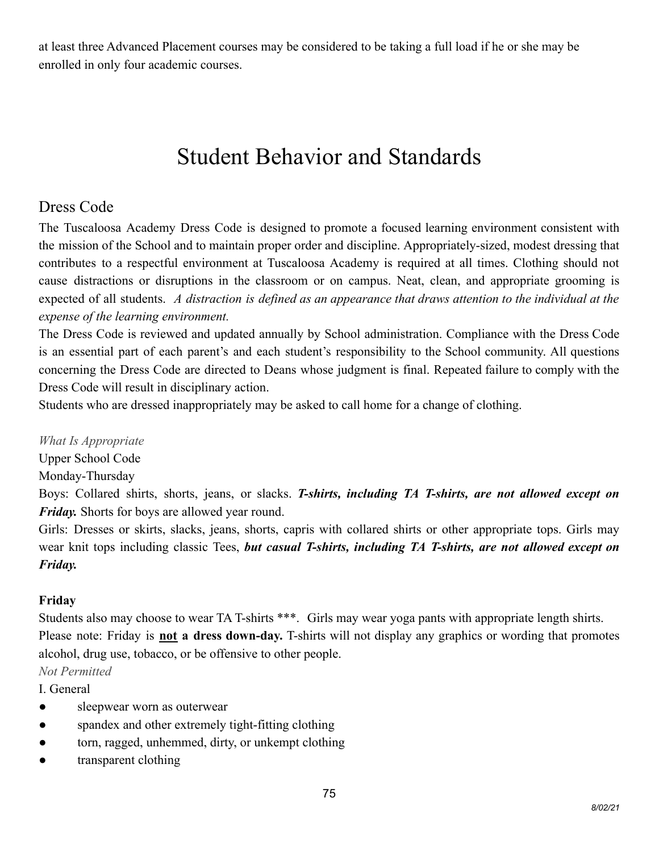at least three Advanced Placement courses may be considered to be taking a full load if he or she may be enrolled in only four academic courses.

# Student Behavior and Standards

#### Dress Code

The Tuscaloosa Academy Dress Code is designed to promote a focused learning environment consistent with the mission of the School and to maintain proper order and discipline. Appropriately-sized, modest dressing that contributes to a respectful environment at Tuscaloosa Academy is required at all times. Clothing should not cause distractions or disruptions in the classroom or on campus. Neat, clean, and appropriate grooming is expected of all students. *A distraction is defined as an appearance that draws attention to the individual at the expense of the learning environment.*

The Dress Code is reviewed and updated annually by School administration. Compliance with the Dress Code is an essential part of each parent's and each student's responsibility to the School community. All questions concerning the Dress Code are directed to Deans whose judgment is final. Repeated failure to comply with the Dress Code will result in disciplinary action.

Students who are dressed inappropriately may be asked to call home for a change of clothing.

*What Is Appropriate*

Upper School Code

Monday-Thursday

Boys: Collared shirts, shorts, jeans, or slacks. *T-shirts, including TA T-shirts, are not allowed except on Friday.* Shorts for boys are allowed year round.

Girls: Dresses or skirts, slacks, jeans, shorts, capris with collared shirts or other appropriate tops. Girls may wear knit tops including classic Tees, *but casual T-shirts, including TA T-shirts, are not allowed except on Friday.*

#### **Friday**

Students also may choose to wear TA T-shirts \*\*\*. Girls may wear yoga pants with appropriate length shirts. Please note: Friday is **not a dress down-day.** T-shirts will not display any graphics or wording that promotes alcohol, drug use, tobacco, or be offensive to other people.

*Not Permitted*

I. General

- sleepwear worn as outerwear
- spandex and other extremely tight-fitting clothing
- torn, ragged, unhemmed, dirty, or unkempt clothing
- transparent clothing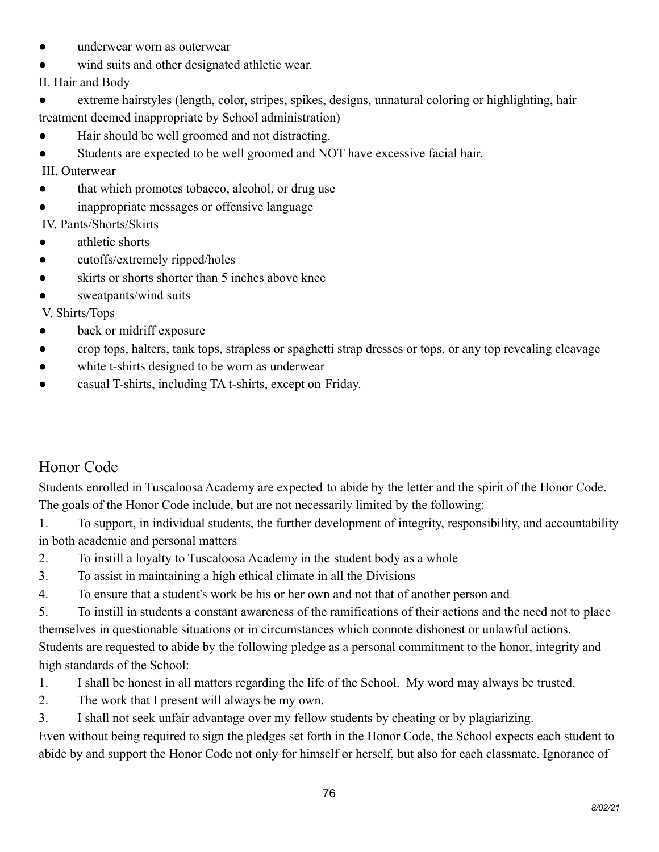- underwear worn as outerwear
- wind suits and other designated athletic wear.
- II. Hair and Body

● extreme hairstyles (length, color, stripes, spikes, designs, unnatural coloring or highlighting, hair treatment deemed inappropriate by School administration)

- Hair should be well groomed and not distracting.
- Students are expected to be well groomed and NOT have excessive facial hair.

III. Outerwear

- that which promotes tobacco, alcohol, or drug use
- inappropriate messages or offensive language

IV. Pants/Shorts/Skirts

- athletic shorts
- cutoffs/extremely ripped/holes
- skirts or shorts shorter than 5 inches above knee
- sweatpants/wind suits

V. Shirts/Tops

- back or midriff exposure
- crop tops, halters, tank tops, strapless or spaghetti strap dresses or tops, or any top revealing cleavage
- white t-shirts designed to be worn as underwear
- casual T-shirts, including TA t-shirts, except on Friday.

# Honor Code

Students enrolled in Tuscaloosa Academy are expected to abide by the letter and the spirit of the Honor Code. The goals of the Honor Code include, but are not necessarily limited by the following:

1. To support, in individual students, the further development of integrity, responsibility, and accountability in both academic and personal matters

- 2. To instill a loyalty to Tuscaloosa Academy in the student body as a whole
- 3. To assist in maintaining a high ethical climate in all the Divisions
- 4. To ensure that a student's work be his or her own and not that of another person and
- 5. To instill in students a constant awareness of the ramifications of their actions and the need not to place themselves in questionable situations or in circumstances which connote dishonest or unlawful actions.

Students are requested to abide by the following pledge as a personal commitment to the honor, integrity and high standards of the School:

- 1. I shall be honest in all matters regarding the life of the School. My word may always be trusted.
- 2. The work that I present will always be my own.
- 3. I shall not seek unfair advantage over my fellow students by cheating or by plagiarizing.

Even without being required to sign the pledges set forth in the Honor Code, the School expects each student to abide by and support the Honor Code not only for himself or herself, but also for each classmate. Ignorance of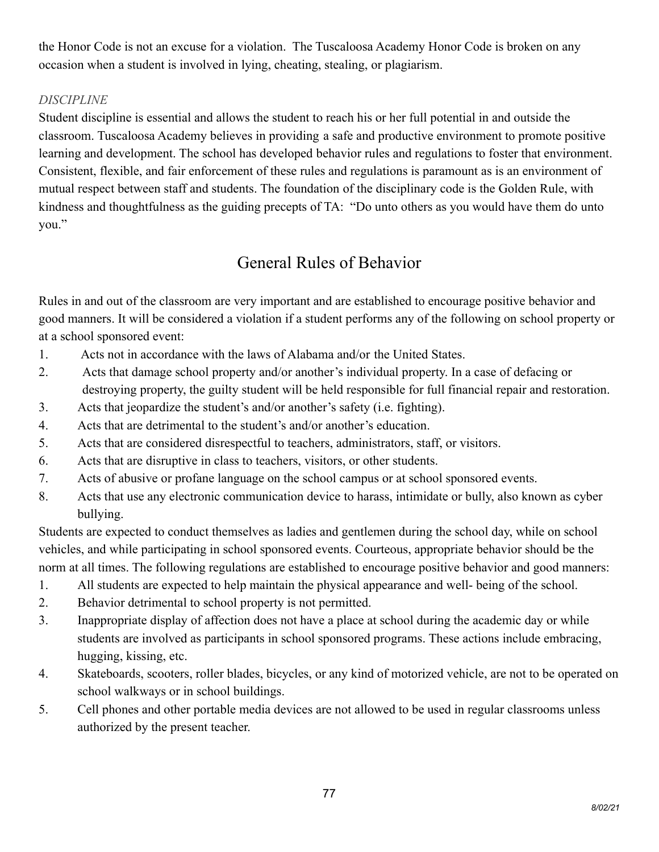the Honor Code is not an excuse for a violation. The Tuscaloosa Academy Honor Code is broken on any occasion when a student is involved in lying, cheating, stealing, or plagiarism.

#### *DISCIPLINE*

Student discipline is essential and allows the student to reach his or her full potential in and outside the classroom. Tuscaloosa Academy believes in providing a safe and productive environment to promote positive learning and development. The school has developed behavior rules and regulations to foster that environment. Consistent, flexible, and fair enforcement of these rules and regulations is paramount as is an environment of mutual respect between staff and students. The foundation of the disciplinary code is the Golden Rule, with kindness and thoughtfulness as the guiding precepts of TA: "Do unto others as you would have them do unto you."

# General Rules of Behavior

Rules in and out of the classroom are very important and are established to encourage positive behavior and good manners. It will be considered a violation if a student performs any of the following on school property or at a school sponsored event:

- 1. Acts not in accordance with the laws of Alabama and/or the United States.
- 2. Acts that damage school property and/or another's individual property. In a case of defacing or destroying property, the guilty student will be held responsible for full financial repair and restoration.
- 3. Acts that jeopardize the student's and/or another's safety (i.e. fighting).
- 4. Acts that are detrimental to the student's and/or another's education.
- 5. Acts that are considered disrespectful to teachers, administrators, staff, or visitors.
- 6. Acts that are disruptive in class to teachers, visitors, or other students.
- 7. Acts of abusive or profane language on the school campus or at school sponsored events.
- 8. Acts that use any electronic communication device to harass, intimidate or bully, also known as cyber bullying.

Students are expected to conduct themselves as ladies and gentlemen during the school day, while on school vehicles, and while participating in school sponsored events. Courteous, appropriate behavior should be the norm at all times. The following regulations are established to encourage positive behavior and good manners:

- 1. All students are expected to help maintain the physical appearance and well- being of the school.
- 2. Behavior detrimental to school property is not permitted.
- 3. Inappropriate display of affection does not have a place at school during the academic day or while students are involved as participants in school sponsored programs. These actions include embracing, hugging, kissing, etc.
- 4. Skateboards, scooters, roller blades, bicycles, or any kind of motorized vehicle, are not to be operated on school walkways or in school buildings.
- 5. Cell phones and other portable media devices are not allowed to be used in regular classrooms unless authorized by the present teacher.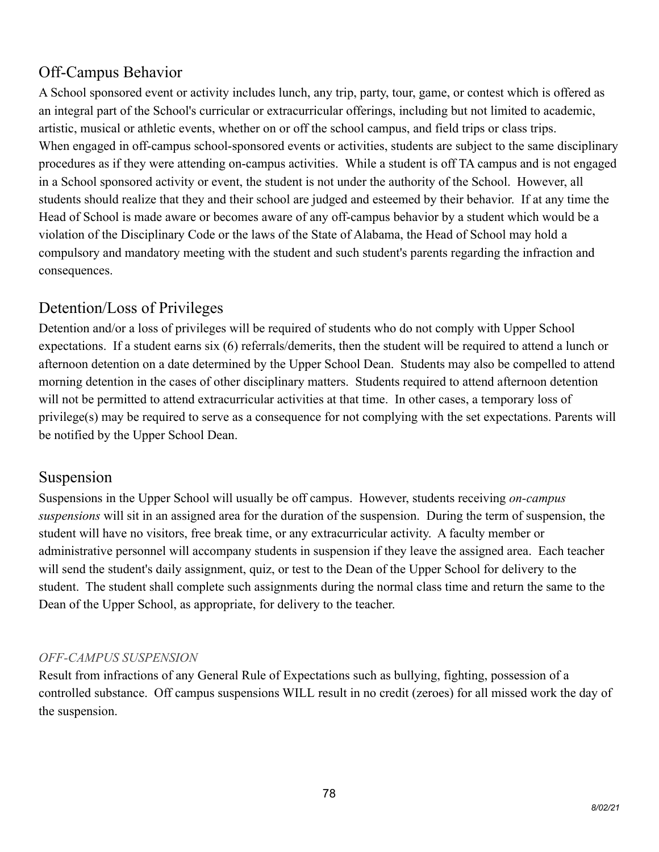# Off-Campus Behavior

A School sponsored event or activity includes lunch, any trip, party, tour, game, or contest which is offered as an integral part of the School's curricular or extracurricular offerings, including but not limited to academic, artistic, musical or athletic events, whether on or off the school campus, and field trips or class trips. When engaged in off-campus school-sponsored events or activities, students are subject to the same disciplinary procedures as if they were attending on-campus activities. While a student is off TA campus and is not engaged in a School sponsored activity or event, the student is not under the authority of the School. However, all students should realize that they and their school are judged and esteemed by their behavior. If at any time the Head of School is made aware or becomes aware of any off-campus behavior by a student which would be a violation of the Disciplinary Code or the laws of the State of Alabama, the Head of School may hold a compulsory and mandatory meeting with the student and such student's parents regarding the infraction and consequences.

## Detention/Loss of Privileges

Detention and/or a loss of privileges will be required of students who do not comply with Upper School expectations. If a student earns six (6) referrals/demerits, then the student will be required to attend a lunch or afternoon detention on a date determined by the Upper School Dean. Students may also be compelled to attend morning detention in the cases of other disciplinary matters. Students required to attend afternoon detention will not be permitted to attend extracurricular activities at that time. In other cases, a temporary loss of privilege(s) may be required to serve as a consequence for not complying with the set expectations. Parents will be notified by the Upper School Dean.

## Suspension

Suspensions in the Upper School will usually be off campus. However, students receiving *on-campus suspensions* will sit in an assigned area for the duration of the suspension. During the term of suspension, the student will have no visitors, free break time, or any extracurricular activity. A faculty member or administrative personnel will accompany students in suspension if they leave the assigned area. Each teacher will send the student's daily assignment, quiz, or test to the Dean of the Upper School for delivery to the student. The student shall complete such assignments during the normal class time and return the same to the Dean of the Upper School, as appropriate, for delivery to the teacher.

#### *OFF-CAMPUS SUSPENSION*

Result from infractions of any General Rule of Expectations such as bullying, fighting, possession of a controlled substance. Off campus suspensions WILL result in no credit (zeroes) for all missed work the day of the suspension.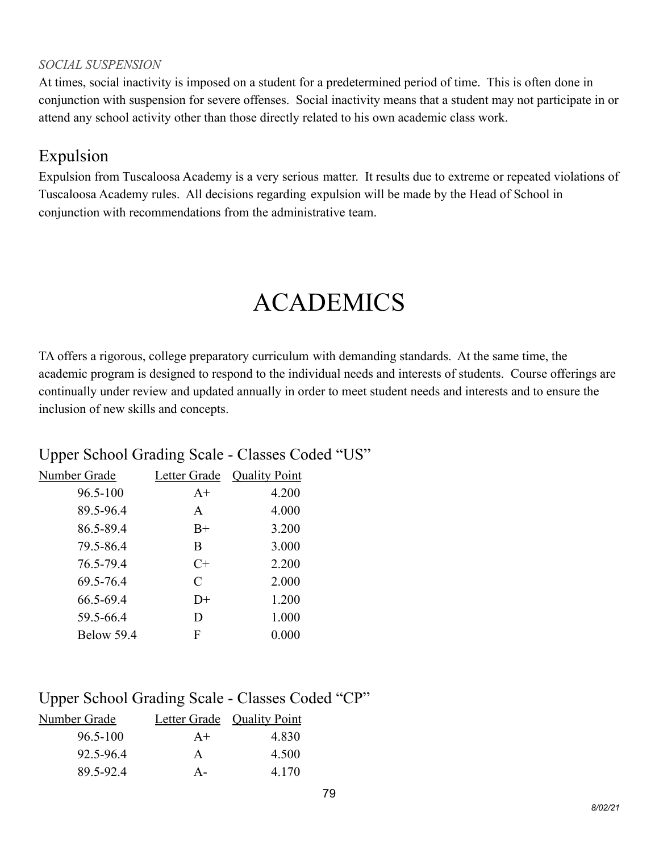#### *SOCIAL SUSPENSION*

At times, social inactivity is imposed on a student for a predetermined period of time. This is often done in conjunction with suspension for severe offenses. Social inactivity means that a student may not participate in or attend any school activity other than those directly related to his own academic class work.

## Expulsion

Expulsion from Tuscaloosa Academy is a very serious matter. It results due to extreme or repeated violations of Tuscaloosa Academy rules. All decisions regarding expulsion will be made by the Head of School in conjunction with recommendations from the administrative team.

# ACADEMICS

TA offers a rigorous, college preparatory curriculum with demanding standards. At the same time, the academic program is designed to respond to the individual needs and interests of students. Course offerings are continually under review and updated annually in order to meet student needs and interests and to ensure the inclusion of new skills and concepts.

## Upper School Grading Scale - Classes Coded "US"

| Number Grade |               | Letter Grade Quality Point |
|--------------|---------------|----------------------------|
| 96.5-100     | $A+$          | 4.200                      |
| 89.5-96.4    | A             | 4.000                      |
| 86.5-89.4    | $B+$          | 3.200                      |
| 79.5-86.4    | B             | 3.000                      |
| 76 5-79 4    | $C+$          | 2.200                      |
| 69.5-76.4    | $\mathcal{C}$ | 2.000                      |
| 66.5-69.4    | $D+$          | 1.200                      |
| 59.5-66.4    | D             | 1.000                      |
| Below 594    | F             | 0.000                      |

## Upper School Grading Scale - Classes Coded "CP"

| Number Grade |      | <b>Letter Grade Quality Point</b> |
|--------------|------|-----------------------------------|
| 96.5-100     | $A+$ | 4830                              |
| 92.5-96.4    | A    | 4.500                             |
| 89 5-92 4    | А-   | 4 1 7 0                           |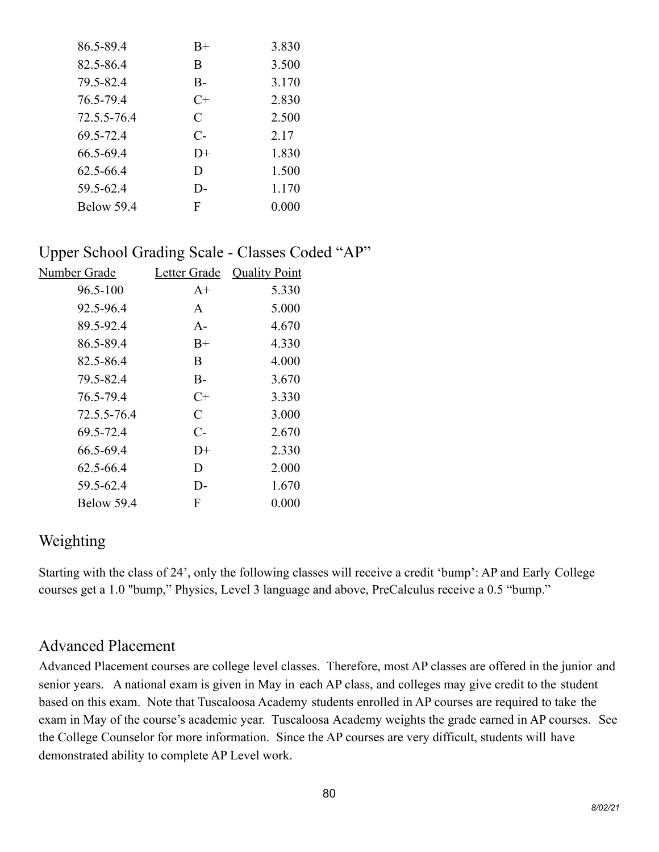| $B+$  | 3.830 |
|-------|-------|
| B     | 3.500 |
| $B -$ | 3.170 |
| $C+$  | 2.830 |
| C     | 2.500 |
| $C$ - | 2.17  |
| $D+$  | 1.830 |
| D     | 1.500 |
| $D-$  | 1.170 |
| F     | 0.000 |
|       |       |

## Upper School Grading Scale - Classes Coded "AP"

| <u>Number Grade</u> | Letter Grade | <b>Quality Point</b> |
|---------------------|--------------|----------------------|
| 96.5-100            | $A+$         | 5.330                |
| 92.5-96.4           | A            | 5.000                |
| 89.5-92.4           | $A -$        | 4.670                |
| 86.5-89.4           | $B+$         | 4.330                |
| 82.5-86.4           | B            | 4.000                |
| 79.5-82.4           | $B-$         | 3.670                |
| 76.5-79.4           | C+           | 3.330                |
| 72.5.5-76.4         | C            | 3.000                |
| 69.5-72.4           | $C-$         | 2.670                |
| 66.5-69.4           | $D+$         | 2.330                |
| 62.5-66.4           | D            | 2.000                |
| 59.5-62.4           | D-           | 1.670                |
| Below 59.4          | F            | 0.000                |

## Weighting

Starting with the class of 24', only the following classes will receive a credit 'bump': AP and Early College courses get a 1.0 "bump," Physics, Level 3 language and above, PreCalculus receive a 0.5 "bump."

## Advanced Placement

Advanced Placement courses are college level classes. Therefore, most AP classes are offered in the junior and senior years. A national exam is given in May in each AP class, and colleges may give credit to the student based on this exam. Note that Tuscaloosa Academy students enrolled in AP courses are required to take the exam in May of the course's academic year. Tuscaloosa Academy weights the grade earned in AP courses. See the College Counselor for more information. Since the AP courses are very difficult, students will have demonstrated ability to complete AP Level work.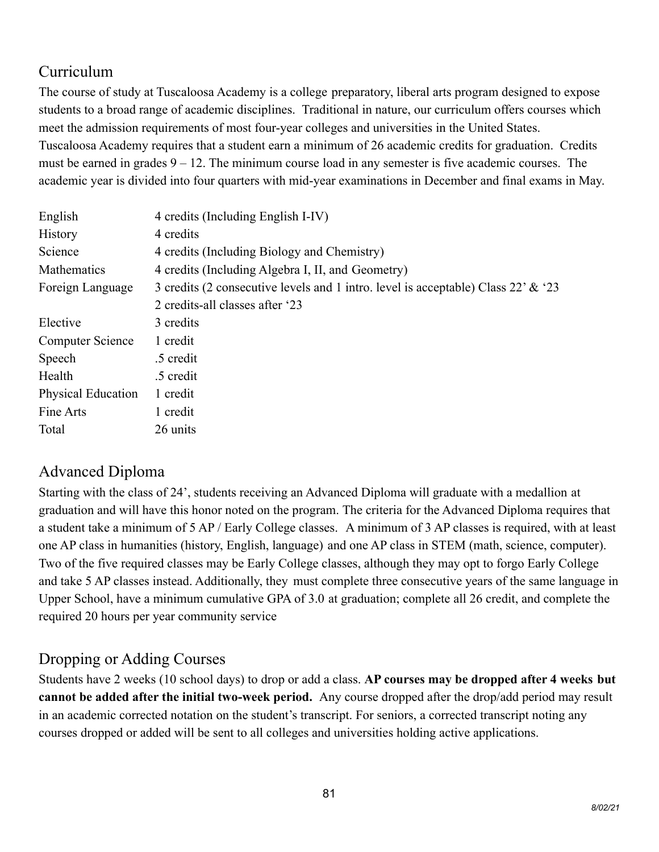# Curriculum

The course of study at Tuscaloosa Academy is a college preparatory, liberal arts program designed to expose students to a broad range of academic disciplines. Traditional in nature, our curriculum offers courses which meet the admission requirements of most four-year colleges and universities in the United States. Tuscaloosa Academy requires that a student earn a minimum of 26 academic credits for graduation. Credits must be earned in grades 9 – 12. The minimum course load in any semester is five academic courses. The academic year is divided into four quarters with mid-year examinations in December and final exams in May.

| English                   | 4 credits (Including English I-IV)                                                         |
|---------------------------|--------------------------------------------------------------------------------------------|
| <b>History</b>            | 4 credits                                                                                  |
| Science                   | 4 credits (Including Biology and Chemistry)                                                |
| Mathematics               | 4 credits (Including Algebra I, II, and Geometry)                                          |
| Foreign Language          | 3 credits (2 consecutive levels and 1 intro. level is acceptable) Class $22^{\circ} \& 23$ |
|                           | 2 credits-all classes after '23                                                            |
| Elective                  | 3 credits                                                                                  |
| <b>Computer Science</b>   | 1 credit                                                                                   |
| Speech                    | .5 credit                                                                                  |
| Health                    | .5 credit                                                                                  |
| <b>Physical Education</b> | 1 credit                                                                                   |
| Fine Arts                 | 1 credit                                                                                   |
| Total                     | 26 units                                                                                   |

# Advanced Diploma

Starting with the class of 24', students receiving an Advanced Diploma will graduate with a medallion at graduation and will have this honor noted on the program. The criteria for the Advanced Diploma requires that a student take a minimum of 5 AP / Early College classes. A minimum of 3 AP classes is required, with at least one AP class in humanities (history, English, language) and one AP class in STEM (math, science, computer). Two of the five required classes may be Early College classes, although they may opt to forgo Early College and take 5 AP classes instead. Additionally, they must complete three consecutive years of the same language in Upper School, have a minimum cumulative GPA of 3.0 at graduation; complete all 26 credit, and complete the required 20 hours per year community service

## Dropping or Adding Courses

Students have 2 weeks (10 school days) to drop or add a class. **AP courses may be dropped after 4 weeks but cannot be added after the initial two-week period.** Any course dropped after the drop/add period may result in an academic corrected notation on the student's transcript. For seniors, a corrected transcript noting any courses dropped or added will be sent to all colleges and universities holding active applications.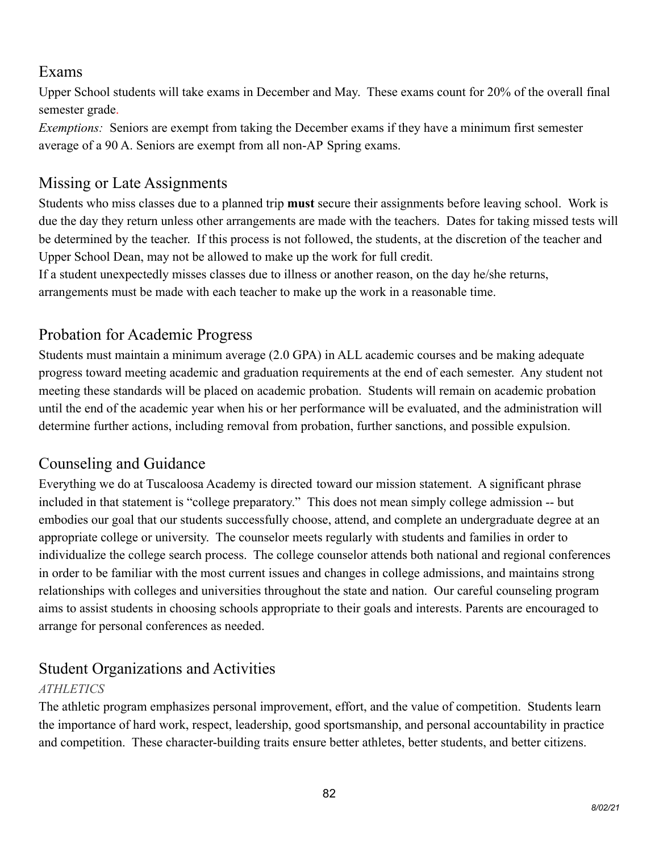## Exams

Upper School students will take exams in December and May. These exams count for 20% of the overall final semester grade.

*Exemptions:* Seniors are exempt from taking the December exams if they have a minimum first semester average of a 90 A. Seniors are exempt from all non-AP Spring exams.

## Missing or Late Assignments

Students who miss classes due to a planned trip **must** secure their assignments before leaving school. Work is due the day they return unless other arrangements are made with the teachers. Dates for taking missed tests will be determined by the teacher. If this process is not followed, the students, at the discretion of the teacher and Upper School Dean, may not be allowed to make up the work for full credit.

If a student unexpectedly misses classes due to illness or another reason, on the day he/she returns, arrangements must be made with each teacher to make up the work in a reasonable time.

## Probation for Academic Progress

Students must maintain a minimum average (2.0 GPA) in ALL academic courses and be making adequate progress toward meeting academic and graduation requirements at the end of each semester. Any student not meeting these standards will be placed on academic probation. Students will remain on academic probation until the end of the academic year when his or her performance will be evaluated, and the administration will determine further actions, including removal from probation, further sanctions, and possible expulsion.

# Counseling and Guidance

Everything we do at Tuscaloosa Academy is directed toward our mission statement. A significant phrase included in that statement is "college preparatory." This does not mean simply college admission -- but embodies our goal that our students successfully choose, attend, and complete an undergraduate degree at an appropriate college or university. The counselor meets regularly with students and families in order to individualize the college search process. The college counselor attends both national and regional conferences in order to be familiar with the most current issues and changes in college admissions, and maintains strong relationships with colleges and universities throughout the state and nation. Our careful counseling program aims to assist students in choosing schools appropriate to their goals and interests. Parents are encouraged to arrange for personal conferences as needed.

# Student Organizations and Activities

## *ATHLETICS*

The athletic program emphasizes personal improvement, effort, and the value of competition. Students learn the importance of hard work, respect, leadership, good sportsmanship, and personal accountability in practice and competition. These character-building traits ensure better athletes, better students, and better citizens.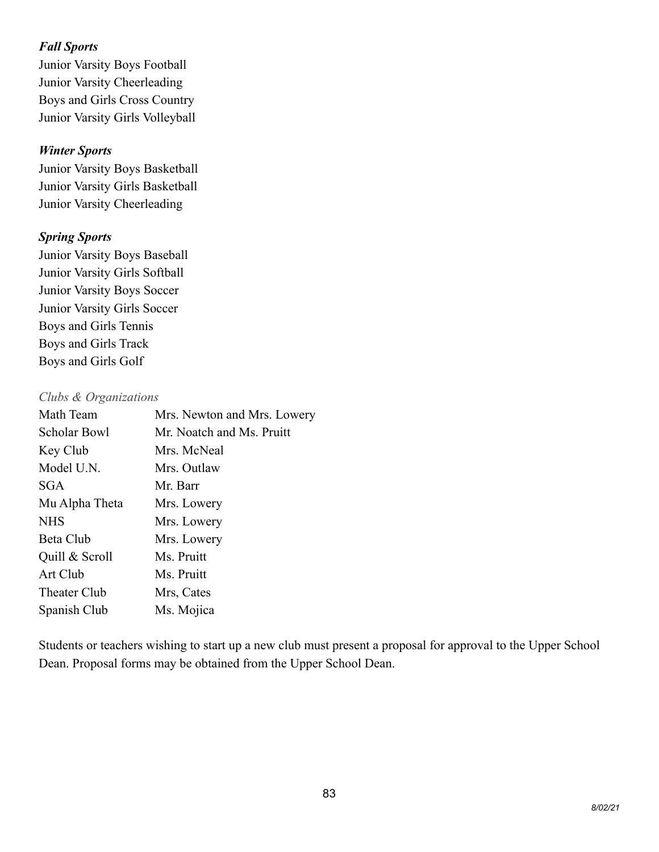#### *Fall Sports*

Junior Varsity Boys Football Junior Varsity Cheerleading Boys and Girls Cross Country Junior Varsity Girls Volleyball

#### *Winter Sports*

Junior Varsity Boys Basketball Junior Varsity Girls Basketball Junior Varsity Cheerleading

#### *Spring Sports*

Junior Varsity Boys Baseball Junior Varsity Girls Softball Junior Varsity Boys Soccer Junior Varsity Girls Soccer Boys and Girls Tennis Boys and Girls Track Boys and Girls Golf

#### *Clubs & Organizations*

| Mrs. Newton and Mrs. Lowery |
|-----------------------------|
| Mr. Noatch and Ms. Pruitt   |
| Mrs. McNeal                 |
| Mrs. Outlaw                 |
| Mr. Barr                    |
| Mrs. Lowery                 |
| Mrs. Lowery                 |
| Mrs. Lowery                 |
| Ms. Pruitt                  |
| Ms. Pruitt                  |
| Mrs, Cates                  |
| Ms. Mojica                  |
|                             |

Students or teachers wishing to start up a new club must present a proposal for approval to the Upper School Dean. Proposal forms may be obtained from the Upper School Dean.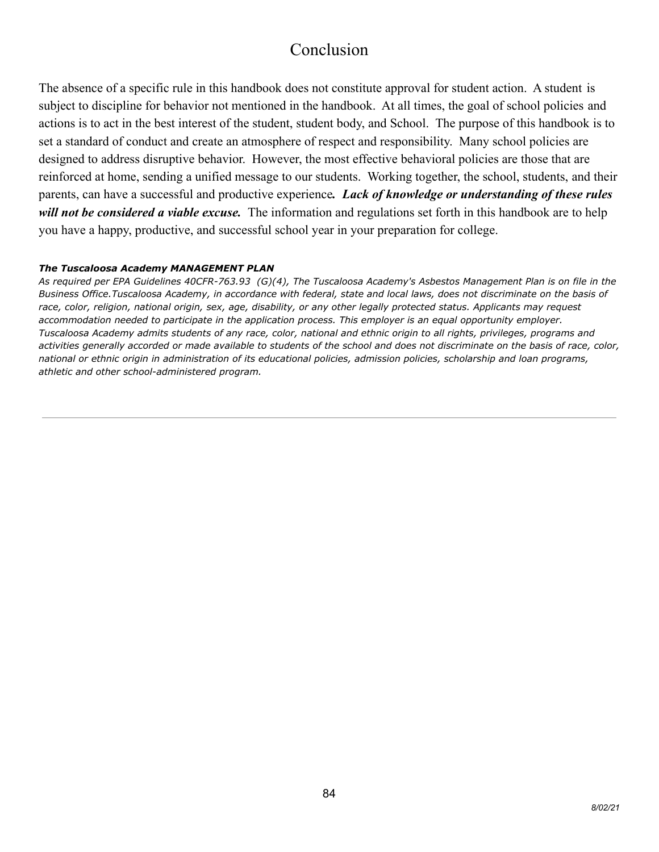# Conclusion

The absence of a specific rule in this handbook does not constitute approval for student action. A student is subject to discipline for behavior not mentioned in the handbook. At all times, the goal of school policies and actions is to act in the best interest of the student, student body, and School. The purpose of this handbook is to set a standard of conduct and create an atmosphere of respect and responsibility. Many school policies are designed to address disruptive behavior. However, the most effective behavioral policies are those that are reinforced at home, sending a unified message to our students. Working together, the school, students, and their parents, can have a successful and productive experience*. Lack of knowledge or understanding of these rules will not be considered a viable excuse.* The information and regulations set forth in this handbook are to help you have a happy, productive, and successful school year in your preparation for college.

#### *The Tuscaloosa Academy MANAGEMENT PLAN*

As required per EPA Guidelines 40CFR-763.93 (G)(4), The Tuscaloosa Academy's Asbestos Management Plan is on file in the Business Office.Tuscaloosa Academy, in accordance with federal, state and local laws, does not discriminate on the basis of race, color, religion, national origin, sex, age, disability, or any other legally protected status. Applicants may request *accommodation needed to participate in the application process. This employer is an equal opportunity employer.* Tuscaloosa Academy admits students of any race, color, national and ethnic origin to all rights, privileges, programs and activities generally accorded or made available to students of the school and does not discriminate on the basis of race, color, national or ethnic origin in administration of its educational policies, admission policies, scholarship and loan programs, *athletic and other school-administered program.*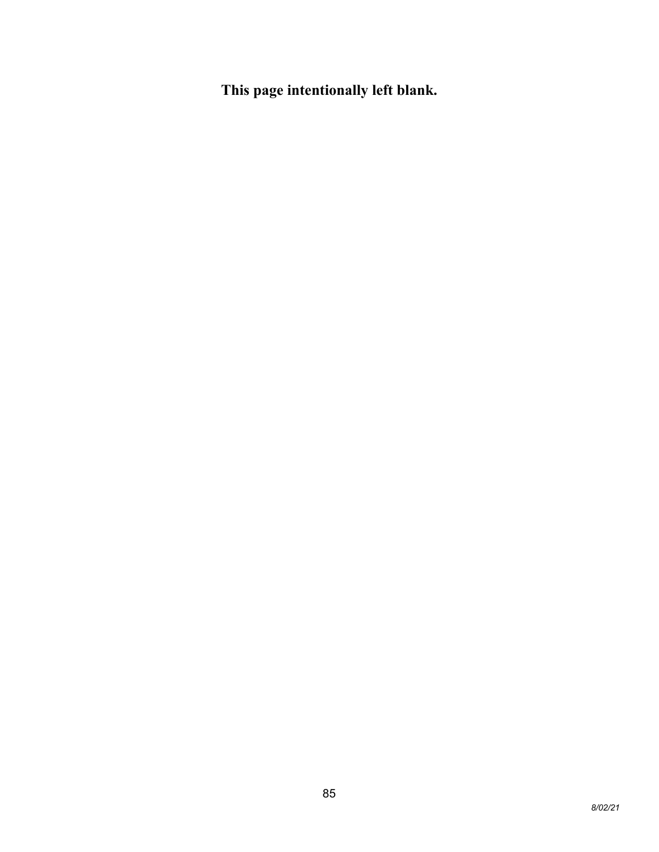**This page intentionally left blank.**